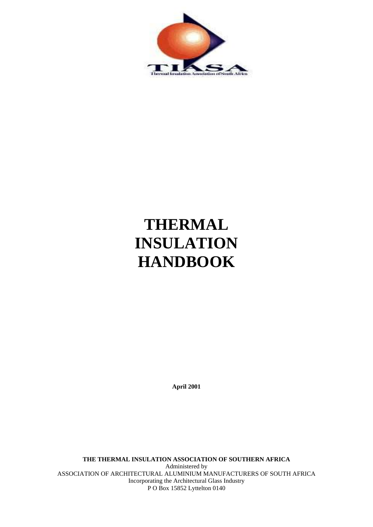

# **THERMAL INSULATION HANDBOOK**

**April 2001** 

**THE THERMAL INSULATION ASSOCIATION OF SOUTHERN AFRICA**  Administered by ASSOCIATION OF ARCHITECTURAL ALUMINIUM MANUFACTURERS OF SOUTH AFRICA Incorporating the Architectural Glass Industry P O Box 15852 Lyttelton 0140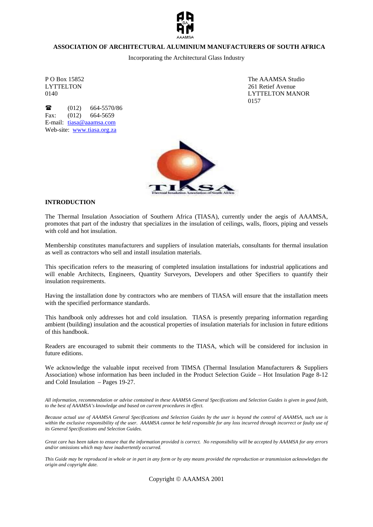

#### **ASSOCIATION OF ARCHITECTURAL ALUMINIUM MANUFACTURERS OF SOUTH AFRICA**

Incorporating the Architectural Glass Industry

 $\bullet$  (012) 664-5570/86 Fax: (012) 664-5659 E-mail: tiasa@aaamsa.com Web-site: www.tiasa.org.za

P O Box 15852 The AAAMSA Studio LYTTELTON 261 Retief Avenue 0140 LYTTELTON MANOR 0157



# **INTRODUCTION**

The Thermal Insulation Association of Southern Africa (TIASA), currently under the aegis of AAAMSA, promotes that part of the industry that specializes in the insulation of ceilings, walls, floors, piping and vessels with cold and hot insulation.

Membership constitutes manufacturers and suppliers of insulation materials, consultants for thermal insulation as well as contractors who sell and install insulation materials.

This specification refers to the measuring of completed insulation installations for industrial applications and will enable Architects, Engineers, Quantity Surveyors, Developers and other Specifiers to quantify their insulation requirements.

Having the installation done by contractors who are members of TIASA will ensure that the installation meets with the specified performance standards.

This handbook only addresses hot and cold insulation. TIASA is presently preparing information regarding ambient (building) insulation and the acoustical properties of insulation materials for inclusion in future editions of this handbook.

Readers are encouraged to submit their comments to the TIASA, which will be considered for inclusion in future editions.

We acknowledge the valuable input received from TIMSA (Thermal Insulation Manufacturers & Suppliers Association) whose information has been included in the Product Selection Guide – Hot Insulation Page 8-12 and Cold Insulation – Pages 19-27.

*All information, recommendation or advise contained in these AAAMSA General Specifications and Selection Guides is given in good faith, to the best of AAAMSA's knowledge and based on current procedures in effect.* 

*Because actual use of AAAMSA General Specifications and Selection Guides by the user is beyond the control of AAAMSA, such use is*  within the exclusive responsibility of the user. AAAMSA cannot be held responsible for any loss incurred through incorrect or faulty use of *its General Specifications and Selection Guides.* 

*Great care has been taken to ensure that the information provided is correct. No responsibility will be accepted by AAAMSA for any errors and/or omissions which may have inadvertently occurred.* 

*This Guide may be reproduced in whole or in part in any form or by any means provided the reproduction or transmission acknowledges the origin and copyright date.* 

Copyright © AAAMSA 2001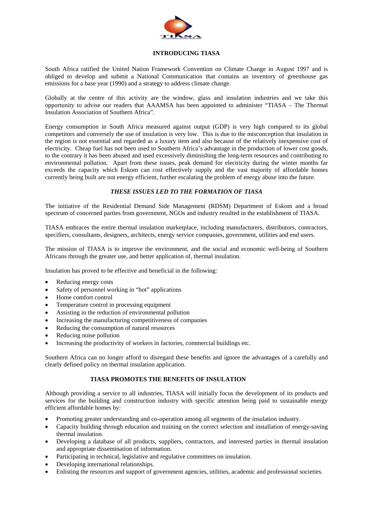

# **INTRODUCING TIASA**

South Africa ratified the United Nation Framework Convention on Climate Change in August 1997 and is obliged to develop and submit a National Communication that contains an inventory of greenhouse gas emissions for a base year (1990) and a strategy to address climate change.

Globally at the centre of this activity are the window, glass and insulation industries and we take this opportunity to advise our readers that AAAMSA has been appointed to administer "TIASA – The Thermal Insulation Association of Southern Africa".

Energy consumption in South Africa measured against output (GDP) is very high compared to its global competitors and conversely the use of insulation is very low. This is due to the misconception that insulation in the region is not essential and regarded as a luxury item and also because of the relatively inexpensive cost of electricity. Cheap fuel has not been used to Southern Africa's advantage in the production of lower cost goods, to the contrary it has been abused and used excessively diminishing the long-term resources and contributing to environmental pollution. Apart from these issues, peak demand for electricity during the winter months far exceeds the capacity which Eskom can cost effectively supply and the vast majority of affordable homes currently being built are not energy efficient, further escalating the problem of energy abuse into the future.

# *THESE ISSUES LED TO THE FORMATION OF TIASA*

The initiative of the Residential Demand Side Management (RDSM) Department of Eskom and a broad spectrum of concerned parties from government, NGOs and industry resulted in the establishment of TIASA.

TIASA embraces the entire thermal insulation marketplace, including manufacturers, distributors, contractors, specifiers, consultants, designers, architects, energy service companies, government, utilities and end users.

The mission of TIASA is to improve the environment, and the social and economic well-being of Southern Africans through the greater use, and better application of, thermal insulation.

Insulation has proved to be effective and beneficial in the following:

- Reducing energy costs
- Safety of personnel working in "hot" applications
- Home comfort control
- Temperature control in processing equipment
- Assisting in the reduction of environmental pollution
- Increasing the manufacturing competitiveness of companies
- Reducing the consumption of natural resources
- Reducing noise pollution
- Increasing the productivity of workers in factories, commercial buildings etc.

Southern Africa can no longer afford to disregard these benefits and ignore the advantages of a carefully and clearly defined policy on thermal insulation application.

# **TIASA PROMOTES THE BENEFITS OF INSULATION**

Although providing a service to all industries, TIASA will initially focus the development of its products and services for the building and construction industry with specific attention being paid to sustainable energy efficient affordable homes by:

- Promoting greater understanding and co-operation among all segments of the insulation industry.
- Capacity building through education and training on the correct selection and installation of energy-saving thermal insulation.
- Developing a database of all products, suppliers, contractors, and interested parties in thermal insulation and appropriate dissemination of information.
- Participating in technical, legislative and regulative committees on insulation.
- Developing international relationships.
- Enlisting the resources and support of government agencies, utilities, academic and professional societies.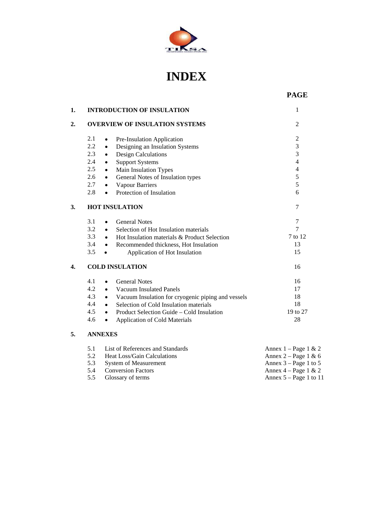

# **INDEX**

 **PAGE** 

|               |           | <b>INTRODUCTION OF INSULATION</b>     |                |
|---------------|-----------|---------------------------------------|----------------|
|               |           | <b>OVERVIEW OF INSULATION SYSTEMS</b> | $\mathfrak{D}$ |
| 2.1           | $\bullet$ | Pre-Insulation Application            | $\mathfrak{D}$ |
| $2.2^{\circ}$ | $\bullet$ | Designing an Insulation Systems       | 3              |
| 2.3           | $\bullet$ | Design Calculations                   | 3              |
| 2.4           | $\bullet$ | <b>Support Systems</b>                |                |
| $2.5^{\circ}$ | $\bullet$ | Main Insulation Types                 |                |
| $2.6^{\circ}$ | $\bullet$ | General Notes of Insulation types     |                |
| 2.7           | $\bullet$ | Vapour Barriers                       |                |
| 2.8           | $\bullet$ | Protection of Insulation              |                |

# **3. HOT INSULATION** 7

|    | 3.1 | <b>General Notes</b><br>$\bullet$                               |          |
|----|-----|-----------------------------------------------------------------|----------|
|    | 3.2 | Selection of Hot Insulation materials<br>$\bullet$              |          |
|    | 3.3 | Hot Insulation materials & Product Selection<br>$\bullet$       | 7 to 12  |
|    | 3.4 | Recommended thickness, Hot Insulation<br>$\bullet$              | 13       |
|    | 3.5 | Application of Hot Insulation                                   | 15       |
| 4. |     | <b>COLD INSULATION</b>                                          | 16       |
|    | 4.1 | <b>General Notes</b>                                            | 16       |
|    | 4.2 | Vacuum Insulated Panels<br>$\bullet$                            | 17       |
|    | 4.3 | Vacuum Insulation for cryogenic piping and vessels<br>$\bullet$ | 18       |
|    | 4.4 | Selection of Cold Insulation materials<br>$\bullet$             | 18       |
|    | 4.5 | Product Selection Guide – Cold Insulation<br>$\bullet$          | 19 to 27 |
|    | 4.6 | <b>Application of Cold Materials</b>                            | 28       |

# **5. ANNEXES**

 $\overline{4}$ .

|     | 5.1 List of References and Standards | Annex $1 - Page 1 \& 2$  |
|-----|--------------------------------------|--------------------------|
| 5.2 | Heat Loss/Gain Calculations          | Annex 2 – Page 1 & 6     |
|     | 5.3 System of Measurement            | Annex $3 - Page 1$ to 5  |
|     | 5.4 Conversion Factors               | Annex $4 - Page 1 \& 2$  |
|     | 5.5 Glossary of terms                | Annex $5 - Page 1$ to 11 |
|     |                                      |                          |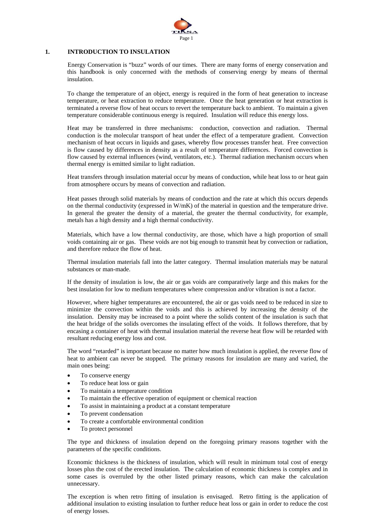

# **1. INTRODUCTION TO INSULATION**

Energy Conservation is "buzz" words of our times. There are many forms of energy conservation and this handbook is only concerned with the methods of conserving energy by means of thermal insulation.

To change the temperature of an object, energy is required in the form of heat generation to increase temperature, or heat extraction to reduce temperature. Once the heat generation or heat extraction is terminated a reverse flow of heat occurs to revert the temperature back to ambient. To maintain a given temperature considerable continuous energy is required. Insulation will reduce this energy loss.

Heat may be transferred in three mechanisms: conduction, convection and radiation. Thermal conduction is the molecular transport of heat under the effect of a temperature gradient. Convection mechanism of heat occurs in liquids and gases, whereby flow processes transfer heat. Free convection is flow caused by differences in density as a result of temperature differences. Forced convection is flow caused by external influences (wind, ventilators, etc.). Thermal radiation mechanism occurs when thermal energy is emitted similar to light radiation.

Heat transfers through insulation material occur by means of conduction, while heat loss to or heat gain from atmosphere occurs by means of convection and radiation.

Heat passes through solid materials by means of conduction and the rate at which this occurs depends on the thermal conductivity (expressed in W/mK) of the material in question and the temperature drive. In general the greater the density of a material, the greater the thermal conductivity, for example, metals has a high density and a high thermal conductivity.

Materials, which have a low thermal conductivity, are those, which have a high proportion of small voids containing air or gas. These voids are not big enough to transmit heat by convection or radiation, and therefore reduce the flow of heat.

Thermal insulation materials fall into the latter category. Thermal insulation materials may be natural substances or man-made.

If the density of insulation is low, the air or gas voids are comparatively large and this makes for the best insulation for low to medium temperatures where compression and/or vibration is not a factor.

However, where higher temperatures are encountered, the air or gas voids need to be reduced in size to minimize the convection within the voids and this is achieved by increasing the density of the insulation. Density may be increased to a point where the solids content of the insulation is such that the heat bridge of the solids overcomes the insulating effect of the voids. It follows therefore, that by encasing a container of heat with thermal insulation material the reverse heat flow will be retarded with resultant reducing energy loss and cost.

The word "retarded" is important because no matter how much insulation is applied, the reverse flow of heat to ambient can never be stopped. The primary reasons for insulation are many and varied, the main ones being:

- To conserve energy
- To reduce heat loss or gain
- To maintain a temperature condition
- To maintain the effective operation of equipment or chemical reaction
- To assist in maintaining a product at a constant temperature
- To prevent condensation
- To create a comfortable environmental condition
- To protect personnel

The type and thickness of insulation depend on the foregoing primary reasons together with the parameters of the specific conditions.

Economic thickness is the thickness of insulation, which will result in minimum total cost of energy losses plus the cost of the erected insulation. The calculation of economic thickness is complex and in some cases is overruled by the other listed primary reasons, which can make the calculation unnecessary.

The exception is when retro fitting of insulation is envisaged. Retro fitting is the application of additional insulation to existing insulation to further reduce heat loss or gain in order to reduce the cost of energy losses.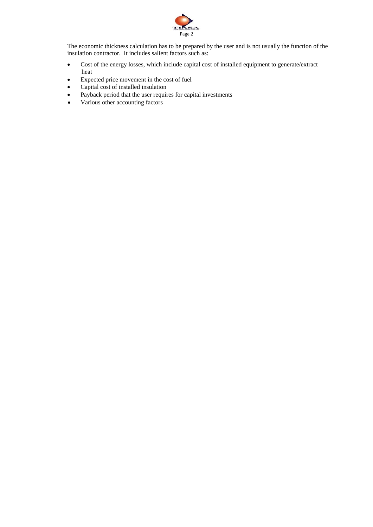

The economic thickness calculation has to be prepared by the user and is not usually the function of the insulation contractor. It includes salient factors such as:

- Cost of the energy losses, which include capital cost of installed equipment to generate/extract heat
- Expected price movement in the cost of fuel
- Capital cost of installed insulation
- Payback period that the user requires for capital investments
- Various other accounting factors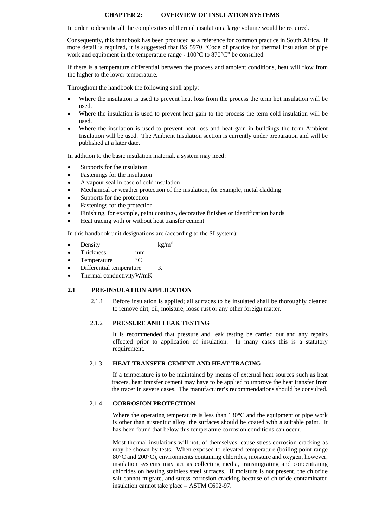# **CHAPTER 2: OVERVIEW OF INSULATION SYSTEMS**

In order to describe all the complexities of thermal insulation a large volume would be required.

 Consequently, this handbook has been produced as a reference for common practice in South Africa. If more detail is required, it is suggested that BS 5970 "Code of practice for thermal insulation of pipe work and equipment in the temperature range - 100°C to 870°C" be consulted.

 If there is a temperature differential between the process and ambient conditions, heat will flow from the higher to the lower temperature.

Throughout the handbook the following shall apply:

- Where the insulation is used to prevent heat loss from the process the term hot insulation will be used.
- Where the insulation is used to prevent heat gain to the process the term cold insulation will be used.
- Where the insulation is used to prevent heat loss and heat gain in buildings the term Ambient Insulation will be used. The Ambient Insulation section is currently under preparation and will be published at a later date.

In addition to the basic insulation material, a system may need:

- Supports for the insulation
- Fastenings for the insulation
- A vapour seal in case of cold insulation
- Mechanical or weather protection of the insulation, for example, metal cladding
- Supports for the protection
- Fastenings for the protection
- Finishing, for example, paint coatings, decorative finishes or identification bands
- Heat tracing with or without heat transfer cement

In this handbook unit designations are (according to the SI system):

- Density  $kg/m<sup>3</sup>$
- Thickness mm
- Temperature <sup>o</sup>C
- Differential temperature K
- Thermal conductivity W/mK

#### **2.1 PRE-INSULATION APPLICATION**

 2.1.1 Before insulation is applied; all surfaces to be insulated shall be thoroughly cleaned to remove dirt, oil, moisture, loose rust or any other foreign matter.

#### 2.1.2 **PRESSURE AND LEAK TESTING**

It is recommended that pressure and leak testing be carried out and any repairs effected prior to application of insulation. In many cases this is a statutory requirement.

#### 2.1.3 **HEAT TRANSFER CEMENT AND HEAT TRACING**

If a temperature is to be maintained by means of external heat sources such as heat tracers, heat transfer cement may have to be applied to improve the heat transfer from the tracer in severe cases. The manufacturer's recommendations should be consulted.

# 2.1.4 **CORROSION PROTECTION**

Where the operating temperature is less than 130 °C and the equipment or pipe work is other than austenitic alloy, the surfaces should be coated with a suitable paint. It has been found that below this temperature corrosion conditions can occur.

Most thermal insulations will not, of themselves, cause stress corrosion cracking as may be shown by tests. When exposed to elevated temperature (boiling point range 80°C and 200°C), environments containing chlorides, moisture and oxygen, however, insulation systems may act as collecting media, transmigrating and concentrating chlorides on heating stainless steel surfaces. If moisture is not present, the chloride salt cannot migrate, and stress corrosion cracking because of chloride contaminated insulation cannot take place – ASTM C692-97.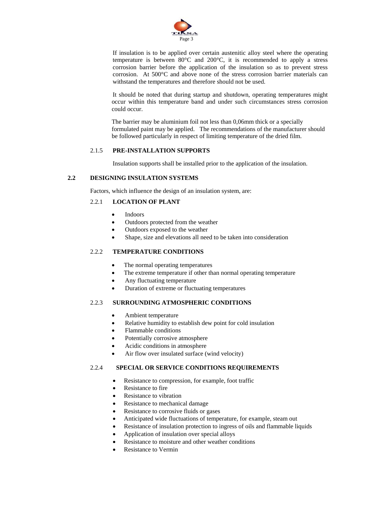

If insulation is to be applied over certain austenitic alloy steel where the operating temperature is between 80°C and 200°C, it is recommended to apply a stress corrosion barrier before the application of the insulation so as to prevent stress corrosion. At 500°C and above none of the stress corrosion barrier materials can withstand the temperatures and therefore should not be used.

 It should be noted that during startup and shutdown, operating temperatures might occur within this temperature band and under such circumstances stress corrosion could occur.

The barrier may be aluminium foil not less than 0,06mm thick or a specially formulated paint may be applied. The recommendations of the manufacturer should be followed particularly in respect of limiting temperature of the dried film.

# 2.1.5 **PRE-INSTALLATION SUPPORTS**

Insulation supports shall be installed prior to the application of the insulation.

# **2.2 DESIGNING INSULATION SYSTEMS**

Factors, which influence the design of an insulation system, are:

# 2.2.1 **LOCATION OF PLANT**

- **Indoors**
- Outdoors protected from the weather
- Outdoors exposed to the weather
- Shape, size and elevations all need to be taken into consideration

# 2.2.2 **TEMPERATURE CONDITIONS**

- The normal operating temperatures
- The extreme temperature if other than normal operating temperature
- Any fluctuating temperature
- Duration of extreme or fluctuating temperatures

# 2.2.3 **SURROUNDING ATMOSPHERIC CONDITIONS**

- Ambient temperature
- Relative humidity to establish dew point for cold insulation
- Flammable conditions
- Potentially corrosive atmosphere
- Acidic conditions in atmosphere
- Air flow over insulated surface (wind velocity)

# 2.2.4 **SPECIAL OR SERVICE CONDITIONS REQUIREMENTS**

- Resistance to compression, for example, foot traffic
- Resistance to fire
- Resistance to vibration
- Resistance to mechanical damage
- Resistance to corrosive fluids or gases
- Anticipated wide fluctuations of temperature, for example, steam out
- Resistance of insulation protection to ingress of oils and flammable liquids
- Application of insulation over special alloys
- Resistance to moisture and other weather conditions
- Resistance to Vermin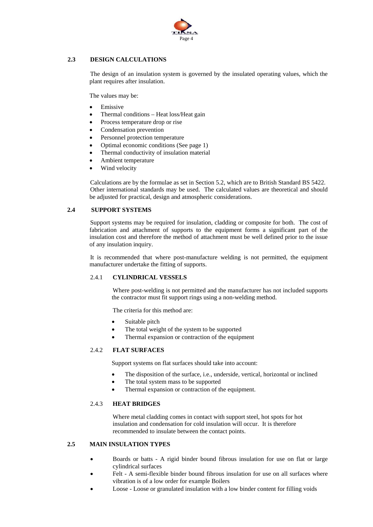

# **2.3 DESIGN CALCULATIONS**

The design of an insulation system is governed by the insulated operating values, which the plant requires after insulation.

The values may be:

- **Emissive**
- Thermal conditions Heat loss/Heat gain
- Process temperature drop or rise
- Condensation prevention
- Personnel protection temperature
- Optimal economic conditions (See page 1)
- Thermal conductivity of insulation material
- Ambient temperature
- Wind velocity

 Calculations are by the formulae as set in Section 5.2, which are to British Standard BS 5422. Other international standards may be used. The calculated values are theoretical and should be adjusted for practical, design and atmospheric considerations.

# **2.4 SUPPORT SYSTEMS**

Support systems may be required for insulation, cladding or composite for both. The cost of fabrication and attachment of supports to the equipment forms a significant part of the insulation cost and therefore the method of attachment must be well defined prior to the issue of any insulation inquiry.

It is recommended that where post-manufacture welding is not permitted, the equipment manufacturer undertake the fitting of supports.

# 2.4.1 **CYLINDRICAL VESSELS**

Where post-welding is not permitted and the manufacturer has not included supports the contractor must fit support rings using a non-welding method.

The criteria for this method are:

- Suitable pitch
- The total weight of the system to be supported
- Thermal expansion or contraction of the equipment

# 2.4.2 **FLAT SURFACES**

Support systems on flat surfaces should take into account:

- The disposition of the surface, i.e., underside, vertical, horizontal or inclined
- The total system mass to be supported
- Thermal expansion or contraction of the equipment.

# 2.4.3 **HEAT BRIDGES**

Where metal cladding comes in contact with support steel, hot spots for hot insulation and condensation for cold insulation will occur. It is therefore recommended to insulate between the contact points.

# **2.5 MAIN INSULATION TYPES**

- Boards or batts A rigid binder bound fibrous insulation for use on flat or large cylindrical surfaces
- Felt A semi-flexible binder bound fibrous insulation for use on all surfaces where vibration is of a low order for example Boilers
- Loose Loose or granulated insulation with a low binder content for filling voids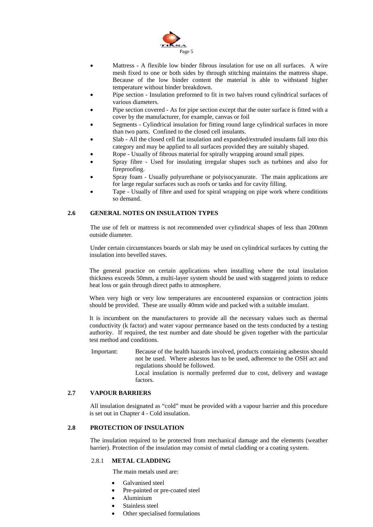

- Mattress A flexible low binder fibrous insulation for use on all surfaces. A wire mesh fixed to one or both sides by through stitching maintains the mattress shape. Because of the low binder content the material is able to withstand higher temperature without binder breakdown.
- Pipe section Insulation preformed to fit in two halves round cylindrical surfaces of various diameters.
- Pipe section covered As for pipe section except that the outer surface is fitted with a cover by the manufacturer, for example, canvas or foil
- Segments Cylindrical insulation for fitting round large cylindrical surfaces in more than two parts. Confined to the closed cell insulants.
- Slab All the closed cell flat insulation and expanded/extruded insulants fall into this category and may be applied to all surfaces provided they are suitably shaped.
- Rope Usually of fibrous material for spirally wrapping around small pipes.
- Spray fibre Used for insulating irregular shapes such as turbines and also for fireproofing.
- Spray foam Usually polyurethane or polyisocyanurate. The main applications are for large regular surfaces such as roofs or tanks and for cavity filling.
- Tape Usually of fibre and used for spiral wrapping on pipe work where conditions so demand.

## **2.6 GENERAL NOTES ON INSULATION TYPES**

The use of felt or mattress is not recommended over cylindrical shapes of less than 200mm outside diameter.

Under certain circumstances boards or slab may be used on cylindrical surfaces by cutting the insulation into bevelled staves.

The general practice on certain applications when installing where the total insulation thickness exceeds 50mm, a multi-layer system should be used with staggered joints to reduce heat loss or gain through direct paths to atmosphere.

When very high or very low temperatures are encountered expansion or contraction joints should be provided. These are usually 40mm wide and packed with a suitable insulant.

It is incumbent on the manufacturers to provide all the necessary values such as thermal conductivity (k factor) and water vapour permeance based on the tests conducted by a testing authority. If required, the test number and date should be given together with the particular test method and conditions.

Important: Because of the health hazards involved, products containing asbestos should not be used. Where asbestos has to be used, adherence to the OSH act and regulations should be followed. Local insulation is normally preferred due to cost, delivery and wastage factors.

#### **2.7 VAPOUR BARRIERS**

All insulation designated as "cold" must be provided with a vapour barrier and this procedure is set out in Chapter 4 - Cold insulation.

# **2.8 PROTECTION OF INSULATION**

The insulation required to be protected from mechanical damage and the elements (weather barrier). Protection of the insulation may consist of metal cladding or a coating system.

#### 2.8.1 **METAL CLADDING**

The main metals used are:

- Galvanised steel
- Pre-painted or pre-coated steel
- Aluminium
- Stainless steel
- Other specialised formulations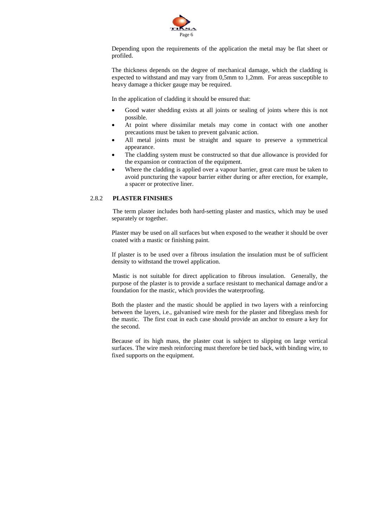

Depending upon the requirements of the application the metal may be flat sheet or profiled.

The thickness depends on the degree of mechanical damage, which the cladding is expected to withstand and may vary from 0,5mm to 1,2mm. For areas susceptible to heavy damage a thicker gauge may be required.

In the application of cladding it should be ensured that:

- Good water shedding exists at all joints or sealing of joints where this is not possible.
- At point where dissimilar metals may come in contact with one another precautions must be taken to prevent galvanic action.
- All metal joints must be straight and square to preserve a symmetrical appearance.
- The cladding system must be constructed so that due allowance is provided for the expansion or contraction of the equipment.
- Where the cladding is applied over a vapour barrier, great care must be taken to avoid puncturing the vapour barrier either during or after erection, for example, a spacer or protective liner.

# 2.8.2 **PLASTER FINISHES**

The term plaster includes both hard-setting plaster and mastics, which may be used separately or together.

Plaster may be used on all surfaces but when exposed to the weather it should be over coated with a mastic or finishing paint.

If plaster is to be used over a fibrous insulation the insulation must be of sufficient density to withstand the trowel application.

Mastic is not suitable for direct application to fibrous insulation. Generally, the purpose of the plaster is to provide a surface resistant to mechanical damage and/or a foundation for the mastic, which provides the waterproofing.

Both the plaster and the mastic should be applied in two layers with a reinforcing between the layers, i.e., galvanised wire mesh for the plaster and fibreglass mesh for the mastic. The first coat in each case should provide an anchor to ensure a key for the second.

Because of its high mass, the plaster coat is subject to slipping on large vertical surfaces. The wire mesh reinforcing must therefore be tied back, with binding wire, to fixed supports on the equipment.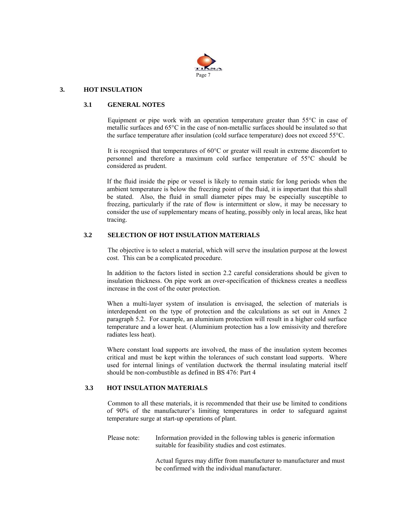

### **3. HOT INSULATION**

#### **3.1 GENERAL NOTES**

Equipment or pipe work with an operation temperature greater than 55°C in case of metallic surfaces and 65°C in the case of non-metallic surfaces should be insulated so that the surface temperature after insulation (cold surface temperature) does not exceed 55°C.

It is recognised that temperatures of 60°C or greater will result in extreme discomfort to personnel and therefore a maximum cold surface temperature of 55°C should be considered as prudent.

If the fluid inside the pipe or vessel is likely to remain static for long periods when the ambient temperature is below the freezing point of the fluid, it is important that this shall be stated. Also, the fluid in small diameter pipes may be especially susceptible to freezing, particularly if the rate of flow is intermittent or slow, it may be necessary to consider the use of supplementary means of heating, possibly only in local areas, like heat tracing.

# **3.2 SELECTION OF HOT INSULATION MATERIALS**

The objective is to select a material, which will serve the insulation purpose at the lowest cost. This can be a complicated procedure.

In addition to the factors listed in section 2.2 careful considerations should be given to insulation thickness. On pipe work an over-specification of thickness creates a needless increase in the cost of the outer protection.

When a multi-layer system of insulation is envisaged, the selection of materials is interdependent on the type of protection and the calculations as set out in Annex 2 paragraph 5.2. For example, an aluminium protection will result in a higher cold surface temperature and a lower heat. (Aluminium protection has a low emissivity and therefore radiates less heat).

Where constant load supports are involved, the mass of the insulation system becomes critical and must be kept within the tolerances of such constant load supports. Where used for internal linings of ventilation ductwork the thermal insulating material itself should be non-combustible as defined in BS 476: Part 4

# **3.3 HOT INSULATION MATERIALS**

 Common to all these materials, it is recommended that their use be limited to conditions of 90% of the manufacturer's limiting temperatures in order to safeguard against temperature surge at start-up operations of plant.

Please note: Information provided in the following tables is generic information suitable for feasibility studies and cost estimates.

> Actual figures may differ from manufacturer to manufacturer and must be confirmed with the individual manufacturer.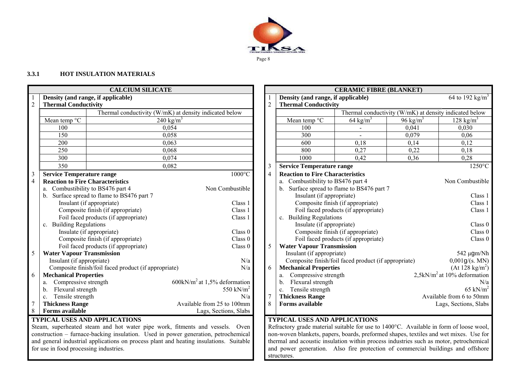

# **3.3.1 HOT INSULATION MATERIALS**

| Density (and range, if applicable)<br>Density (and range, if applicable)<br>$\overline{2}$<br><b>Thermal Conductivity</b><br>2<br><b>Thermal Conductivity</b><br>Thermal conductivity (W/mK) at density indicated below<br>Thermal conductivity (W/mK) at density indicated below<br>Mean temp °C<br>Mean temp °C<br>64 kg/m <sup>3</sup><br>96 kg/ $m3$<br>240 kg/m <sup>3</sup><br>$128 \text{ kg/m}^3$<br>0,054<br>100<br>100<br>0,041<br>0,030<br>150<br>0,058<br>300<br>0,079<br>0,06<br>200<br>600<br>0,12<br>0.063<br>0.18<br>0,14<br>250<br>0,22<br>0,068<br>800<br>0,27<br>0,18<br>$\overline{300}$<br>1000<br>0,28<br>0,074<br>0,36<br>0,42<br>350<br>0.082<br><b>Service Temperature range</b><br>3<br>$\frac{3}{4}$<br><b>Reaction to Fire Characteristics</b><br><b>Service Temperature range</b><br>$1000^{\circ}$ C<br>$\overline{4}$<br>Combustibility to BS476 part 4<br><b>Reaction to Fire Characteristics</b><br>a.<br>Surface spread to flame to BS476 part 7<br>Non Combustible<br>Combustibility to BS476 part 4<br>b <sub>1</sub><br>Surface spread to flame to BS476 part 7<br>Insulant (if appropriate)<br>Insulant (if appropriate)<br>Composite finish (if appropriate)<br>Class 1<br>Composite finish (if appropriate)<br>Class 1<br>Foil faced products (if appropriate)<br><b>Building Regulations</b><br>Foil faced products (if appropriate)<br>Class 1<br>$c_{\cdot}$<br><b>Building Regulations</b><br>Insulate (if appropriate)<br>c.<br>Composite finish (if appropriate)<br>Insulate (if appropriate)<br>Class 0<br>Composite finish (if appropriate)<br>Class 0<br>Foil faced products (if appropriate)<br>Foil faced products (if appropriate)<br>5<br><b>Water Vapour Transmission</b><br>Class 0<br>5<br>Insulant (if appropriate)<br>542 µgm/Nl<br><b>Water Vapour Transmission</b><br>Insulant (if appropriate)<br>N/a<br>Composite finish/foil faced product (if appropriate)<br>$0,001g$ /(s. MN<br>(At 128 kg/m <sup>2</sup> )<br><b>Mechanical Properties</b><br>Composite finish/foil faced product (if appropriate)<br>N/a<br>6<br>$2,5kN/m2$ at 10% deformation<br><b>Mechanical Properties</b><br>Compressive strength<br>6<br>a.<br>$600 \text{kN/m}^2$ at 1,5% deformation<br>Compressive strength<br>Flexural strength<br>b.<br>550 kN/ $m2$<br>Flexural strength<br>Tensile strength<br>$65$ kN/m<br>c.<br><b>Thickness Range</b><br>Tensile strength<br>$\overline{7}$<br>N/a<br>Available from 6 to 50mn<br>$\mathbf{C}$ .<br>$\overline{7}$<br>8<br><b>Thickness Range</b><br><b>Forms available</b><br>Available from 25 to 100mm<br>Lags, Sections, Slab<br><b>Forms available</b><br>8<br>Lags, Sections, Slabs |  | <b>CALCIUM SILICATE</b> |  | <b>CERAMIC FIBRE (BLANKET)</b> |  |                             |
|-------------------------------------------------------------------------------------------------------------------------------------------------------------------------------------------------------------------------------------------------------------------------------------------------------------------------------------------------------------------------------------------------------------------------------------------------------------------------------------------------------------------------------------------------------------------------------------------------------------------------------------------------------------------------------------------------------------------------------------------------------------------------------------------------------------------------------------------------------------------------------------------------------------------------------------------------------------------------------------------------------------------------------------------------------------------------------------------------------------------------------------------------------------------------------------------------------------------------------------------------------------------------------------------------------------------------------------------------------------------------------------------------------------------------------------------------------------------------------------------------------------------------------------------------------------------------------------------------------------------------------------------------------------------------------------------------------------------------------------------------------------------------------------------------------------------------------------------------------------------------------------------------------------------------------------------------------------------------------------------------------------------------------------------------------------------------------------------------------------------------------------------------------------------------------------------------------------------------------------------------------------------------------------------------------------------------------------------------------------------------------------------------------------------------------------------------------------------------------------------------------------------------------------------------------------------------------------------------------------------------------------------------------------------------------|--|-------------------------|--|--------------------------------|--|-----------------------------|
|                                                                                                                                                                                                                                                                                                                                                                                                                                                                                                                                                                                                                                                                                                                                                                                                                                                                                                                                                                                                                                                                                                                                                                                                                                                                                                                                                                                                                                                                                                                                                                                                                                                                                                                                                                                                                                                                                                                                                                                                                                                                                                                                                                                                                                                                                                                                                                                                                                                                                                                                                                                                                                                                               |  |                         |  |                                |  | $\overline{64}$ to 192 kg/m |
|                                                                                                                                                                                                                                                                                                                                                                                                                                                                                                                                                                                                                                                                                                                                                                                                                                                                                                                                                                                                                                                                                                                                                                                                                                                                                                                                                                                                                                                                                                                                                                                                                                                                                                                                                                                                                                                                                                                                                                                                                                                                                                                                                                                                                                                                                                                                                                                                                                                                                                                                                                                                                                                                               |  |                         |  |                                |  |                             |
|                                                                                                                                                                                                                                                                                                                                                                                                                                                                                                                                                                                                                                                                                                                                                                                                                                                                                                                                                                                                                                                                                                                                                                                                                                                                                                                                                                                                                                                                                                                                                                                                                                                                                                                                                                                                                                                                                                                                                                                                                                                                                                                                                                                                                                                                                                                                                                                                                                                                                                                                                                                                                                                                               |  |                         |  |                                |  |                             |
|                                                                                                                                                                                                                                                                                                                                                                                                                                                                                                                                                                                                                                                                                                                                                                                                                                                                                                                                                                                                                                                                                                                                                                                                                                                                                                                                                                                                                                                                                                                                                                                                                                                                                                                                                                                                                                                                                                                                                                                                                                                                                                                                                                                                                                                                                                                                                                                                                                                                                                                                                                                                                                                                               |  |                         |  |                                |  |                             |
|                                                                                                                                                                                                                                                                                                                                                                                                                                                                                                                                                                                                                                                                                                                                                                                                                                                                                                                                                                                                                                                                                                                                                                                                                                                                                                                                                                                                                                                                                                                                                                                                                                                                                                                                                                                                                                                                                                                                                                                                                                                                                                                                                                                                                                                                                                                                                                                                                                                                                                                                                                                                                                                                               |  |                         |  |                                |  |                             |
|                                                                                                                                                                                                                                                                                                                                                                                                                                                                                                                                                                                                                                                                                                                                                                                                                                                                                                                                                                                                                                                                                                                                                                                                                                                                                                                                                                                                                                                                                                                                                                                                                                                                                                                                                                                                                                                                                                                                                                                                                                                                                                                                                                                                                                                                                                                                                                                                                                                                                                                                                                                                                                                                               |  |                         |  |                                |  |                             |
|                                                                                                                                                                                                                                                                                                                                                                                                                                                                                                                                                                                                                                                                                                                                                                                                                                                                                                                                                                                                                                                                                                                                                                                                                                                                                                                                                                                                                                                                                                                                                                                                                                                                                                                                                                                                                                                                                                                                                                                                                                                                                                                                                                                                                                                                                                                                                                                                                                                                                                                                                                                                                                                                               |  |                         |  |                                |  |                             |
|                                                                                                                                                                                                                                                                                                                                                                                                                                                                                                                                                                                                                                                                                                                                                                                                                                                                                                                                                                                                                                                                                                                                                                                                                                                                                                                                                                                                                                                                                                                                                                                                                                                                                                                                                                                                                                                                                                                                                                                                                                                                                                                                                                                                                                                                                                                                                                                                                                                                                                                                                                                                                                                                               |  |                         |  |                                |  |                             |
|                                                                                                                                                                                                                                                                                                                                                                                                                                                                                                                                                                                                                                                                                                                                                                                                                                                                                                                                                                                                                                                                                                                                                                                                                                                                                                                                                                                                                                                                                                                                                                                                                                                                                                                                                                                                                                                                                                                                                                                                                                                                                                                                                                                                                                                                                                                                                                                                                                                                                                                                                                                                                                                                               |  |                         |  |                                |  |                             |
|                                                                                                                                                                                                                                                                                                                                                                                                                                                                                                                                                                                                                                                                                                                                                                                                                                                                                                                                                                                                                                                                                                                                                                                                                                                                                                                                                                                                                                                                                                                                                                                                                                                                                                                                                                                                                                                                                                                                                                                                                                                                                                                                                                                                                                                                                                                                                                                                                                                                                                                                                                                                                                                                               |  |                         |  |                                |  | 1250°C                      |
|                                                                                                                                                                                                                                                                                                                                                                                                                                                                                                                                                                                                                                                                                                                                                                                                                                                                                                                                                                                                                                                                                                                                                                                                                                                                                                                                                                                                                                                                                                                                                                                                                                                                                                                                                                                                                                                                                                                                                                                                                                                                                                                                                                                                                                                                                                                                                                                                                                                                                                                                                                                                                                                                               |  |                         |  |                                |  |                             |
|                                                                                                                                                                                                                                                                                                                                                                                                                                                                                                                                                                                                                                                                                                                                                                                                                                                                                                                                                                                                                                                                                                                                                                                                                                                                                                                                                                                                                                                                                                                                                                                                                                                                                                                                                                                                                                                                                                                                                                                                                                                                                                                                                                                                                                                                                                                                                                                                                                                                                                                                                                                                                                                                               |  |                         |  |                                |  | Non Combustibl              |
|                                                                                                                                                                                                                                                                                                                                                                                                                                                                                                                                                                                                                                                                                                                                                                                                                                                                                                                                                                                                                                                                                                                                                                                                                                                                                                                                                                                                                                                                                                                                                                                                                                                                                                                                                                                                                                                                                                                                                                                                                                                                                                                                                                                                                                                                                                                                                                                                                                                                                                                                                                                                                                                                               |  |                         |  |                                |  |                             |
|                                                                                                                                                                                                                                                                                                                                                                                                                                                                                                                                                                                                                                                                                                                                                                                                                                                                                                                                                                                                                                                                                                                                                                                                                                                                                                                                                                                                                                                                                                                                                                                                                                                                                                                                                                                                                                                                                                                                                                                                                                                                                                                                                                                                                                                                                                                                                                                                                                                                                                                                                                                                                                                                               |  |                         |  |                                |  | Class                       |
|                                                                                                                                                                                                                                                                                                                                                                                                                                                                                                                                                                                                                                                                                                                                                                                                                                                                                                                                                                                                                                                                                                                                                                                                                                                                                                                                                                                                                                                                                                                                                                                                                                                                                                                                                                                                                                                                                                                                                                                                                                                                                                                                                                                                                                                                                                                                                                                                                                                                                                                                                                                                                                                                               |  |                         |  |                                |  | Class <sup>1</sup>          |
|                                                                                                                                                                                                                                                                                                                                                                                                                                                                                                                                                                                                                                                                                                                                                                                                                                                                                                                                                                                                                                                                                                                                                                                                                                                                                                                                                                                                                                                                                                                                                                                                                                                                                                                                                                                                                                                                                                                                                                                                                                                                                                                                                                                                                                                                                                                                                                                                                                                                                                                                                                                                                                                                               |  |                         |  |                                |  | Class                       |
|                                                                                                                                                                                                                                                                                                                                                                                                                                                                                                                                                                                                                                                                                                                                                                                                                                                                                                                                                                                                                                                                                                                                                                                                                                                                                                                                                                                                                                                                                                                                                                                                                                                                                                                                                                                                                                                                                                                                                                                                                                                                                                                                                                                                                                                                                                                                                                                                                                                                                                                                                                                                                                                                               |  |                         |  |                                |  |                             |
|                                                                                                                                                                                                                                                                                                                                                                                                                                                                                                                                                                                                                                                                                                                                                                                                                                                                                                                                                                                                                                                                                                                                                                                                                                                                                                                                                                                                                                                                                                                                                                                                                                                                                                                                                                                                                                                                                                                                                                                                                                                                                                                                                                                                                                                                                                                                                                                                                                                                                                                                                                                                                                                                               |  |                         |  |                                |  | Class <sup>(</sup>          |
|                                                                                                                                                                                                                                                                                                                                                                                                                                                                                                                                                                                                                                                                                                                                                                                                                                                                                                                                                                                                                                                                                                                                                                                                                                                                                                                                                                                                                                                                                                                                                                                                                                                                                                                                                                                                                                                                                                                                                                                                                                                                                                                                                                                                                                                                                                                                                                                                                                                                                                                                                                                                                                                                               |  |                         |  |                                |  | Class <sup>(</sup>          |
|                                                                                                                                                                                                                                                                                                                                                                                                                                                                                                                                                                                                                                                                                                                                                                                                                                                                                                                                                                                                                                                                                                                                                                                                                                                                                                                                                                                                                                                                                                                                                                                                                                                                                                                                                                                                                                                                                                                                                                                                                                                                                                                                                                                                                                                                                                                                                                                                                                                                                                                                                                                                                                                                               |  |                         |  |                                |  | Class <sup>(</sup>          |
|                                                                                                                                                                                                                                                                                                                                                                                                                                                                                                                                                                                                                                                                                                                                                                                                                                                                                                                                                                                                                                                                                                                                                                                                                                                                                                                                                                                                                                                                                                                                                                                                                                                                                                                                                                                                                                                                                                                                                                                                                                                                                                                                                                                                                                                                                                                                                                                                                                                                                                                                                                                                                                                                               |  |                         |  |                                |  |                             |
|                                                                                                                                                                                                                                                                                                                                                                                                                                                                                                                                                                                                                                                                                                                                                                                                                                                                                                                                                                                                                                                                                                                                                                                                                                                                                                                                                                                                                                                                                                                                                                                                                                                                                                                                                                                                                                                                                                                                                                                                                                                                                                                                                                                                                                                                                                                                                                                                                                                                                                                                                                                                                                                                               |  |                         |  |                                |  |                             |
|                                                                                                                                                                                                                                                                                                                                                                                                                                                                                                                                                                                                                                                                                                                                                                                                                                                                                                                                                                                                                                                                                                                                                                                                                                                                                                                                                                                                                                                                                                                                                                                                                                                                                                                                                                                                                                                                                                                                                                                                                                                                                                                                                                                                                                                                                                                                                                                                                                                                                                                                                                                                                                                                               |  |                         |  |                                |  |                             |
|                                                                                                                                                                                                                                                                                                                                                                                                                                                                                                                                                                                                                                                                                                                                                                                                                                                                                                                                                                                                                                                                                                                                                                                                                                                                                                                                                                                                                                                                                                                                                                                                                                                                                                                                                                                                                                                                                                                                                                                                                                                                                                                                                                                                                                                                                                                                                                                                                                                                                                                                                                                                                                                                               |  |                         |  |                                |  |                             |
|                                                                                                                                                                                                                                                                                                                                                                                                                                                                                                                                                                                                                                                                                                                                                                                                                                                                                                                                                                                                                                                                                                                                                                                                                                                                                                                                                                                                                                                                                                                                                                                                                                                                                                                                                                                                                                                                                                                                                                                                                                                                                                                                                                                                                                                                                                                                                                                                                                                                                                                                                                                                                                                                               |  |                         |  |                                |  |                             |
|                                                                                                                                                                                                                                                                                                                                                                                                                                                                                                                                                                                                                                                                                                                                                                                                                                                                                                                                                                                                                                                                                                                                                                                                                                                                                                                                                                                                                                                                                                                                                                                                                                                                                                                                                                                                                                                                                                                                                                                                                                                                                                                                                                                                                                                                                                                                                                                                                                                                                                                                                                                                                                                                               |  |                         |  |                                |  | N/                          |
|                                                                                                                                                                                                                                                                                                                                                                                                                                                                                                                                                                                                                                                                                                                                                                                                                                                                                                                                                                                                                                                                                                                                                                                                                                                                                                                                                                                                                                                                                                                                                                                                                                                                                                                                                                                                                                                                                                                                                                                                                                                                                                                                                                                                                                                                                                                                                                                                                                                                                                                                                                                                                                                                               |  |                         |  |                                |  |                             |
|                                                                                                                                                                                                                                                                                                                                                                                                                                                                                                                                                                                                                                                                                                                                                                                                                                                                                                                                                                                                                                                                                                                                                                                                                                                                                                                                                                                                                                                                                                                                                                                                                                                                                                                                                                                                                                                                                                                                                                                                                                                                                                                                                                                                                                                                                                                                                                                                                                                                                                                                                                                                                                                                               |  |                         |  |                                |  |                             |
|                                                                                                                                                                                                                                                                                                                                                                                                                                                                                                                                                                                                                                                                                                                                                                                                                                                                                                                                                                                                                                                                                                                                                                                                                                                                                                                                                                                                                                                                                                                                                                                                                                                                                                                                                                                                                                                                                                                                                                                                                                                                                                                                                                                                                                                                                                                                                                                                                                                                                                                                                                                                                                                                               |  |                         |  |                                |  |                             |
| TVDICAL HEEE AND ADDI ICATIONE<br>TVDICAL HERE AND ADDI ICATIONE                                                                                                                                                                                                                                                                                                                                                                                                                                                                                                                                                                                                                                                                                                                                                                                                                                                                                                                                                                                                                                                                                                                                                                                                                                                                                                                                                                                                                                                                                                                                                                                                                                                                                                                                                                                                                                                                                                                                                                                                                                                                                                                                                                                                                                                                                                                                                                                                                                                                                                                                                                                                              |  |                         |  |                                |  |                             |

# **TYPICAL USES AND APPLICATIONS**

Steam, superheated steam and hot water pipe work, fitments and vessels. Oven construction – furnace-backing insulation. Used in power generation, petrochemical and general industrial applications on process plant and heating insulations. Suitable for use in food processing industries.

| <b>CALCIUM SILICATE</b> |                                            |                                                        |                                          |                           |                                         | <b>CERAMIC FIBRE (BLANKET)</b>                       |                      |                                                        |
|-------------------------|--------------------------------------------|--------------------------------------------------------|------------------------------------------|---------------------------|-----------------------------------------|------------------------------------------------------|----------------------|--------------------------------------------------------|
|                         |                                            | Density (and range, if applicable)                     |                                          |                           | Density (and range, if applicable)      |                                                      |                      | 64 to 192 kg/m <sup>3</sup>                            |
|                         | <b>Thermal Conductivity</b>                |                                                        |                                          | $\overline{2}$            | <b>Thermal Conductivity</b>             |                                                      |                      |                                                        |
|                         |                                            | Thermal conductivity (W/mK) at density indicated below |                                          |                           |                                         |                                                      |                      | Thermal conductivity (W/mK) at density indicated below |
|                         | Mean temp $\mathrm{C}$                     | 240 kg/m <sup>3</sup>                                  |                                          |                           | Mean temp $\mathrm{C}$                  | 64 kg/m <sup>3</sup>                                 | 96 kg/m <sup>3</sup> | $128 \text{ kg/m}^3$                                   |
|                         | 100                                        | 0,054                                                  |                                          |                           | 100                                     |                                                      | 0,041                | 0,030                                                  |
|                         | 150                                        | 0,058                                                  |                                          |                           | 300                                     | $\sim$                                               | 0,079                | 0,06                                                   |
|                         | 200                                        | 0,063                                                  |                                          |                           | 600                                     | 0,18                                                 | 0,14                 | 0,12                                                   |
|                         | 250                                        | 0,068                                                  |                                          |                           | 800                                     | 0,27                                                 | 0,22                 | 0,18                                                   |
|                         | 300                                        | 0,074                                                  |                                          |                           | 1000                                    | 0,42                                                 | 0,36                 | 0,28                                                   |
|                         | 350                                        | 0,082                                                  |                                          | 3                         | <b>Service Temperature range</b>        |                                                      |                      | 1250°C                                                 |
|                         | <b>Service Temperature range</b>           |                                                        | 1000°C                                   | $\overline{4}$            | <b>Reaction to Fire Characteristics</b> |                                                      |                      |                                                        |
| 4                       | <b>Reaction to Fire Characteristics</b>    |                                                        |                                          |                           | Combustibility to BS476 part 4<br>a.    |                                                      |                      | Non Combustible                                        |
|                         | a.                                         | Combustibility to BS476 part 4                         | Non Combustible                          |                           |                                         | Surface spread to flame to BS476 part 7              |                      |                                                        |
|                         | b. Surface spread to flame to BS476 part 7 |                                                        |                                          | Insulant (if appropriate) |                                         |                                                      | Class 1              |                                                        |
|                         |                                            | Insulant (if appropriate)                              | Class 1                                  |                           |                                         | Composite finish (if appropriate)                    |                      | Class 1                                                |
|                         |                                            | Composite finish (if appropriate)                      | Class 1                                  |                           |                                         | Foil faced products (if appropriate)                 |                      | Class 1                                                |
|                         |                                            | Foil faced products (if appropriate)                   | Class 1                                  |                           | c. Building Regulations                 |                                                      |                      |                                                        |
|                         | c. Building Regulations                    |                                                        |                                          |                           | Insulate (if appropriate)               |                                                      |                      | Class 0                                                |
|                         |                                            | Insulate (if appropriate)                              | Class 0                                  |                           |                                         | Composite finish (if appropriate)                    |                      | Class 0                                                |
|                         |                                            | Composite finish (if appropriate)                      | Class 0                                  |                           |                                         | Foil faced products (if appropriate)                 |                      | Class 0                                                |
|                         |                                            | Foil faced products (if appropriate)                   | Class 0                                  | 5                         | <b>Water Vapour Transmission</b>        |                                                      |                      |                                                        |
| 5                       | <b>Water Vapour Transmission</b>           |                                                        |                                          |                           | Insulant (if appropriate)               |                                                      |                      | $542 \mu$ gm/Nh                                        |
|                         | Insulant (if appropriate)                  |                                                        | N/a                                      |                           |                                         | Composite finish/foil faced product (if appropriate) |                      | 0,001g/(s. MN)                                         |
|                         |                                            | Composite finish/foil faced product (if appropriate)   | N/a                                      | 6                         | <b>Mechanical Properties</b>            |                                                      |                      | (At 128 kg/m <sup>2</sup> )                            |
| 6                       | <b>Mechanical Properties</b>               |                                                        |                                          |                           | Compressive strength<br>a.              |                                                      |                      | 2,5kN/ $m2$ at 10% deformation                         |
|                         | Compressive strength                       |                                                        | 600kN/m <sup>2</sup> at 1,5% deformation |                           | Flexural strength<br>b                  |                                                      |                      | N/a                                                    |
|                         | Flexural strength<br>b.                    |                                                        | 550 kN/ $m^2$                            |                           | Tensile strength<br>c.                  |                                                      |                      | 65 kN/ $m2$                                            |
|                         | Tensile strength<br>$c_{\cdot}$            |                                                        | N/a<br>Available from 25 to 100mm        | $\overline{7}$<br>8       | <b>Thickness Range</b>                  |                                                      |                      | Available from 6 to 50mm                               |
| Q                       | <b>Thickness Range</b><br>Forme ovojlabla  |                                                        | Lage Sections Slabe                      |                           | <b>Forms available</b>                  |                                                      |                      | Lags, Sections, Slabs                                  |

# **TYPICAL USES AND APPLICATIONS**

Refractory grade material suitable for use to 1400°C. Available in form of loose wool, non-woven blankets, papers, boards, preformed shapes, textiles and wet mixes. Use for thermal and acoustic insulation within process industries such as motor, petrochemical and power generation. Also fire protection of commercial buildings and offshore structures.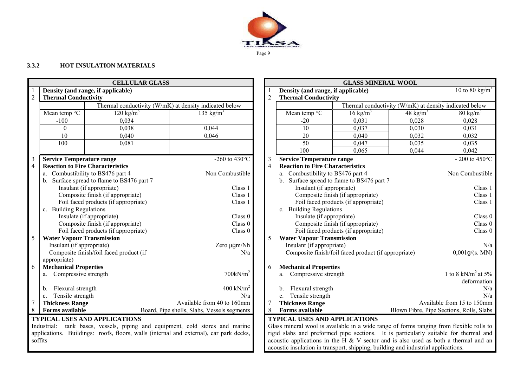

# **3.3.2 HOT INSULATION MATERIALS**

|                |                                         | <b>CELLULAR GLASS</b>                   |                                                                                        |                |                                                                                         | <b>GLASS MINERAL WOOL</b>                            |                                                        |                                          |
|----------------|-----------------------------------------|-----------------------------------------|----------------------------------------------------------------------------------------|----------------|-----------------------------------------------------------------------------------------|------------------------------------------------------|--------------------------------------------------------|------------------------------------------|
|                | Density (and range, if applicable)      |                                         |                                                                                        |                | Density (and range, if applicable)                                                      |                                                      |                                                        | 10 to 80 kg/m <sup>3</sup>               |
| $\overline{2}$ | <b>Thermal Conductivity</b>             |                                         |                                                                                        | $\overline{2}$ | <b>Thermal Conductivity</b>                                                             |                                                      |                                                        |                                          |
|                |                                         |                                         | Thermal conductivity (W/mK) at density indicated below                                 |                |                                                                                         |                                                      | Thermal conductivity (W/mK) at density indicated below |                                          |
|                | Mean temp °C                            | $120 \text{ kg/m}^3$                    | 135 kg/ $m3$                                                                           |                | Mean temp °C                                                                            | $16 \text{ kg/m}^3$                                  | 48 kg/ $m3$                                            | $80 \text{ kg/m}^3$                      |
|                | $-100$                                  | 0,034                                   |                                                                                        |                | $-20$                                                                                   | 0,031                                                | 0,028                                                  | 0,028                                    |
|                | $\mathbf{0}$                            | 0.038                                   | 0,044                                                                                  |                | 10                                                                                      | 0,037                                                | 0.030                                                  | 0.031                                    |
|                | $\overline{10}$                         | 0,040                                   | 0,046                                                                                  |                | $\overline{20}$                                                                         | 0,040                                                | 0,032                                                  | 0,032                                    |
|                | 100                                     | 0,081                                   |                                                                                        |                | 50                                                                                      | 0,047                                                | 0,035                                                  | 0,035                                    |
|                |                                         |                                         |                                                                                        |                | 100                                                                                     | 0.065                                                | 0,044                                                  | 0,042                                    |
| 3              | <b>Service Temperature range</b>        |                                         | -260 to 430 $^{\circ}$ C                                                               | 3              | <b>Service Temperature range</b>                                                        |                                                      |                                                        | - 200 to 450 $^{\circ}$ C                |
| $\overline{4}$ | <b>Reaction to Fire Characteristics</b> |                                         |                                                                                        | $\overline{4}$ | <b>Reaction to Fire Characteristics</b>                                                 |                                                      |                                                        |                                          |
|                | a. Combustibility to BS476 part 4       |                                         | Non Combustible                                                                        |                | a. Combustibility to BS476 part 4                                                       |                                                      |                                                        | Non Combustible                          |
|                | $\mathbf{b}$ .                          | Surface spread to flame to BS476 part 7 |                                                                                        |                |                                                                                         | b. Surface spread to flame to BS476 part 7           |                                                        |                                          |
|                | Insulant (if appropriate)<br>Class 1    |                                         |                                                                                        |                | Insulant (if appropriate)                                                               |                                                      |                                                        | Class 1                                  |
|                |                                         | Composite finish (if appropriate)       | Class 1                                                                                |                |                                                                                         | Composite finish (if appropriate)                    |                                                        | Class 1                                  |
|                |                                         | Foil faced products (if appropriate)    | Class 1                                                                                |                |                                                                                         | Foil faced products (if appropriate)                 |                                                        | Class 1                                  |
|                | c. Building Regulations                 |                                         |                                                                                        |                | c. Building Regulations                                                                 |                                                      |                                                        |                                          |
|                | Insulate (if appropriate)               |                                         | Class 0                                                                                |                | Insulate (if appropriate)                                                               |                                                      |                                                        | Class 0                                  |
|                |                                         | Composite finish (if appropriate)       | Class 0<br>Class 0                                                                     |                |                                                                                         | Composite finish (if appropriate)                    |                                                        | Class 0<br>Class 0                       |
| 5              | <b>Water Vapour Transmission</b>        | Foil faced products (if appropriate)    |                                                                                        | 5              | <b>Water Vapour Transmission</b>                                                        | Foil faced products (if appropriate)                 |                                                        |                                          |
|                | Insulant (if appropriate)               |                                         | Zero µgm/Nh                                                                            |                | Insulant (if appropriate)                                                               |                                                      |                                                        | N/a                                      |
|                |                                         | Composite finish/foil faced product (if | N/a                                                                                    |                |                                                                                         | Composite finish/foil faced product (if appropriate) |                                                        | 0,001g/(s. MN)                           |
|                | appropriate)                            |                                         |                                                                                        |                |                                                                                         |                                                      |                                                        |                                          |
| 6              | <b>Mechanical Properties</b>            |                                         |                                                                                        | 6              | <b>Mechanical Properties</b>                                                            |                                                      |                                                        |                                          |
|                | a. Compressive strength                 |                                         | $700$ kN/m <sup>2</sup>                                                                |                | a. Compressive strength                                                                 |                                                      |                                                        | 1 to 8 kN/m <sup>2</sup> at 5%           |
|                |                                         |                                         |                                                                                        |                |                                                                                         |                                                      |                                                        | deformation                              |
|                | Flexural strength<br>b.                 |                                         | 400 kN/ $m2$                                                                           |                | Flexural strength<br>$b_{-}$                                                            |                                                      |                                                        | N/a                                      |
|                | Tensile strength<br>C <sub>1</sub>      |                                         | N/a                                                                                    |                | Tensile strength<br>$c_{\cdot}$                                                         |                                                      |                                                        | N/a                                      |
| 7              | <b>Thickness Range</b>                  |                                         | Available from 40 to 160mm                                                             | 7              | <b>Thickness Range</b>                                                                  |                                                      |                                                        | Available from 15 to 150mm               |
| 8              | <b>Forms available</b>                  |                                         | Board, Pipe shells, Slabs, Vessels segments                                            | 8              | <b>Forms available</b>                                                                  |                                                      |                                                        | Blown Fibre, Pipe Sections, Rolls, Slabs |
|                |                                         | <b>TYPICAL USES AND APPLICATIONS</b>    |                                                                                        |                | <b>TYPICAL USES AND APPLICATIONS</b>                                                    |                                                      |                                                        |                                          |
|                |                                         |                                         | Industrial: tank bases, vessels, piping and equipment, cold stores and marine          |                | Glass mineral wool is available in a wide range of forms ranging from flexible rolls to |                                                      |                                                        |                                          |
|                |                                         |                                         | applications. Buildings: roofs, floors, walls (internal and external), car park decks, |                | rigid slabs and preformed pipe sections. It is particularly suitable for thermal and    |                                                      |                                                        |                                          |
|                | soffits                                 |                                         |                                                                                        |                | acoustic applications in the H $&$ V sector and is also used as both a thermal and an   |                                                      |                                                        |                                          |
|                |                                         |                                         |                                                                                        |                | acoustic insulation in transport, shipping, building and industrial applications.       |                                                      |                                                        |                                          |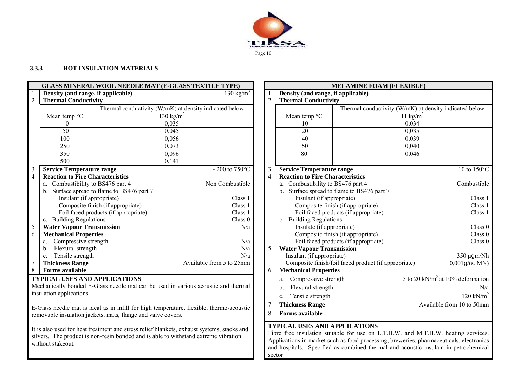

# **3.3.3 HOT INSULATION MATERIALS**

|                |                                                                                     |                                                              | <b>GLASS MINERAL WOOL NEEDLE MAT (E-GLASS TEXTILE TYPE)</b>                                |                |                                                               | <b>MELAMINE FOAM (FLEXIBLE)</b>                      |                                                                                                                                                                              |
|----------------|-------------------------------------------------------------------------------------|--------------------------------------------------------------|--------------------------------------------------------------------------------------------|----------------|---------------------------------------------------------------|------------------------------------------------------|------------------------------------------------------------------------------------------------------------------------------------------------------------------------------|
|                | Density (and range, if applicable)                                                  |                                                              | 130 kg/ $m^3$                                                                              |                | Density (and range, if applicable)                            |                                                      |                                                                                                                                                                              |
| $\overline{2}$ | <b>Thermal Conductivity</b>                                                         |                                                              |                                                                                            | $\overline{2}$ | <b>Thermal Conductivity</b>                                   |                                                      |                                                                                                                                                                              |
|                |                                                                                     |                                                              | Thermal conductivity (W/mK) at density indicated below                                     |                |                                                               |                                                      | Thermal conductivity (W/mK) at density indicated below                                                                                                                       |
|                | Mean temp $\overline{C}$                                                            |                                                              | 130 kg/ $m^3$                                                                              |                | Mean temp °C                                                  |                                                      | 11 kg/m <sup>3</sup>                                                                                                                                                         |
|                | $\theta$                                                                            |                                                              | 0,035                                                                                      |                | 10                                                            |                                                      | 0,034                                                                                                                                                                        |
|                | 50                                                                                  |                                                              | 0,045                                                                                      |                | 20                                                            |                                                      | 0.035                                                                                                                                                                        |
|                | 100                                                                                 |                                                              | 0,056                                                                                      |                | 40                                                            |                                                      | 0,039                                                                                                                                                                        |
|                | 250                                                                                 |                                                              | 0,073                                                                                      |                | 50                                                            |                                                      | 0,040                                                                                                                                                                        |
|                | 350                                                                                 |                                                              | 0,096                                                                                      |                | 80                                                            |                                                      | 0,046                                                                                                                                                                        |
|                | 500                                                                                 |                                                              | 0,141                                                                                      |                |                                                               |                                                      |                                                                                                                                                                              |
| 3              | <b>Service Temperature range</b>                                                    |                                                              | - 200 to $750^{\circ}$ C                                                                   | 3              | <b>Service Temperature range</b>                              |                                                      | 10 to 150°C                                                                                                                                                                  |
| $\overline{4}$ | <b>Reaction to Fire Characteristics</b>                                             |                                                              |                                                                                            | $\overline{4}$ | <b>Reaction to Fire Characteristics</b>                       |                                                      |                                                                                                                                                                              |
|                | a. Combustibility to BS476 part 4                                                   |                                                              | Non Combustible                                                                            |                | a. Combustibility to BS476 part 4                             |                                                      | Combustible                                                                                                                                                                  |
|                |                                                                                     | b. Surface spread to flame to BS476 part 7                   |                                                                                            |                |                                                               | b. Surface spread to flame to BS476 part 7           |                                                                                                                                                                              |
|                | Insulant (if appropriate)                                                           |                                                              | Class 1                                                                                    |                | Insulant (if appropriate)                                     |                                                      | Class 1                                                                                                                                                                      |
|                | Composite finish (if appropriate)<br>Class 1                                        |                                                              |                                                                                            |                | Composite finish (if appropriate)                             | Class 1                                              |                                                                                                                                                                              |
|                |                                                                                     | Foil faced products (if appropriate)                         | Class 1                                                                                    |                |                                                               | Foil faced products (if appropriate)                 | Class 1                                                                                                                                                                      |
|                | c. Building Regulations                                                             |                                                              | Class 0                                                                                    |                | c. Building Regulations                                       |                                                      |                                                                                                                                                                              |
| 5              | <b>Water Vapour Transmission</b>                                                    |                                                              | N/a                                                                                        |                | Insulate (if appropriate)                                     |                                                      | Class 0                                                                                                                                                                      |
| 6              | <b>Mechanical Properties</b>                                                        |                                                              |                                                                                            |                |                                                               | Composite finish (if appropriate)                    | Class 0                                                                                                                                                                      |
|                | Compressive strength<br>a.<br>Flexural strength                                     |                                                              | N/a<br>N/a                                                                                 | 5              |                                                               | Foil faced products (if appropriate)                 | Class 0                                                                                                                                                                      |
|                | $\mathbf{b}$ .<br>Tensile strength                                                  |                                                              | N/a                                                                                        |                | <b>Water Vapour Transmission</b><br>Insulant (if appropriate) |                                                      | 350 µgm/Nh                                                                                                                                                                   |
| 7              | $c_{\cdot}$<br><b>Thickness Range</b>                                               |                                                              | Available from 5 to 25mm                                                                   |                |                                                               | Composite finish/foil faced product (if appropriate) | 0,001g/(s. MN)                                                                                                                                                               |
| 8              | <b>Forms available</b>                                                              |                                                              |                                                                                            | 6              | <b>Mechanical Properties</b>                                  |                                                      |                                                                                                                                                                              |
|                |                                                                                     | <b>TYPICAL USES AND APPLICATIONS</b>                         |                                                                                            |                | Compressive strength                                          |                                                      | 5 to 20 kN/m <sup>2</sup> at 10% deformation                                                                                                                                 |
|                |                                                                                     |                                                              | Mechanically bonded E-Glass needle mat can be used in various acoustic and thermal         |                | a.                                                            |                                                      |                                                                                                                                                                              |
|                | insulation applications.                                                            |                                                              |                                                                                            |                | Flexural strength<br>b.                                       |                                                      | N/a                                                                                                                                                                          |
|                |                                                                                     |                                                              |                                                                                            |                | Tensile strength<br>$c_{-}$                                   |                                                      | $120 \text{ kN/m}^2$                                                                                                                                                         |
|                |                                                                                     |                                                              | E-Glass needle mat is ideal as in infill for high temperature, flexible, thermo-acoustic   | $\overline{7}$ | <b>Thickness Range</b>                                        |                                                      | Available from 10 to 50mm                                                                                                                                                    |
|                |                                                                                     | removable insulation jackets, mats, flange and valve covers. |                                                                                            | 8              | <b>Forms available</b>                                        |                                                      |                                                                                                                                                                              |
|                |                                                                                     |                                                              |                                                                                            |                |                                                               |                                                      |                                                                                                                                                                              |
|                |                                                                                     |                                                              | It is also used for heat treatment and stress relief blankets, exhaust systems, stacks and |                | <b>TYPICAL USES AND APPLICATIONS</b>                          |                                                      |                                                                                                                                                                              |
|                | silvers. The product is non-resin bonded and is able to withstand extreme vibration |                                                              |                                                                                            |                |                                                               |                                                      | Fibre free insulation suitable for use on L.T.H.W. and M.T.H.W. heating services.<br>Applications in market such as food processing, breweries, pharmaceuticals, electronics |
|                | without stakeout.                                                                   |                                                              |                                                                                            |                |                                                               |                                                      | and hospitals. Specified as combined thermal and acoustic insulant in petrochemical                                                                                          |
|                |                                                                                     |                                                              |                                                                                            |                | sector.                                                       |                                                      |                                                                                                                                                                              |

| 1                                                          | Density (and range, if applicable)                                          | <b>MELAMINE FOAM (FLEXIBLE)</b>                      |                                                        |  |  |  |
|------------------------------------------------------------|-----------------------------------------------------------------------------|------------------------------------------------------|--------------------------------------------------------|--|--|--|
|                                                            | <b>Thermal Conductivity</b>                                                 |                                                      |                                                        |  |  |  |
|                                                            |                                                                             |                                                      | Thermal conductivity (W/mK) at density indicated below |  |  |  |
|                                                            | Mean temp °C                                                                |                                                      | 11 kg/ $m^3$                                           |  |  |  |
|                                                            | 10                                                                          |                                                      | 0,034                                                  |  |  |  |
|                                                            | 20                                                                          |                                                      | 0,035                                                  |  |  |  |
|                                                            | 40                                                                          |                                                      | 0,039                                                  |  |  |  |
|                                                            | 50                                                                          |                                                      | 0,040                                                  |  |  |  |
| 80<br>0,046                                                |                                                                             |                                                      |                                                        |  |  |  |
|                                                            |                                                                             |                                                      | 10 to 150°C                                            |  |  |  |
|                                                            | <b>Service Temperature range</b><br><b>Reaction to Fire Characteristics</b> |                                                      |                                                        |  |  |  |
|                                                            | a. Combustibility to BS476 part 4                                           |                                                      | Combustible                                            |  |  |  |
| b.                                                         |                                                                             | Surface spread to flame to BS476 part 7              |                                                        |  |  |  |
|                                                            | Insulant (if appropriate)                                                   |                                                      | Class 1                                                |  |  |  |
|                                                            |                                                                             | Composite finish (if appropriate)                    | Class 1                                                |  |  |  |
|                                                            |                                                                             | Foil faced products (if appropriate)                 | Class 1                                                |  |  |  |
|                                                            | c. Building Regulations                                                     |                                                      |                                                        |  |  |  |
|                                                            | Insulate (if appropriate)                                                   |                                                      | Class 0                                                |  |  |  |
|                                                            |                                                                             | Composite finish (if appropriate)                    | Class 0                                                |  |  |  |
|                                                            |                                                                             | Foil faced products (if appropriate)                 | Class 0                                                |  |  |  |
|                                                            | <b>Water Vapour Transmission</b>                                            |                                                      |                                                        |  |  |  |
|                                                            | Insulant (if appropriate)                                                   |                                                      | $350 \mu$ gm/Nh                                        |  |  |  |
|                                                            |                                                                             | Composite finish/foil faced product (if appropriate) | 0,001g/(s. MN)                                         |  |  |  |
|                                                            | <b>Mechanical Properties</b>                                                |                                                      |                                                        |  |  |  |
| a.                                                         | Compressive strength                                                        |                                                      | 5 to 20 kN/ $m2$ at 10% deformation                    |  |  |  |
| Flexural strength<br>b.                                    |                                                                             |                                                      |                                                        |  |  |  |
| $120 \text{ kN/m}^2$<br>Tensile strength<br>$\mathbf{c}$ . |                                                                             |                                                      |                                                        |  |  |  |
|                                                            | <b>Thickness Range</b>                                                      |                                                      | Available from 10 to 50mm                              |  |  |  |
|                                                            | <b>Forms available</b>                                                      |                                                      |                                                        |  |  |  |

Applications in market such as food processing, breweries, pharmaceuticals, electronics and hospitals. Specified as combined thermal and acoustic insulant in petrochemical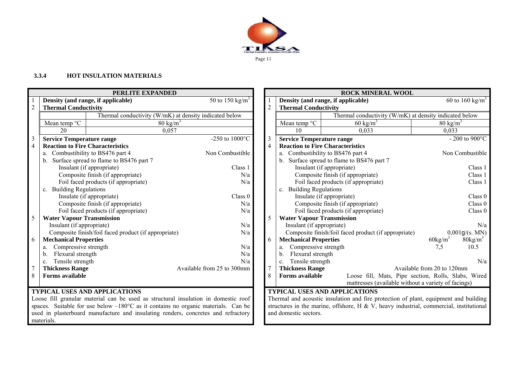

#### **3.3.4 HOT INSULATION MATERIALS**

materials.

| PERLITE EXPANDED |                                         |                                                                                             |                             |                |                                    | <b>ROCK MINERAL WOOL</b>                                                               |                            |                             |
|------------------|-----------------------------------------|---------------------------------------------------------------------------------------------|-----------------------------|----------------|------------------------------------|----------------------------------------------------------------------------------------|----------------------------|-----------------------------|
|                  |                                         | Density (and range, if applicable)                                                          | 50 to 150 kg/m <sup>3</sup> |                |                                    | Density (and range, if applicable)                                                     |                            | 60 to 160 kg/m <sup>3</sup> |
| $\overline{2}$   | <b>Thermal Conductivity</b>             |                                                                                             |                             |                | <b>Thermal Conductivity</b>        |                                                                                        |                            |                             |
|                  |                                         | Thermal conductivity (W/mK) at density indicated below                                      |                             |                |                                    | Thermal conductivity (W/mK) at density indicated below                                 |                            |                             |
|                  | Mean temp °C                            | $80 \text{ kg/m}^3$                                                                         |                             |                | Mean temp °C                       | $60 \text{ kg/m}^3$                                                                    |                            | $80 \text{ kg/m}^3$         |
|                  | 20                                      | 0,057                                                                                       |                             |                | 10                                 | 0.033                                                                                  |                            | 0,033                       |
| $\mathfrak{Z}$   | <b>Service Temperature range</b>        |                                                                                             | -250 to $1000^{\circ}$ C    | 3              | <b>Service Temperature range</b>   |                                                                                        |                            | - 200 to 900 $^{\circ}$ C   |
| $\overline{4}$   | <b>Reaction to Fire Characteristics</b> |                                                                                             |                             | $\overline{4}$ |                                    | <b>Reaction to Fire Characteristics</b>                                                |                            |                             |
|                  |                                         | a. Combustibility to BS476 part 4                                                           | Non Combustible             |                |                                    | a. Combustibility to BS476 part 4                                                      |                            | Non Combustible             |
|                  |                                         | b. Surface spread to flame to BS476 part 7                                                  |                             |                |                                    | b. Surface spread to flame to BS476 part 7                                             |                            |                             |
|                  |                                         | Insulant (if appropriate)                                                                   | Class 1                     |                |                                    | Insulant (if appropriate)                                                              |                            | Class 1                     |
|                  |                                         | Composite finish (if appropriate)                                                           | N/a                         |                |                                    | Composite finish (if appropriate)                                                      |                            | Class 1                     |
|                  |                                         | Foil faced products (if appropriate)                                                        | N/a                         |                |                                    | Foil faced products (if appropriate)                                                   |                            | Class 1                     |
|                  | c. Building Regulations                 |                                                                                             |                             |                | c. Building Regulations            |                                                                                        |                            |                             |
|                  |                                         | Insulate (if appropriate)                                                                   | Class 0                     |                |                                    | Insulate (if appropriate)                                                              |                            | Class 0                     |
|                  |                                         | Composite finish (if appropriate)                                                           | N/a                         |                |                                    | Composite finish (if appropriate)                                                      |                            | Class 0                     |
|                  |                                         | Foil faced products (if appropriate)                                                        | N/a                         |                |                                    | Foil faced products (if appropriate)                                                   |                            | Class 0                     |
| 5                | <b>Water Vapour Transmission</b>        |                                                                                             |                             |                | <b>Water Vapour Transmission</b>   |                                                                                        |                            |                             |
|                  | Insulant (if appropriate)               |                                                                                             | N/a                         |                | Insulant (if appropriate)          |                                                                                        |                            | N/a                         |
|                  |                                         | Composite finish/foil faced product (if appropriate)                                        | N/a                         |                |                                    | Composite finish/foil faced product (if appropriate)                                   |                            | 0,001g/(s. MN)              |
| 6                | <b>Mechanical Properties</b>            |                                                                                             |                             | 6              | <b>Mechanical Properties</b>       |                                                                                        | $60\text{kg/m}$            | $80\text{kg/m}^3$           |
|                  | Compressive strength                    |                                                                                             | N/a                         |                | Compressive strength               |                                                                                        | 7,5                        | 10.5                        |
|                  | Flexural strength<br>b.                 |                                                                                             | N/a                         |                | Flexural strength<br>b.            |                                                                                        |                            |                             |
|                  | Tensile strength<br>$\mathbf{c}$ .      |                                                                                             | N/a                         |                | Tensile strength<br>$\mathbf{c}$ . |                                                                                        |                            | N/a                         |
|                  | <b>Thickness Range</b>                  |                                                                                             | Available from 25 to 300mm  |                | <b>Thickness Range</b>             |                                                                                        | Available from 20 to 120mm |                             |
| $\,8\,$          | <b>Forms available</b>                  |                                                                                             |                             | 8              | Forms available                    | Loose fill, Mats, Pipe section, Rolls, Slabs, Wired                                    |                            |                             |
|                  |                                         |                                                                                             |                             |                |                                    | mattresses (available without a variety of facings)                                    |                            |                             |
|                  |                                         | <b>TYPICAL USES AND APPLICATIONS</b>                                                        |                             |                |                                    | <b>TYPICAL USES AND APPLICATIONS</b>                                                   |                            |                             |
|                  |                                         | Loose fill granular material can be used as structural insulation in domestic roof          |                             |                |                                    | Thermal and acoustic insulation and fire protection of plant, equipment and building   |                            |                             |
|                  |                                         | spaces. Suitable for use below $-180^{\circ}$ C as it contains no organic materials. Can be |                             |                |                                    | structures in the marine, offshore, H & V, heavy industrial, commercial, institutional |                            |                             |
|                  |                                         | used in plasterboard manufacture and insulating renders, concretes and refractory           |                             |                | and domestic sectors.              |                                                                                        |                            |                             |

| Thermal conductivity (W/mK) at density indicated below                        |                                                      |                     |                   |  |  |  |  |  |  |
|-------------------------------------------------------------------------------|------------------------------------------------------|---------------------|-------------------|--|--|--|--|--|--|
| Mean temp °C                                                                  | $60 \text{ kg/m}^3$                                  | $80 \text{ kg/m}^3$ |                   |  |  |  |  |  |  |
| 10                                                                            | 0,033                                                | 0,033               |                   |  |  |  |  |  |  |
| - 200 to $900^{\circ}\mathrm{C}$<br><b>Service Temperature range</b>          |                                                      |                     |                   |  |  |  |  |  |  |
| <b>Reaction to Fire Characteristics</b>                                       |                                                      |                     |                   |  |  |  |  |  |  |
| Combustibility to BS476 part 4<br>a.                                          |                                                      |                     | Non Combustible   |  |  |  |  |  |  |
| Surface spread to flame to BS476 part 7<br>b.                                 |                                                      |                     |                   |  |  |  |  |  |  |
| Insulant (if appropriate)<br>Class 1                                          |                                                      |                     |                   |  |  |  |  |  |  |
|                                                                               | Composite finish (if appropriate)                    |                     | Class 1           |  |  |  |  |  |  |
| Foil faced products (if appropriate)<br>Class 1                               |                                                      |                     |                   |  |  |  |  |  |  |
| c. Building Regulations                                                       |                                                      |                     |                   |  |  |  |  |  |  |
| Insulate (if appropriate)<br>Class 0                                          |                                                      |                     |                   |  |  |  |  |  |  |
|                                                                               | Composite finish (if appropriate)                    |                     | Class 0           |  |  |  |  |  |  |
|                                                                               | Foil faced products (if appropriate)                 |                     | Class 0           |  |  |  |  |  |  |
| <b>Water Vapour Transmission</b>                                              |                                                      |                     |                   |  |  |  |  |  |  |
| Insulant (if appropriate)                                                     |                                                      |                     | N/a               |  |  |  |  |  |  |
|                                                                               | Composite finish/foil faced product (if appropriate) |                     | 0,001g/(s. MN)    |  |  |  |  |  |  |
| <b>Mechanical Properties</b>                                                  |                                                      | $60\text{kg/m}^3$   | $80\text{kg/m}^3$ |  |  |  |  |  |  |
| a. Compressive strength                                                       |                                                      | 7,5                 | 10.5              |  |  |  |  |  |  |
| Flexural strength<br>b.                                                       |                                                      |                     |                   |  |  |  |  |  |  |
| Tensile strength<br>$\mathbf{c}$ .                                            |                                                      |                     | N/a               |  |  |  |  |  |  |
| <b>Thickness Range</b><br>Available from 20 to 120mm                          |                                                      |                     |                   |  |  |  |  |  |  |
| Loose fill, Mats, Pipe section, Rolls, Slabs, Wired<br><b>Forms available</b> |                                                      |                     |                   |  |  |  |  |  |  |
| mattresses (available without a variety of facings)                           |                                                      |                     |                   |  |  |  |  |  |  |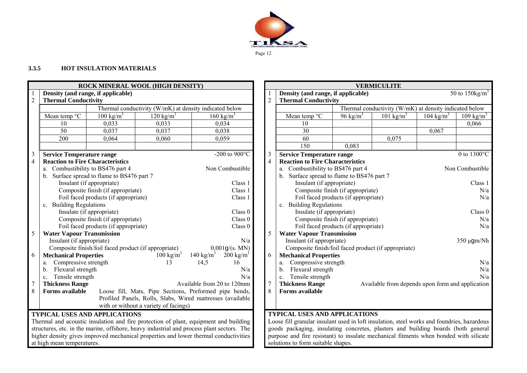

#### **3.3.5 HOT INSULATION MATERIALS**

|                                      | ROCK MINERAL WOOL (HIGH DENSITY)                                                                              |                                                      |                                                                                           |                            |                                  |                                                                                 |                                                                                            |                                      | <b>VERMICULITE</b>                                     |                      |                               |
|--------------------------------------|---------------------------------------------------------------------------------------------------------------|------------------------------------------------------|-------------------------------------------------------------------------------------------|----------------------------|----------------------------------|---------------------------------------------------------------------------------|--------------------------------------------------------------------------------------------|--------------------------------------|--------------------------------------------------------|----------------------|-------------------------------|
|                                      |                                                                                                               | Density (and range, if applicable)                   |                                                                                           |                            |                                  |                                                                                 | Density (and range, if applicable)                                                         |                                      |                                                        |                      | 50 to $150$ kg/m <sup>3</sup> |
| $\overline{2}$                       | <b>Thermal Conductivity</b>                                                                                   |                                                      |                                                                                           |                            |                                  | $\overline{2}$                                                                  | <b>Thermal Conductivity</b>                                                                |                                      |                                                        |                      |                               |
|                                      |                                                                                                               |                                                      | Thermal conductivity (W/mK) at density indicated below                                    |                            |                                  |                                                                                 |                                                                                            |                                      | Thermal conductivity (W/mK) at density indicated below |                      |                               |
|                                      | Mean temp °C                                                                                                  | $100 \text{ kg/m}^3$                                 | $120 \text{ kg/m}^3$                                                                      | $160 \text{ kg/m}^3$       |                                  |                                                                                 | Mean temp °C                                                                               | 96 kg/ $m^3$                         | 101 kg/m <sup>3</sup>                                  | $104 \text{ kg/m}^3$ | $109 \text{ kg/m}^3$          |
|                                      | 10                                                                                                            | 0.033                                                | 0.033                                                                                     | 0,034                      |                                  |                                                                                 | 10                                                                                         |                                      |                                                        |                      | 0.066                         |
|                                      | 50                                                                                                            | 0.037                                                | 0.037                                                                                     | 0,038                      |                                  |                                                                                 | 30                                                                                         |                                      |                                                        | 0,067                |                               |
|                                      | 200                                                                                                           | 0,064                                                | 0,060                                                                                     | 0,059                      |                                  |                                                                                 | 60                                                                                         |                                      | 0,075                                                  |                      |                               |
|                                      |                                                                                                               |                                                      |                                                                                           |                            |                                  |                                                                                 | 150                                                                                        | 0.083                                |                                                        |                      |                               |
| $\overline{\phantom{a}}$             | <b>Service Temperature range</b>                                                                              |                                                      |                                                                                           |                            | -200 to 900 $\mathrm{^{\circ}C}$ | 3                                                                               | <b>Service Temperature range</b>                                                           |                                      |                                                        |                      | 0 to $1300^{\circ}$ C         |
| $\overline{4}$                       | <b>Reaction to Fire Characteristics</b>                                                                       |                                                      |                                                                                           |                            |                                  | 4                                                                               | <b>Reaction to Fire Characteristics</b>                                                    |                                      |                                                        |                      |                               |
|                                      | a. Combustibility to BS476 part 4<br>Non Combustible                                                          |                                                      |                                                                                           |                            |                                  |                                                                                 | a. Combustibility to BS476 part 4                                                          |                                      |                                                        |                      | Non Combustible               |
|                                      | $b_{1}$                                                                                                       | Surface spread to flame to BS476 part 7              |                                                                                           |                            |                                  |                                                                                 | b. Surface spread to flame to BS476 part 7                                                 |                                      |                                                        |                      |                               |
|                                      |                                                                                                               | Insulant (if appropriate)                            |                                                                                           |                            | Class 1                          |                                                                                 | Insulant (if appropriate)                                                                  |                                      |                                                        |                      | Class 1                       |
|                                      |                                                                                                               | Composite finish (if appropriate)                    |                                                                                           |                            | Class 1                          |                                                                                 | Composite finish (if appropriate)                                                          |                                      |                                                        | N/a                  |                               |
| Foil faced products (if appropriate) |                                                                                                               |                                                      |                                                                                           |                            | Class 1                          |                                                                                 |                                                                                            | Foil faced products (if appropriate) |                                                        |                      | N/a                           |
|                                      | c. Building Regulations                                                                                       |                                                      |                                                                                           |                            |                                  | c. Building Regulations                                                         |                                                                                            |                                      |                                                        |                      |                               |
|                                      |                                                                                                               | Insulate (if appropriate)                            |                                                                                           |                            | Class 0                          |                                                                                 | Insulate (if appropriate)                                                                  |                                      |                                                        |                      | Class 0                       |
|                                      |                                                                                                               | Composite finish (if appropriate)                    |                                                                                           |                            | Class 0                          |                                                                                 |                                                                                            | Composite finish (if appropriate)    |                                                        |                      | N/a                           |
|                                      |                                                                                                               | Foil faced products (if appropriate)                 |                                                                                           |                            | Class 0                          |                                                                                 |                                                                                            | Foil faced products (if appropriate) |                                                        |                      | N/a                           |
| 5                                    | <b>Water Vapour Transmission</b>                                                                              |                                                      |                                                                                           |                            |                                  | 5                                                                               | <b>Water Vapour Transmission</b>                                                           |                                      |                                                        |                      |                               |
|                                      | Insulant (if appropriate)                                                                                     |                                                      |                                                                                           |                            | N/a                              |                                                                                 | Insulant (if appropriate)                                                                  |                                      |                                                        |                      | 350 µgm/Nh                    |
|                                      |                                                                                                               | Composite finish/foil faced product (if appropriate) |                                                                                           | 0,001g/(s. MN)             |                                  |                                                                                 | Composite finish/foil faced product (if appropriate)                                       |                                      |                                                        |                      |                               |
| 6                                    | <b>Mechanical Properties</b>                                                                                  |                                                      | $100 \text{ kg/m}^3$                                                                      | 140 kg/m <sup>3</sup>      | $200 \text{ kg/m}^3$             | 6                                                                               | <b>Mechanical Properties</b>                                                               |                                      |                                                        |                      |                               |
|                                      | Compressive strength<br>a.                                                                                    |                                                      | 13                                                                                        | 14,5                       | 16                               |                                                                                 | Compressive strength<br>a.                                                                 |                                      |                                                        |                      | N/a                           |
|                                      | Flexural strength<br>b.                                                                                       |                                                      |                                                                                           |                            | N/a                              |                                                                                 | Flexural strength<br>b.                                                                    |                                      |                                                        |                      | N/a                           |
|                                      | Tensile strength<br>c.                                                                                        |                                                      |                                                                                           |                            | N/a                              |                                                                                 | Tensile strength<br>$c_{\cdot}$                                                            |                                      |                                                        |                      | N/a                           |
| 7                                    | <b>Thickness Range</b>                                                                                        |                                                      |                                                                                           | Available from 20 to 120mm |                                  | <b>Thickness Range</b><br>7<br>Available from depends upon form and application |                                                                                            |                                      |                                                        |                      |                               |
| 8                                    | <b>Forms available</b>                                                                                        |                                                      | Loose fill, Mats, Pipe Sections, Preformed pipe bends,                                    |                            |                                  | 8                                                                               | <b>Forms available</b>                                                                     |                                      |                                                        |                      |                               |
|                                      |                                                                                                               |                                                      | Profiled Panels, Rolls, Slabs, Wired mattresses (available                                |                            |                                  |                                                                                 |                                                                                            |                                      |                                                        |                      |                               |
|                                      |                                                                                                               |                                                      | with or without a variety of facings)                                                     |                            |                                  |                                                                                 |                                                                                            |                                      |                                                        |                      |                               |
|                                      |                                                                                                               | <b>TYPICAL USES AND APPLICATIONS</b>                 |                                                                                           |                            |                                  |                                                                                 | <b>TYPICAL USES AND APPLICATIONS</b>                                                       |                                      |                                                        |                      |                               |
|                                      |                                                                                                               |                                                      | Thermal and acoustic insulation and fire protection of plant, equipment and building      |                            |                                  |                                                                                 | Loose fill granular insulant used in loft insulation, steel works and foundries, hazardous |                                      |                                                        |                      |                               |
|                                      |                                                                                                               |                                                      | structures, etc. in the marine, offshore, heavy industrial and process plant sectors. The |                            |                                  |                                                                                 | goods packaging, insulating concretes, plasters and building boards (both general          |                                      |                                                        |                      |                               |
|                                      | ومنافذ وناقصته والمستور والمستحيل المستور ومناسم ومسور الممنعو والمستحق والمستحق ومستحي وطريق والمتحل ووعاهنا |                                                      |                                                                                           |                            |                                  |                                                                                 | ang and Can anggotatut) to inggleto mendeminal Cturents galeng lengdad gaith officete      |                                      |                                                        |                      |                               |

| Thermal and acoustic insulation and fire protection of plant, equipment and building      |
|-------------------------------------------------------------------------------------------|
| structures, etc. in the marine, offshore, heavy industrial and process plant sectors. The |
| higher density gives improved mechanical properties and lower thermal conductivities      |
| at high mean temperatures.                                                                |

| ROCK MINERAL WOOL (HIGH DENSITY) |                                                      |                                                            |                            |                         |                |                                                      | <b>VERMICULITE</b>                   |                                                        |                       |                               |
|----------------------------------|------------------------------------------------------|------------------------------------------------------------|----------------------------|-------------------------|----------------|------------------------------------------------------|--------------------------------------|--------------------------------------------------------|-----------------------|-------------------------------|
|                                  | Density (and range, if applicable)                   |                                                            |                            |                         |                | Density (and range, if applicable)                   |                                      |                                                        |                       | 50 to $150$ kg/m <sup>3</sup> |
| <b>Thermal Conductivity</b>      |                                                      |                                                            |                            |                         | 2              | <b>Thermal Conductivity</b>                          |                                      |                                                        |                       |                               |
|                                  |                                                      | Thermal conductivity (W/mK) at density indicated below     |                            |                         |                |                                                      |                                      | Thermal conductivity (W/mK) at density indicated below |                       |                               |
| Mean temp $\overline{C}$         | $100 \text{ kg/m}^3$                                 | 120 kg/ $m^3$                                              | $160 \text{ kg/m}^3$       |                         |                | Mean temp °C                                         | 96 kg/m <sup>3</sup>                 | 101 $\text{kg/m}^3$                                    | 104 kg/m <sup>3</sup> | 109 kg/m <sup>3</sup>         |
| 10                               | 0,033                                                | 0,033                                                      | 0,034                      |                         |                | 10                                                   |                                      |                                                        |                       | 0,066                         |
| 50                               | 0.037                                                | 0.037                                                      | 0.038                      |                         |                | 30                                                   |                                      |                                                        | 0,067                 |                               |
| 200                              | 0,064                                                | 0,060                                                      | 0,059                      |                         |                | 60                                                   |                                      | 0,075                                                  |                       |                               |
|                                  |                                                      |                                                            |                            |                         |                | 150                                                  | 0.083                                |                                                        |                       |                               |
| Service Temperature range        |                                                      |                                                            |                            | -200 to $900^{\circ}$ C | 3              | <b>Service Temperature range</b>                     |                                      |                                                        |                       | 0 to $1300^{\circ}$ C         |
|                                  | <b>Reaction to Fire Characteristics</b>              |                                                            |                            |                         | $\overline{4}$ | <b>Reaction to Fire Characteristics</b>              |                                      |                                                        |                       |                               |
|                                  | Combustibility to BS476 part 4                       |                                                            |                            | Non Combustible         |                | Combustibility to BS476 part 4                       |                                      |                                                        |                       | Non Combustible               |
|                                  | Surface spread to flame to BS476 part 7              |                                                            |                            |                         |                | Surface spread to flame to BS476 part 7<br>b.        |                                      |                                                        |                       |                               |
|                                  | Insulant (if appropriate)                            |                                                            |                            | Class 1                 |                | Insulant (if appropriate)                            |                                      |                                                        |                       | Class 1                       |
|                                  | Composite finish (if appropriate)                    |                                                            |                            | Class 1                 |                |                                                      | Composite finish (if appropriate)    |                                                        |                       | N/a                           |
|                                  | Foil faced products (if appropriate)                 |                                                            |                            | Class 1                 |                |                                                      | Foil faced products (if appropriate) |                                                        |                       | N/a                           |
| <b>Building Regulations</b>      |                                                      |                                                            |                            |                         |                | c. Building Regulations                              |                                      |                                                        |                       |                               |
|                                  | Insulate (if appropriate)                            |                                                            |                            | Class 0                 |                | Insulate (if appropriate)                            |                                      |                                                        |                       | Class 0                       |
|                                  | Composite finish (if appropriate)                    |                                                            |                            | Class 0                 |                |                                                      | Composite finish (if appropriate)    |                                                        |                       | N/a                           |
|                                  | Foil faced products (if appropriate)                 |                                                            |                            | Class 0                 |                |                                                      | Foil faced products (if appropriate) |                                                        |                       | N/a                           |
| <b>Water Vapour Transmission</b> |                                                      |                                                            |                            |                         |                | <b>Water Vapour Transmission</b>                     |                                      |                                                        |                       |                               |
| Insulant (if appropriate)        |                                                      |                                                            |                            | N/a                     |                | Insulant (if appropriate)                            |                                      |                                                        |                       | $350 \mu$ gm/Nh               |
|                                  | Composite finish/foil faced product (if appropriate) |                                                            |                            | 0,001g/(s. MN)          |                | Composite finish/foil faced product (if appropriate) |                                      |                                                        |                       |                               |
| <b>Mechanical Properties</b>     |                                                      | $100 \text{ kg/m}^3$                                       | 140 kg/m <sup>3</sup>      | $200 \text{ kg/m}^3$    | 6              | <b>Mechanical Properties</b>                         |                                      |                                                        |                       |                               |
| Compressive strength             |                                                      | 13                                                         | 14,5                       | 16                      |                | Compressive strength<br>a.                           |                                      |                                                        |                       | N/a                           |
| Flexural strength                |                                                      |                                                            |                            | N/a                     |                | Flexural strength<br>b.                              |                                      |                                                        |                       | N/a                           |
| Tensile strength                 |                                                      |                                                            |                            | N/a                     |                | Tensile strength<br>c.                               |                                      |                                                        |                       | N/a                           |
| <b>Thickness Range</b>           |                                                      |                                                            | Available from 20 to 120mm |                         |                | <b>Thickness Range</b>                               |                                      | Available from depends upon form and application       |                       |                               |
| F <b>orms available</b>          |                                                      | Loose fill, Mats, Pipe Sections, Preformed pipe bends,     |                            |                         |                | <b>Forms available</b>                               |                                      |                                                        |                       |                               |
|                                  |                                                      | Profiled Panels, Rolls, Slabs, Wired mattresses (available |                            |                         |                |                                                      |                                      |                                                        |                       |                               |
|                                  |                                                      | with or without a variety of facings)                      |                            |                         |                |                                                      |                                      |                                                        |                       |                               |

#### **TYPICAL USES AND APPLICATIONS**

Loose fill granular insulant used in loft insulation, steel works and foundries, hazardous goods packaging, insulating concretes, plasters and building boards (both general purpose and fire resistant) to insulate mechanical fitments when bonded with silicate solutions to form suitable shapes.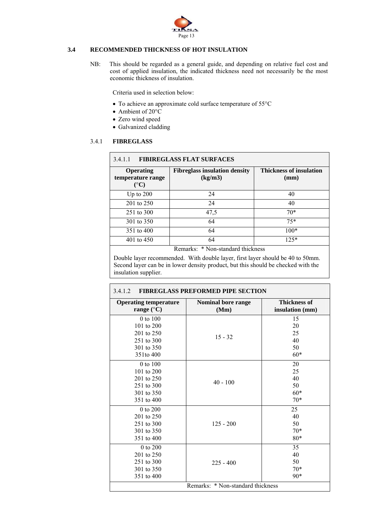

# **3.4 RECOMMENDED THICKNESS OF HOT INSULATION**

NB: This should be regarded as a general guide, and depending on relative fuel cost and cost of applied insulation, the indicated thickness need not necessarily be the most economic thickness of insulation.

Criteria used in selection below:

- To achieve an approximate cold surface temperature of 55°C
- Ambient of 20°C
- Zero wind speed
- Galvanized cladding

# 3.4.1 **FIBREGLASS**

| <b>FIBIREGLASS FLAT SURFACES</b><br>3.4.1.1                    |                                                                                                                                                                                                                                                                                                                                                                           |                                        |  |  |  |  |
|----------------------------------------------------------------|---------------------------------------------------------------------------------------------------------------------------------------------------------------------------------------------------------------------------------------------------------------------------------------------------------------------------------------------------------------------------|----------------------------------------|--|--|--|--|
| <b>Operating</b><br>temperature range<br>$({}^{\circ}{\bf C})$ | <b>Fibreglass insulation density</b><br>(kg/m3)                                                                                                                                                                                                                                                                                                                           | <b>Thickness of insulation</b><br>(mm) |  |  |  |  |
| Up to $200$                                                    | 24                                                                                                                                                                                                                                                                                                                                                                        | 40                                     |  |  |  |  |
| 201 to 250                                                     | 24                                                                                                                                                                                                                                                                                                                                                                        | 40                                     |  |  |  |  |
| 251 to 300                                                     | 47,5                                                                                                                                                                                                                                                                                                                                                                      | $70*$                                  |  |  |  |  |
| 301 to 350                                                     | 64                                                                                                                                                                                                                                                                                                                                                                        | $75*$                                  |  |  |  |  |
| 351 to 400                                                     | 64                                                                                                                                                                                                                                                                                                                                                                        | $100*$                                 |  |  |  |  |
| 401 to 450                                                     | 64                                                                                                                                                                                                                                                                                                                                                                        | $125*$                                 |  |  |  |  |
|                                                                | $\mathbf{u}$ , $\mathbf{v}$ , $\mathbf{v}$ , $\mathbf{v}$ , $\mathbf{v}$ , $\mathbf{v}$ , $\mathbf{v}$ , $\mathbf{v}$ , $\mathbf{v}$ , $\mathbf{v}$ , $\mathbf{v}$ , $\mathbf{v}$ , $\mathbf{v}$ , $\mathbf{v}$ , $\mathbf{v}$ , $\mathbf{v}$ , $\mathbf{v}$ , $\mathbf{v}$ , $\mathbf{v}$ , $\mathbf{v}$ , $\mathbf{v}$ , $\mathbf{v}$ ,<br>$\mathbf{1}$<br>$\mathbf{r}$ |                                        |  |  |  |  |

Remarks: \* Non-standard thickness

Double layer recommended. With double layer, first layer should be 40 to 50mm. Second layer can be in lower density product, but this should be checked with the insulation supplier.

# 3.4.1.2 **FIBREGLASS PREFORMED PIPE SECTION**

| <b>Operating temperature</b><br>range $(^{\circ}C)$ | <b>Nominal bore range</b><br>(Mm) | <b>Thickness of</b><br>insulation (mm) |
|-----------------------------------------------------|-----------------------------------|----------------------------------------|
| 0 to 100                                            |                                   | 15                                     |
| 101 to $200$                                        |                                   | 20                                     |
| 201 to 250                                          |                                   | 25                                     |
| 251 to 300                                          | $15 - 32$                         | 40                                     |
| 301 to 350                                          |                                   | 50                                     |
| 351to 400                                           |                                   | $60*$                                  |
|                                                     |                                   |                                        |
| 0 to 100                                            |                                   | 20                                     |
| 101 to 200                                          |                                   | 25                                     |
| 201 to 250                                          | $40 - 100$                        | 40                                     |
| 251 to 300                                          |                                   | 50                                     |
| 301 to 350                                          |                                   | $60*$                                  |
| 351 to 400                                          |                                   | $70*$                                  |
| 0 to 200                                            |                                   | 25                                     |
| 201 to 250                                          |                                   | 40                                     |
| 251 to 300                                          | $125 - 200$                       | 50                                     |
| 301 to 350                                          |                                   | $70*$                                  |
| 351 to 400                                          |                                   | $80*$                                  |
| 0 to 200                                            |                                   | 35                                     |
| 201 to 250                                          |                                   | 40                                     |
| 251 to 300                                          | $225 - 400$                       | 50                                     |
| 301 to 350                                          |                                   | $70*$                                  |
| 351 to 400                                          |                                   | $90*$                                  |
|                                                     | Remarks: * Non-standard thickness |                                        |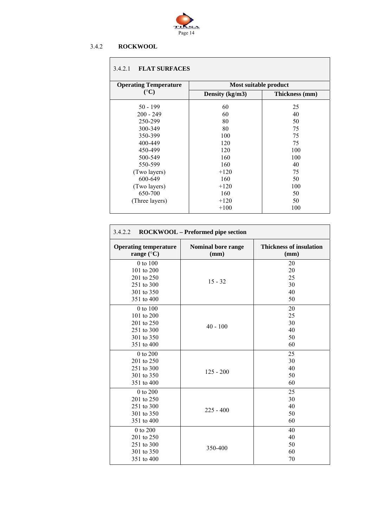

# 3.4.2 **ROCKWOOL**

# 3.4.2.1 **FLAT SURFACES**

| <b>Operating Temperature</b> | Most suitable product |                |  |  |  |
|------------------------------|-----------------------|----------------|--|--|--|
| $({}^{\circ}C)$              | Density (kg/m3)       | Thickness (mm) |  |  |  |
| $50 - 199$                   | 60                    | 25             |  |  |  |
| $200 - 249$                  | 60                    | 40             |  |  |  |
| 250-299                      | 80                    | 50             |  |  |  |
| 300-349                      | 80                    | 75             |  |  |  |
| 350-399                      | 100                   | 75             |  |  |  |
| 400-449                      | 120                   | 75             |  |  |  |
| 450-499                      | 120                   | 100            |  |  |  |
| 500-549                      | 160                   | 100            |  |  |  |
| 550-599                      | 160                   | 40             |  |  |  |
| (Two layers)                 | $+120$                | 75             |  |  |  |
| 600-649                      | 160                   | 50             |  |  |  |
| (Two layers)                 | $+120$                | 100            |  |  |  |
| 650-700                      | 160                   | 50             |  |  |  |
| (Three layers)               | $+120$                | 50             |  |  |  |
|                              | $+100$                | 100            |  |  |  |

| 3.4.2.2<br>ROCKWOOL - Preformed pipe section        |                                   |                                        |  |  |  |  |
|-----------------------------------------------------|-----------------------------------|----------------------------------------|--|--|--|--|
| <b>Operating temperature</b><br>range $(^{\circ}C)$ | <b>Nominal bore range</b><br>(mm) | <b>Thickness of insulation</b><br>(mm) |  |  |  |  |
| 0 to 100                                            |                                   | 20                                     |  |  |  |  |
| 101 to 200                                          |                                   | 20                                     |  |  |  |  |
| 201 to 250                                          | $15 - 32$                         | 25                                     |  |  |  |  |
| 251 to 300                                          |                                   | 30                                     |  |  |  |  |
| 301 to 350                                          |                                   | 40                                     |  |  |  |  |
| 351 to 400                                          |                                   | 50                                     |  |  |  |  |
| 0 to 100                                            |                                   | 20                                     |  |  |  |  |
| 101 to 200                                          | $40 - 100$                        | 25                                     |  |  |  |  |
| 201 to 250                                          |                                   | 30                                     |  |  |  |  |
| 251 to 300                                          |                                   | 40                                     |  |  |  |  |
| 301 to 350                                          |                                   | 50                                     |  |  |  |  |
| 351 to 400                                          |                                   | 60                                     |  |  |  |  |
| 0 to 200                                            |                                   | 25                                     |  |  |  |  |
| 201 to 250                                          |                                   | 30                                     |  |  |  |  |
| 251 to 300                                          |                                   | 40                                     |  |  |  |  |
| 301 to 350                                          | $125 - 200$                       | 50                                     |  |  |  |  |
| 351 to 400                                          |                                   | 60                                     |  |  |  |  |
| 0 to 200                                            |                                   | 25                                     |  |  |  |  |
| 201 to 250                                          |                                   | 30                                     |  |  |  |  |
| 251 to 300                                          | $225 - 400$                       | 40                                     |  |  |  |  |
| 301 to 350                                          |                                   | 50                                     |  |  |  |  |
| 351 to 400                                          |                                   | 60                                     |  |  |  |  |
| 0 to 200                                            |                                   | 40                                     |  |  |  |  |
| 201 to 250                                          |                                   | 40                                     |  |  |  |  |
| 251 to 300                                          | 350-400                           | 50                                     |  |  |  |  |
| 301 to 350                                          |                                   | 60                                     |  |  |  |  |
| 351 to 400                                          |                                   | 70                                     |  |  |  |  |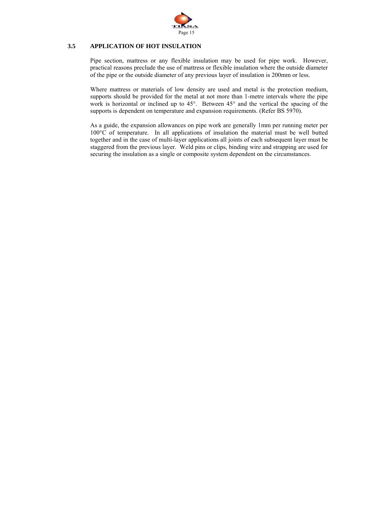

# **3.5 APPLICATION OF HOT INSULATION**

Pipe section, mattress or any flexible insulation may be used for pipe work. However, practical reasons preclude the use of mattress or flexible insulation where the outside diameter of the pipe or the outside diameter of any previous layer of insulation is 200mm or less.

Where mattress or materials of low density are used and metal is the protection medium, supports should be provided for the metal at not more than 1-metre intervals where the pipe work is horizontal or inclined up to 45°. Between 45° and the vertical the spacing of the supports is dependent on temperature and expansion requirements. (Refer BS 5970).

As a guide, the expansion allowances on pipe work are generally 1mm per running meter per 100°C of temperature. In all applications of insulation the material must be well butted together and in the case of multi-layer applications all joints of each subsequent layer must be staggered from the previous layer. Weld pins or clips, binding wire and strapping are used for securing the insulation as a single or composite system dependent on the circumstances.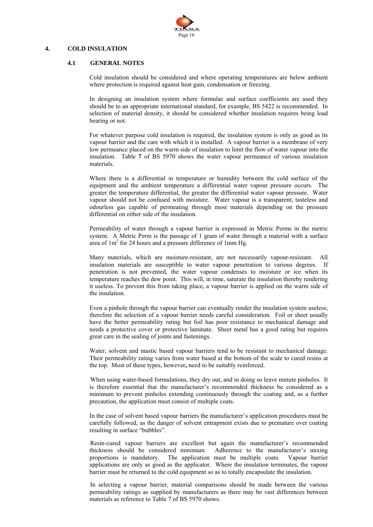

## **4. COLD INSULATION**

#### **4.1 GENERAL NOTES**

 Cold insulation should be considered and where operating temperatures are below ambient where protection is required against heat gain, condensation or freezing.

 In designing an insulation system where formulae and surface coefficients are used they should be to an appropriate international standard, for example, BS 5422 is recommended. In selection of material density, it should be considered whether insulation requires being load bearing or not.

 For whatever purpose cold insulation is required, the insulation system is only as good as its vapour barrier and the care with which it is installed. A vapour barrier is a membrane of very low permeance placed on the warm side of insulation to limit the flow of water vapour into the insulation. Table **7** of BS 5970 shows the water vapour permeance of various insulation materials.

 Where there is a differential in temperature or humidity between the cold surface of the equipment and the ambient temperature a differential water vapour pressure occurs. The greater the temperature differential, the greater the differential water vapour pressure. Water vapour should not be confused with moisture. Water vapour is a transparent, tasteless and odourless gas capable of permeating through most materials depending on the pressure differential on either side of the insulation.

 Permeability of water through a vapour barrier is expressed in Metric Perms in the metric system. A Metric Perm is the passage of 1 gram of water through a material with a surface area of  $1m^2$  for 24 hours and a pressure difference of 1mm Hg.

 Many materials, which are moisture-resistant, are not necessarily vapour-resistant. All insulation materials are susceptible to water vapour penetration to various degrees. If penetration is not prevented, the water vapour condenses to moisture or ice when its temperature reaches the dew point. This will, in time, saturate the insulation thereby rendering it useless. To prevent this from taking place, a vapour barrier is applied on the warm side of the insulation.

Even a pinhole through the vapour barrier can eventually render the insulation system useless; therefore the selection of a vapour barrier needs careful consideration. Foil or sheet usually have the better permeability rating but foil has poor resistance to mechanical damage and needs a protective cover or protective laminate. Sheet metal has a good rating but requires great care in the sealing of joints and fastenings.

 Water, solvent and mastic based vapour barriers tend to be resistant to mechanical damage. Their permeability rating varies from water based at the bottom of the scale to cured resins at the top. Most of these types, however**,** need to be suitably reinforced.

 When using water-based formulations, they dry out, and in doing so leave minute pinholes. It is therefore essential that the manufacturer's recommended thickness be considered as a minimum to prevent pinholes extending continuously through the coating and, as a further precaution, the application must consist of multiple coats.

In the case of solvent based vapour barriers the manufacturer's application procedures must be carefully followed, as the danger of solvent entrapment exists due to premature over coating resulting in surface "bubbles".

 Resin-cured vapour barriers are excellent but again the manufacturer's recommended thickness should be considered minimum. Adherence to the manufacturer's mixing proportions is mandatory. The application must be multiple coats. Vapour barrier applications are only as good as the applicator. Where the insulation terminates, the vapour barrier must be returned to the cold equipment so as to totally encapsulate the insulation.

 In selecting a vapour barrier, material comparisons should be made between the various permeability ratings as supplied by manufacturers as there may be vast differences between materials as reference to Table 7 of BS 5970 shows.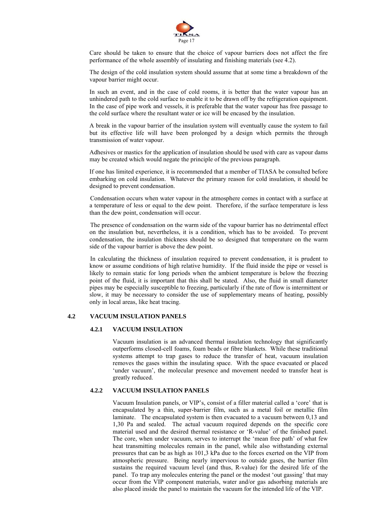

 Care should be taken to ensure that the choice of vapour barriers does not affect the fire performance of the whole assembly of insulating and finishing materials (see 4.2).

 The design of the cold insulation system should assume that at some time a breakdown of the vapour barrier might occur.

 In such an event, and in the case of cold rooms, it is better that the water vapour has an unhindered path to the cold surface to enable it to be drawn off by the refrigeration equipment. In the case of pipe work and vessels, it is preferable that the water vapour has free passage to the cold surface where the resultant water or ice will be encased by the insulation.

 A break in the vapour barrier of the insulation system will eventually cause the system to fail but its effective life will have been prolonged by a design which permits the through transmission of water vapour.

 Adhesives or mastics for the application of insulation should be used with care as vapour dams may be created which would negate the principle of the previous paragraph.

If one has limited experience, it is recommended that a member of TIASA be consulted before embarking on cold insulation. Whatever the primary reason for cold insulation, it should be designed to prevent condensation.

 Condensation occurs when water vapour in the atmosphere comes in contact with a surface at a temperature of less or equal to the dew point. Therefore, if the surface temperature is less than the dew point, condensation will occur.

 The presence of condensation on the warm side of the vapour barrier has no detrimental effect on the insulation but, nevertheless, it is a condition, which has to be avoided. To prevent condensation, the insulation thickness should be so designed that temperature on the warm side of the vapour barrier is above the dew point.

 In calculating the thickness of insulation required to prevent condensation, it is prudent to know or assume conditions of high relative humidity. If the fluid inside the pipe or vessel is likely to remain static for long periods when the ambient temperature is below the freezing point of the fluid, it is important that this shall be stated. Also, the fluid in small diameter pipes may be especially susceptible to freezing, particularly if the rate of flow is intermittent or slow, it may be necessary to consider the use of supplementary means of heating, possibly only in local areas, like heat tracing.

# **4.2 VACUUM INSULATION PANELS**

# **4.2.1 VACUUM INSULATION**

Vacuum insulation is an advanced thermal insulation technology that significantly outperforms closed-cell foams, foam beads or fibre blankets. While these traditional systems attempt to trap gases to reduce the transfer of heat, vacuum insulation removes the gases within the insulating space. With the space evacuated or placed 'under vacuum', the molecular presence and movement needed to transfer heat is greatly reduced.

# **4.2.2 VACUUM INSULATION PANELS**

Vacuum Insulation panels, or VIP's, consist of a filler material called a 'core' that is encapsulated by a thin, super-barrier film, such as a metal foil or metallic film laminate. The encapsulated system is then evacuated to a vacuum between 0,13 and 1,30 Pa and sealed. The actual vacuum required depends on the specific core material used and the desired thermal resistance or 'R-value' of the finished panel. The core, when under vacuum, serves to interrupt the 'mean free path' of what few heat transmitting molecules remain in the panel, while also withstanding external pressures that can be as high as 101,3 kPa due to the forces exerted on the VIP from atmospheric pressure. Being nearly impervious to outside gases, the barrier film sustains the required vacuum level (and thus, R-value) for the desired life of the panel. To trap any molecules entering the panel or the modest 'out gassing' that may occur from the VIP component materials, water and/or gas adsorbing materials are also placed inside the panel to maintain the vacuum for the intended life of the VIP.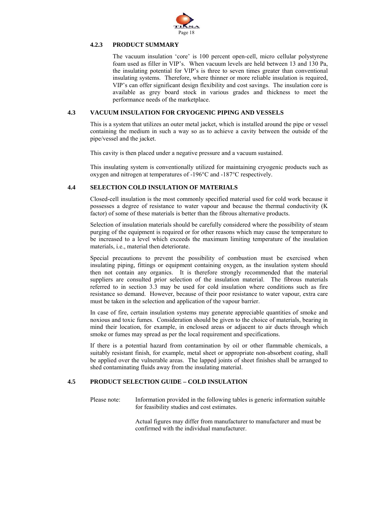

# **4.2.3 PRODUCT SUMMARY**

The vacuum insulation 'core' is 100 percent open-cell, micro cellular polystyrene foam used as filler in VIP's. When vacuum levels are held between 13 and 130 Pa, the insulating potential for VIP's is three to seven times greater than conventional insulating systems. Therefore, where thinner or more reliable insulation is required, VIP's can offer significant design flexibility and cost savings. The insulation core is available as grey board stock in various grades and thickness to meet the performance needs of the marketplace.

# **4.3 VACUUM INSULATION FOR CRYOGENIC PIPING AND VESSELS**

This is a system that utilizes an outer metal jacket, which is installed around the pipe or vessel containing the medium in such a way so as to achieve a cavity between the outside of the pipe/vessel and the jacket.

This cavity is then placed under a negative pressure and a vacuum sustained.

This insulating system is conventionally utilized for maintaining cryogenic products such as oxygen and nitrogen at temperatures of -196°C and -187°C respectively.

#### **4.4 SELECTION COLD INSULATION OF MATERIALS**

Closed-cell insulation is the most commonly specified material used for cold work because it possesses a degree of resistance to water vapour and because the thermal conductivity (K factor) of some of these materials is better than the fibrous alternative products.

Selection of insulation materials should be carefully considered where the possibility of steam purging of the equipment is required or for other reasons which may cause the temperature to be increased to a level which exceeds the maximum limiting temperature of the insulation materials, i.e., material then deteriorate.

Special precautions to prevent the possibility of combustion must be exercised when insulating piping, fittings or equipment containing oxygen, as the insulation system should then not contain any organics. It is therefore strongly recommended that the material suppliers are consulted prior selection of the insulation material. The fibrous materials referred to in section 3.3 may be used for cold insulation where conditions such as fire resistance so demand. However, because of their poor resistance to water vapour, extra care must be taken in the selection and application of the vapour barrier.

In case of fire, certain insulation systems may generate appreciable quantities of smoke and noxious and toxic fumes. Consideration should be given to the choice of materials, bearing in mind their location, for example, in enclosed areas or adjacent to air ducts through which smoke or fumes may spread as per the local requirement and specifications.

If there is a potential hazard from contamination by oil or other flammable chemicals, a suitably resistant finish, for example, metal sheet or appropriate non-absorbent coating, shall be applied over the vulnerable areas. The lapped joints of sheet finishes shall be arranged to shed contaminating fluids away from the insulating material.

# **4.5 PRODUCT SELECTION GUIDE – COLD INSULATION**

Please note: Information provided in the following tables is generic information suitable for feasibility studies and cost estimates.

> Actual figures may differ from manufacturer to manufacturer and must be confirmed with the individual manufacturer.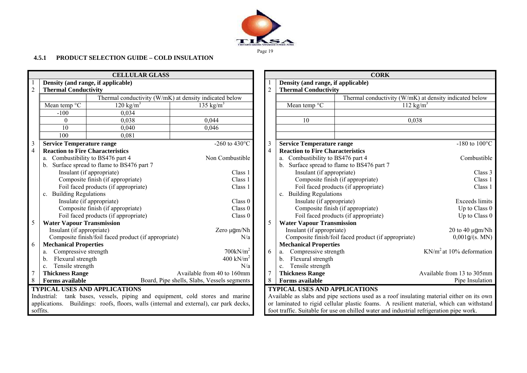

# **4.5.1 PRODUCT SELECTION GUIDE – COLD INSULATION**

|                         |                                         | <b>CELLULAR GLASS</b>                                                    |                                             |                |                                         | <b>CORK</b>                                                                               |                            |
|-------------------------|-----------------------------------------|--------------------------------------------------------------------------|---------------------------------------------|----------------|-----------------------------------------|-------------------------------------------------------------------------------------------|----------------------------|
|                         |                                         | Density (and range, if applicable)                                       |                                             |                | Density (and range, if applicable)      |                                                                                           |                            |
| $\overline{2}$          | <b>Thermal Conductivity</b>             |                                                                          |                                             | $\overline{2}$ | <b>Thermal Conductivity</b>             |                                                                                           |                            |
|                         |                                         | Thermal conductivity (W/mK) at density indicated below                   |                                             |                |                                         | Thermal conductivity (W/mK) at density indicated below                                    |                            |
|                         | Mean temp °C                            | $120 \text{ kg/m}^3$                                                     | 135 kg/m <sup>3</sup>                       |                | Mean temp $\mathrm{C}$                  | 112 kg/m <sup>3</sup>                                                                     |                            |
|                         | $-100$                                  | 0.034                                                                    |                                             |                |                                         |                                                                                           |                            |
|                         | $\theta$                                | 0.038                                                                    | 0,044                                       |                | 10                                      | 0,038                                                                                     |                            |
|                         | 10                                      | 0,040                                                                    | 0.046                                       |                |                                         |                                                                                           |                            |
|                         | 100                                     | 0,081                                                                    |                                             |                |                                         |                                                                                           |                            |
| $\overline{\mathbf{3}}$ | <b>Service Temperature range</b>        |                                                                          | -260 to 430 $^{\circ}$ C                    | $\overline{3}$ | <b>Service Temperature range</b>        |                                                                                           | $-180$ to $100^{\circ}$    |
| $\overline{4}$          | <b>Reaction to Fire Characteristics</b> |                                                                          |                                             | $\overline{4}$ | <b>Reaction to Fire Characteristics</b> |                                                                                           |                            |
|                         | a.                                      | Combustibility to BS476 part 4                                           | Non Combustible                             |                | a. Combustibility to BS476 part 4       |                                                                                           | Combustib                  |
|                         |                                         | Surface spread to flame to BS476 part 7                                  |                                             |                | $b_{-}$                                 | Surface spread to flame to BS476 part 7                                                   |                            |
|                         |                                         | Insulant (if appropriate)                                                | Class 1                                     |                | Insulant (if appropriate)               |                                                                                           | Class                      |
|                         |                                         | Composite finish (if appropriate)                                        | Class 1                                     |                |                                         | Composite finish (if appropriate)                                                         | Class                      |
|                         |                                         | Foil faced products (if appropriate)                                     | Class 1                                     |                |                                         | Foil faced products (if appropriate)                                                      | Class                      |
|                         | c. Building Regulations                 |                                                                          |                                             |                | c. Building Regulations                 |                                                                                           |                            |
|                         |                                         | Insulate (if appropriate)                                                | Class 0                                     |                | Insulate (if appropriate)               |                                                                                           | Exceeds limi               |
|                         |                                         | Composite finish (if appropriate)                                        | Class 0                                     |                |                                         | Composite finish (if appropriate)                                                         | Up to Class                |
|                         |                                         | Foil faced products (if appropriate)                                     | Class 0                                     |                |                                         | Foil faced products (if appropriate)                                                      | Up to Class                |
| 5                       | <b>Water Vapour Transmission</b>        |                                                                          |                                             | 5              | <b>Water Vapour Transmission</b>        |                                                                                           |                            |
|                         | Insulant (if appropriate)               |                                                                          | Zero µgm/Nh                                 |                | Insulant (if appropriate)               |                                                                                           | 20 to 40 $\mu$ gm/N        |
|                         |                                         | Composite finish/foil faced product (if appropriate)                     | N/a                                         |                |                                         | Composite finish/foil faced product (if appropriate)                                      | 0,001g/(s. M)              |
| 6                       | <b>Mechanical Properties</b>            |                                                                          |                                             |                | <b>Mechanical Properties</b>            |                                                                                           |                            |
|                         | Compressive strength<br>a.              |                                                                          | $700$ k $N/m^2$                             | 6              | Compressive strength<br>a.              |                                                                                           | $KN/m2$ at 10% deformation |
|                         | Flexural strength<br>b.                 |                                                                          | 400 kN/ $m2$                                |                | Flexural strength<br>b.                 |                                                                                           |                            |
|                         | Tensile strength<br>c.                  |                                                                          | N/a                                         |                | Tensile strength<br>c.                  |                                                                                           |                            |
|                         | <b>Thickness Range</b>                  |                                                                          | Available from 40 to 160mm                  | $\overline{7}$ | <b>Thickness Range</b>                  |                                                                                           | Available from 13 to 305m  |
| $8\,$                   | <b>Forms</b> available                  |                                                                          | Board, Pipe shells, Slabs, Vessels segments | 8              | <b>Forms</b> available                  |                                                                                           | Pipe Insulatio             |
|                         |                                         | <b>TYPICAL USES AND APPLICATIONS</b>                                     |                                             |                | <b>TYPICAL USES AND APPLICATIONS</b>    |                                                                                           |                            |
|                         | Industrial:                             | tank bases, vessels, piping and equipment, cold stores and marine        |                                             |                |                                         | Available as slabs and pipe sections used as a roof insulating material either on its own |                            |
|                         | applications.                           | Buildings: roofs, floors, walls (internal and external), car park decks, |                                             |                |                                         | or laminated to rigid cellular plastic foams. A resilient material, which can withstan    |                            |
|                         | soffits.                                |                                                                          |                                             |                |                                         | foot traffic. Suitable for use on chilled water and industrial refrigeration pipe work.   |                            |

|                                                                                    |                                         | <b>CELLULAR GLASS</b>                                             |                                             |                |                                            | <b>CORK</b>                                                                               |                            |
|------------------------------------------------------------------------------------|-----------------------------------------|-------------------------------------------------------------------|---------------------------------------------|----------------|--------------------------------------------|-------------------------------------------------------------------------------------------|----------------------------|
|                                                                                    |                                         | Density (and range, if applicable)                                |                                             |                | Density (and range, if applicable)         |                                                                                           |                            |
|                                                                                    | <b>Thermal Conductivity</b>             |                                                                   |                                             | 2              | <b>Thermal Conductivity</b>                |                                                                                           |                            |
|                                                                                    |                                         | Thermal conductivity (W/mK) at density indicated below            |                                             |                |                                            | Thermal conductivity (W/mK) at density indicated below                                    |                            |
|                                                                                    | Mean temp °C                            | 120 kg/ $m^3$                                                     | 135 kg/m <sup>3</sup>                       |                | Mean temp °C                               | $112 \text{ kg/m}^3$                                                                      |                            |
|                                                                                    | $-100$                                  | 0,034                                                             |                                             |                |                                            |                                                                                           |                            |
|                                                                                    | $\theta$                                | 0,038                                                             | 0,044                                       |                | 10                                         | 0,038                                                                                     |                            |
|                                                                                    | 10                                      | 0,040                                                             | 0,046                                       |                |                                            |                                                                                           |                            |
|                                                                                    | 100                                     | 0,081                                                             |                                             |                |                                            |                                                                                           |                            |
|                                                                                    | <b>Service Temperature range</b>        |                                                                   | -260 to 430 $^{\circ}$ C                    | 3              | <b>Service Temperature range</b>           |                                                                                           | $-180$ to $100^{\circ}$ C  |
| 4                                                                                  | <b>Reaction to Fire Characteristics</b> |                                                                   |                                             | $\overline{4}$ | <b>Reaction to Fire Characteristics</b>    |                                                                                           |                            |
|                                                                                    |                                         | a. Combustibility to BS476 part 4                                 | Non Combustible                             |                | a. Combustibility to BS476 part 4          |                                                                                           | Combustible                |
|                                                                                    |                                         | b. Surface spread to flame to BS476 part 7                        |                                             |                | b. Surface spread to flame to BS476 part 7 |                                                                                           |                            |
|                                                                                    |                                         | Insulant (if appropriate)                                         | Class 1                                     |                | Insulant (if appropriate)                  |                                                                                           | Class 3                    |
|                                                                                    |                                         | Composite finish (if appropriate)                                 | Class 1                                     |                |                                            | Composite finish (if appropriate)                                                         | Class 1                    |
|                                                                                    |                                         | Foil faced products (if appropriate)                              | Class 1                                     |                |                                            | Foil faced products (if appropriate)                                                      | Class 1                    |
|                                                                                    | c. Building Regulations                 |                                                                   |                                             |                | c. Building Regulations                    |                                                                                           |                            |
|                                                                                    |                                         | Insulate (if appropriate)                                         | Class 0                                     |                | Insulate (if appropriate)                  |                                                                                           | <b>Exceeds limits</b>      |
|                                                                                    |                                         | Composite finish (if appropriate)                                 | Class 0                                     |                |                                            | Composite finish (if appropriate)                                                         | Up to Class 0              |
|                                                                                    |                                         | Foil faced products (if appropriate)                              | Class 0                                     |                |                                            | Foil faced products (if appropriate)                                                      | Up to Class 0              |
|                                                                                    | <b>Water Vapour Transmission</b>        |                                                                   |                                             |                | <b>Water Vapour Transmission</b>           |                                                                                           |                            |
|                                                                                    | Insulant (if appropriate)               |                                                                   | Zero µgm/Nh                                 |                | Insulant (if appropriate)                  |                                                                                           | 20 to 40 $\mu$ gm/Nh       |
|                                                                                    |                                         | Composite finish/foil faced product (if appropriate)              | N/a                                         |                |                                            | Composite finish/foil faced product (if appropriate)                                      | 0,001g/(s. MN)             |
| 6                                                                                  | <b>Mechanical Properties</b>            |                                                                   |                                             |                | <b>Mechanical Properties</b>               |                                                                                           |                            |
|                                                                                    | Compressive strength                    |                                                                   | $700$ kN/m <sup>2</sup>                     | 6              | Compressive strength                       |                                                                                           | $KN/m2$ at 10% deformation |
|                                                                                    | Flexural strength<br>$b_{1}$            |                                                                   | 400 kN/ $m2$                                |                | Flexural strength<br>$b_{\cdot}$           |                                                                                           |                            |
|                                                                                    | c. Tensile strength                     |                                                                   | N/a                                         |                | Tensile strength<br>$c_{\cdot}$            |                                                                                           |                            |
|                                                                                    | <b>Thickness Range</b>                  |                                                                   | Available from 40 to 160mm                  | 7              | <b>Thickness Range</b>                     |                                                                                           | Available from 13 to 305mm |
|                                                                                    | <b>Forms available</b>                  |                                                                   | Board, Pipe shells, Slabs, Vessels segments | 8              | <b>Forms available</b>                     |                                                                                           | Pipe Insulation            |
|                                                                                    |                                         | <b>TYPICAL USES AND APPLICATIONS</b>                              |                                             |                | <b>TYPICAL USES AND APPLICATIONS</b>       |                                                                                           |                            |
|                                                                                    | Industrial:                             | tank bases, vessels, piping and equipment, cold stores and marine |                                             |                |                                            | Available as slabs and pipe sections used as a roof insulating material either on its own |                            |
| enplications. Buildings: roofs floors wells (internal and external) car park decks |                                         |                                                                   |                                             |                |                                            | or laminated to rigid cellular plastic foams. A resilient material which can withstand    |                            |

or laminated to rigid cellular plastic foams. A resilient material, which can withstand foot traffic. Suitable for use on chilled water and industrial refrigeration pipe work.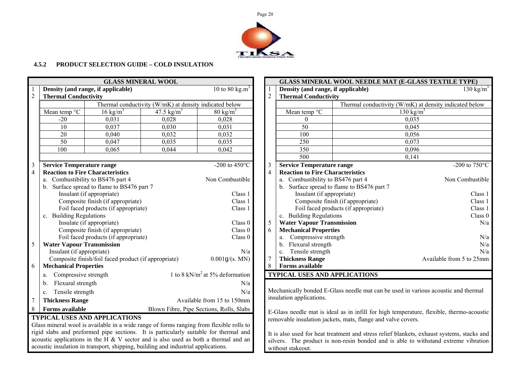

# **4.5.2 PRODUCT SELECTION GUIDE – COLD INSULATION**

| <b>GLASS MINERAL WOOL</b> |                                                                  |                                                                                   |                                                        |                                                                                         |                 |                                                 | GLASS MINERAL WOOL NEEDLE MAT (E-GLASS TEXTILE TYPE)         |                                                                                            |
|---------------------------|------------------------------------------------------------------|-----------------------------------------------------------------------------------|--------------------------------------------------------|-----------------------------------------------------------------------------------------|-----------------|-------------------------------------------------|--------------------------------------------------------------|--------------------------------------------------------------------------------------------|
|                           |                                                                  | Density (and range, if applicable)                                                |                                                        | 10 to 80 kg.m <sup>3</sup>                                                              |                 | Density (and range, if applicable)              |                                                              | 130 kg/ $m^3$                                                                              |
| $\sqrt{2}$                | <b>Thermal Conductivity</b>                                      |                                                                                   |                                                        |                                                                                         | $\overline{2}$  | <b>Thermal Conductivity</b>                     |                                                              |                                                                                            |
|                           |                                                                  |                                                                                   | Thermal conductivity (W/mK) at density indicated below |                                                                                         |                 |                                                 |                                                              | Thermal conductivity (W/mK) at density indicated below                                     |
|                           | Mean temp °C                                                     | $16 \text{ kg/m}^3$                                                               | 47.5 $\text{kg/m}^3$                                   | $80 \text{ kg/m}^3$                                                                     |                 | Mean temp °C                                    |                                                              | 130 kg/ $\overline{m^3}$                                                                   |
|                           | $-20$                                                            | 0,031                                                                             | 0,028                                                  | 0,028                                                                                   |                 | $\theta$                                        |                                                              | 0,035                                                                                      |
|                           | 10                                                               | 0,037                                                                             | 0,030                                                  | 0,031                                                                                   |                 | 50                                              |                                                              | 0,045                                                                                      |
|                           | 20                                                               | 0,040                                                                             | 0,032                                                  | 0,032                                                                                   |                 | 100                                             |                                                              | 0,056                                                                                      |
|                           | $\overline{50}$                                                  | 0,047                                                                             | 0,035                                                  | 0,035                                                                                   |                 | 250                                             |                                                              | 0,073                                                                                      |
|                           | 100                                                              | 0,065                                                                             | 0,044                                                  | 0,042                                                                                   |                 | 350                                             |                                                              | 0,096                                                                                      |
|                           |                                                                  |                                                                                   |                                                        |                                                                                         |                 | 500                                             |                                                              | 0,141                                                                                      |
| $\overline{3}$            | <b>Service Temperature range</b>                                 |                                                                                   |                                                        | -200 to 450 $^{\circ}$ C                                                                | $\mathfrak{Z}$  | <b>Service Temperature range</b>                |                                                              | -200 to $750^{\circ}$ C                                                                    |
| $\overline{4}$            |                                                                  | <b>Reaction to Fire Characteristics</b>                                           |                                                        |                                                                                         | $\overline{4}$  | <b>Reaction to Fire Characteristics</b>         |                                                              |                                                                                            |
|                           |                                                                  | a. Combustibility to BS476 part 4                                                 |                                                        | Non Combustible                                                                         |                 | a. Combustibility to BS476 part 4               |                                                              | Non Combustible                                                                            |
|                           |                                                                  | b. Surface spread to flame to BS476 part 7                                        |                                                        |                                                                                         |                 |                                                 | b. Surface spread to flame to BS476 part 7                   |                                                                                            |
|                           |                                                                  | Insulant (if appropriate)                                                         |                                                        | Class 1                                                                                 |                 | Insulant (if appropriate)                       |                                                              | Class 1                                                                                    |
|                           |                                                                  | Composite finish (if appropriate)                                                 |                                                        | Class 1                                                                                 |                 |                                                 | Composite finish (if appropriate)                            | Class 1                                                                                    |
|                           |                                                                  | Foil faced products (if appropriate)                                              |                                                        | Class 1                                                                                 |                 |                                                 | Foil faced products (if appropriate)                         | Class 1                                                                                    |
|                           | c. Building Regulations                                          |                                                                                   |                                                        |                                                                                         |                 | c. Building Regulations                         |                                                              | Class $0$                                                                                  |
|                           |                                                                  | Insulate (if appropriate)                                                         |                                                        | Class 0                                                                                 | $5\overline{)}$ | <b>Water Vapour Transmission</b>                |                                                              | N/a                                                                                        |
|                           |                                                                  | Composite finish (if appropriate)                                                 |                                                        | Class 0                                                                                 | 6               | <b>Mechanical Properties</b>                    |                                                              |                                                                                            |
| $\overline{5}$            | <b>Water Vapour Transmission</b>                                 | Foil faced products (if appropriate)                                              |                                                        | Class 0                                                                                 |                 | a. Compressive strength<br>b. Flexural strength |                                                              | N/a<br>N/a                                                                                 |
|                           | Insulant (if appropriate)                                        |                                                                                   |                                                        | N/a                                                                                     |                 | Tensile strength<br>$c_{\cdot}$                 |                                                              | N/a                                                                                        |
|                           |                                                                  | Composite finish/foil faced product (if appropriate)                              |                                                        | 0.001g/(s. MN)                                                                          | $\tau$          | <b>Thickness Range</b>                          |                                                              | Available from 5 to 25mm                                                                   |
| 6                         | <b>Mechanical Properties</b>                                     |                                                                                   |                                                        |                                                                                         | 8               | <b>Forms available</b>                          |                                                              |                                                                                            |
|                           | Compressive strength<br>a.                                       |                                                                                   |                                                        | 1 to 8 kN/m <sup>2</sup> at 5% deformation                                              |                 | <b>TYPICAL USES AND APPLICATIONS</b>            |                                                              |                                                                                            |
|                           |                                                                  |                                                                                   |                                                        |                                                                                         |                 |                                                 |                                                              |                                                                                            |
|                           | Flexural strength<br>$\mathbf b$                                 |                                                                                   |                                                        | N/a                                                                                     |                 |                                                 |                                                              | Mechanically bonded E-Glass needle mat can be used in various acoustic and thermal         |
|                           | Tensile strength<br>$\mathbf{c}$ .                               |                                                                                   |                                                        | N/a                                                                                     |                 | insulation applications.                        |                                                              |                                                                                            |
|                           | <b>Thickness Range</b>                                           |                                                                                   |                                                        | Available from 15 to 150mm                                                              |                 |                                                 |                                                              |                                                                                            |
|                           | 8<br>Forms available<br>Blown Fibre, Pipe Sections, Rolls, Slabs |                                                                                   |                                                        |                                                                                         |                 |                                                 |                                                              | E-Glass needle mat is ideal as in infill for high temperature, flexible, thermo-acoustic   |
|                           |                                                                  | <b>TYPICAL USES AND APPLICATIONS</b>                                              |                                                        |                                                                                         |                 |                                                 | removable insulation jackets, mats, flange and valve covers. |                                                                                            |
|                           |                                                                  |                                                                                   |                                                        | Glass mineral wool is available in a wide range of forms ranging from flexible rolls to |                 |                                                 |                                                              |                                                                                            |
|                           |                                                                  |                                                                                   |                                                        | rigid slabs and preformed pipe sections. It is particularly suitable for thermal and    |                 |                                                 |                                                              | It is also used for heat treatment and stress relief blankets, exhaust systems, stacks and |
|                           |                                                                  |                                                                                   |                                                        | acoustic applications in the H $\&$ V sector and is also used as both a thermal and an  |                 |                                                 |                                                              | silvers. The product is non-resin bonded and is able to withstand extreme vibration        |
|                           |                                                                  | acoustic insulation in transport, shipping, building and industrial applications. |                                                        |                                                                                         |                 | without stakeout.                               |                                                              |                                                                                            |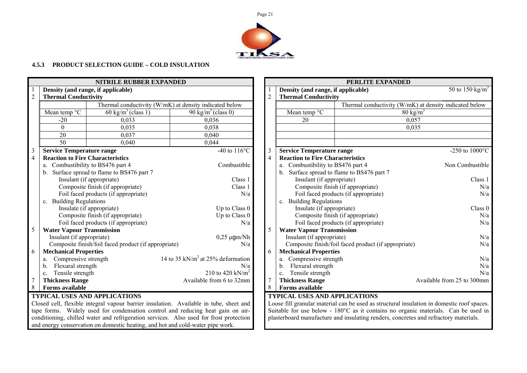

# **4.5.3 PRODUCT SELECTION GUIDE – COLD INSULATION**

|                                                                                                                                                                         |                                                 | <b>NITRILE RUBBER EXPANDED</b>                       |                                                                                        |                |                                                         | PERLITE EXPANDED                                                                           |                             |
|-------------------------------------------------------------------------------------------------------------------------------------------------------------------------|-------------------------------------------------|------------------------------------------------------|----------------------------------------------------------------------------------------|----------------|---------------------------------------------------------|--------------------------------------------------------------------------------------------|-----------------------------|
| Density (and range, if applicable)                                                                                                                                      |                                                 |                                                      |                                                                                        |                | Density (and range, if applicable)                      |                                                                                            | 50 to 150 kg/m <sup>3</sup> |
| $\overline{2}$                                                                                                                                                          | <b>Thermal Conductivity</b>                     |                                                      |                                                                                        | $\overline{c}$ | <b>Thermal Conductivity</b>                             |                                                                                            |                             |
|                                                                                                                                                                         |                                                 |                                                      | Thermal conductivity (W/mK) at density indicated below                                 |                |                                                         | Thermal conductivity (W/mK) at density indicated below                                     |                             |
|                                                                                                                                                                         | Mean temp $\overline{C}$                        | $60 \text{ kg/m}^3$ (class 1)                        | 90 kg/m <sup>3</sup> (class 0)                                                         |                | Mean temp $\rm ^oC$                                     | $80 \text{ kg/m}^3$                                                                        |                             |
|                                                                                                                                                                         | $-20$                                           | 0,033                                                | 0.036                                                                                  |                | 20                                                      | 0.057                                                                                      |                             |
|                                                                                                                                                                         | $\Omega$                                        | 0.035                                                | 0,038                                                                                  |                |                                                         | 0.035                                                                                      |                             |
|                                                                                                                                                                         | 20                                              | 0.037                                                | 0,040                                                                                  |                |                                                         |                                                                                            |                             |
|                                                                                                                                                                         | $\overline{50}$                                 | 0,040                                                | 0,044                                                                                  |                |                                                         |                                                                                            |                             |
| 3                                                                                                                                                                       | <b>Service Temperature range</b>                |                                                      | $-40$ to $116^{\circ}$ C                                                               | 3              | <b>Service Temperature range</b>                        |                                                                                            | -250 to $1000^{\circ}$ C    |
| $\overline{4}$                                                                                                                                                          | <b>Reaction to Fire Characteristics</b>         |                                                      |                                                                                        |                | <b>Reaction to Fire Characteristics</b>                 |                                                                                            |                             |
|                                                                                                                                                                         |                                                 | a. Combustibility to BS476 part 4                    | Combustible                                                                            |                | a. Combustibility to BS476 part 4                       |                                                                                            | Non Combustible             |
|                                                                                                                                                                         |                                                 | b. Surface spread to flame to BS476 part 7           |                                                                                        |                |                                                         | b. Surface spread to flame to BS476 part 7                                                 |                             |
|                                                                                                                                                                         |                                                 | Insulant (if appropriate)                            | Class 1                                                                                |                | Insulant (if appropriate)                               |                                                                                            | Class 1                     |
|                                                                                                                                                                         |                                                 | Composite finish (if appropriate)                    | Class 1                                                                                |                |                                                         | Composite finish (if appropriate)                                                          | N/a                         |
|                                                                                                                                                                         |                                                 | Foil faced products (if appropriate)                 | N/a                                                                                    |                |                                                         | Foil faced products (if appropriate)                                                       | N/a                         |
|                                                                                                                                                                         | c. Building Regulations                         |                                                      |                                                                                        |                | c. Building Regulations                                 |                                                                                            |                             |
|                                                                                                                                                                         |                                                 | Insulate (if appropriate)                            | Up to Class 0                                                                          |                | Insulate (if appropriate)                               |                                                                                            | Class 0                     |
|                                                                                                                                                                         |                                                 | Composite finish (if appropriate)                    | Up to Class 0                                                                          |                |                                                         | Composite finish (if appropriate)                                                          | N/a                         |
|                                                                                                                                                                         |                                                 | Foil faced products (if appropriate)                 | N/a                                                                                    |                |                                                         | Foil faced products (if appropriate)                                                       | N/a                         |
| 5                                                                                                                                                                       | <b>Water Vapour Transmission</b>                |                                                      |                                                                                        | 5              | <b>Water Vapour Transmission</b>                        |                                                                                            |                             |
|                                                                                                                                                                         | Insulant (if appropriate)                       |                                                      | $0,25 \mu$ gm/Nh                                                                       |                | Insulant (if appropriate)                               |                                                                                            | N/a                         |
|                                                                                                                                                                         |                                                 | Composite finish/foil faced product (if appropriate) | N/a                                                                                    |                |                                                         | Composite finish/foil faced product (if appropriate)                                       | N/a                         |
| 6                                                                                                                                                                       | <b>Mechanical Properties</b>                    |                                                      | 14 to 35 kN/ $m2$ at 25% deformation                                                   | 6              | <b>Mechanical Properties</b><br>a. Compressive strength |                                                                                            |                             |
|                                                                                                                                                                         | Compressive strength<br>a.<br>Flexural strength |                                                      | N/a                                                                                    |                | Flexural strength<br>$\mathbf{b}$ .                     |                                                                                            | N/a<br>N/a                  |
|                                                                                                                                                                         | b.<br>Tensile strength                          |                                                      | 210 to 420 kN/m <sup>2</sup>                                                           |                | Tensile strength                                        |                                                                                            | N/a                         |
|                                                                                                                                                                         | c.<br><b>Thickness Range</b>                    |                                                      | Available from 6 to 32mm                                                               |                | $c_{-}$<br><b>Thickness Range</b>                       |                                                                                            | Available from 25 to 300mm  |
| 8                                                                                                                                                                       | <b>Forms available</b>                          |                                                      |                                                                                        |                | <b>Forms available</b>                                  |                                                                                            |                             |
|                                                                                                                                                                         |                                                 | <b>TYPICAL USES AND APPLICATIONS</b>                 |                                                                                        |                | <b>TYPICAL USES AND APPLICATIONS</b>                    |                                                                                            |                             |
|                                                                                                                                                                         |                                                 |                                                      | Closed cell, flexible integral vapour barrier insulation. Available in tube, sheet and |                |                                                         | Loose fill granular material can be used as structural insulation in domestic roof spaces. |                             |
|                                                                                                                                                                         |                                                 |                                                      |                                                                                        |                |                                                         | Suitable for use below - 180°C as it contains no organic materials. Can be used in         |                             |
| tape forms. Widely used for condensation control and reducing heat gain on air-<br>conditioning obiled water and refrigeration services. Also used for frest protection |                                                 |                                                      |                                                                                        |                |                                                         | plasterheard manufacture and insulating renders, concretes and refrectory materials        |                             |

|                                                                                |  |  |  | tape forms. Widely used for condensation control and reducing heat gain on air-        |  |
|--------------------------------------------------------------------------------|--|--|--|----------------------------------------------------------------------------------------|--|
|                                                                                |  |  |  |                                                                                        |  |
|                                                                                |  |  |  | conditioning, chilled water and refrigeration services. Also used for frost protection |  |
| and energy conservation on domestic heating, and hot and cold-water pipe work. |  |  |  |                                                                                        |  |

|                                         | PERLITE EXPANDED                                       |                             |
|-----------------------------------------|--------------------------------------------------------|-----------------------------|
| Density (and range, if applicable)      |                                                        | 50 to 150 kg/m <sup>3</sup> |
| <b>Thermal Conductivity</b>             |                                                        |                             |
|                                         | Thermal conductivity (W/mK) at density indicated below |                             |
| Mean temp °C                            | $80 \text{ kg/m}^3$                                    |                             |
| 20                                      | 0,057                                                  |                             |
|                                         | 0,035                                                  |                             |
| <b>Service Temperature range</b>        |                                                        | $-250$ to $1000^{\circ}$ C  |
| <b>Reaction to Fire Characteristics</b> |                                                        |                             |
| Combustibility to BS476 part 4<br>a.    |                                                        | Non Combustible             |
| b.                                      | Surface spread to flame to BS476 part 7                |                             |
| Insulant (if appropriate)               |                                                        | Class 1                     |
|                                         | Composite finish (if appropriate)                      | N/a                         |
|                                         | Foil faced products (if appropriate)                   | N/a                         |
| c. Building Regulations                 |                                                        |                             |
| Insulate (if appropriate)               |                                                        | Class 0                     |
|                                         | Composite finish (if appropriate)                      | N/a                         |
|                                         | Foil faced products (if appropriate)                   | N/a                         |
| <b>Water Vapour Transmission</b>        |                                                        |                             |
| Insulant (if appropriate)               |                                                        | N/a                         |
|                                         | Composite finish/foil faced product (if appropriate)   | N/a                         |
| <b>Mechanical Properties</b>            |                                                        |                             |
| Compressive strength<br>а.              |                                                        | N/a                         |
| b. Flexural strength                    |                                                        | N/a                         |
| Tensile strength<br>$\mathbf{c}$ .      |                                                        | N/a                         |
| <b>Thickness Range</b>                  |                                                        | Available from 25 to 300mm  |
| <b>Forms available</b>                  |                                                        |                             |

Loose fill granular material can be used as structural insulation in domestic roof spaces. Suitable for use below - 180°C as it contains no organic materials. Can be used in plasterboard manufacture and insulating renders, concretes and refractory materials.

Page 21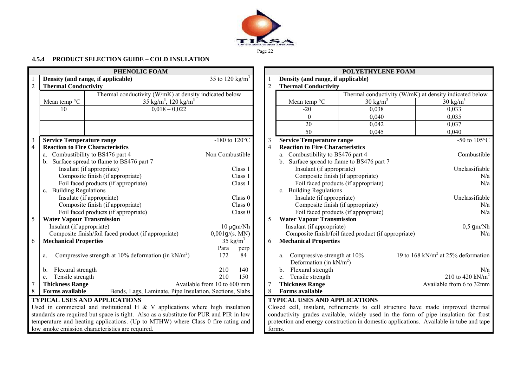

# Page 22

#### **4.5.4 PRODUCT SELECTION GUIDE – COLD INSULATION**

| PHENOLIC FOAM<br>POLYETHYLENE FOAM                                                                                                                                            |                                                |
|-------------------------------------------------------------------------------------------------------------------------------------------------------------------------------|------------------------------------------------|
| 35 to 120 kg/m <sup>3</sup><br>Density (and range, if applicable)<br>Density (and range, if applicable)                                                                       |                                                |
| $\overline{2}$<br>$\overline{2}$<br><b>Thermal Conductivity</b><br><b>Thermal Conductivity</b>                                                                                |                                                |
| Thermal conductivity (W/mK) at density indicated below<br>Thermal conductivity (W/mK) at density indicated below                                                              |                                                |
| Mean temp °C<br>35 kg/m <sup>3</sup> , 120 kg/m <sup>3</sup><br>Mean temp $\mathrm{^{\circ}C}$<br>$30 \text{ kg/m}^3$                                                         | $30 \text{ kg/m}^3$                            |
| 0.038<br>$0,018 - 0,022$<br>10<br>$-20$                                                                                                                                       | 0,033                                          |
| $\mathbf{0}$<br>0,040                                                                                                                                                         | 0,035                                          |
| 20<br>0,042                                                                                                                                                                   | 0,037                                          |
| 50<br>0,045                                                                                                                                                                   | 0,040                                          |
| -180 to 120 $\mathrm{^{\circ}C}$<br>$\mathfrak{Z}$<br><b>Service Temperature range</b><br><b>Service Temperature range</b><br>3                                               | $-50$ to $105^{\circ}$ C                       |
| $\overline{4}$<br>$\overline{4}$<br><b>Reaction to Fire Characteristics</b><br><b>Reaction to Fire Characteristics</b>                                                        |                                                |
| a. Combustibility to BS476 part 4<br>a. Combustibility to BS476 part 4<br>Non Combustible                                                                                     | Combustible                                    |
| b. Surface spread to flame to BS476 part 7<br>b. Surface spread to flame to BS476 part 7                                                                                      |                                                |
| Insulant (if appropriate)<br>Insulant (if appropriate)<br>Class 1                                                                                                             | Unclassifiable                                 |
| Composite finish (if appropriate)<br>Composite finish (if appropriate)<br>Class 1                                                                                             | N/a                                            |
| Foil faced products (if appropriate)<br>Foil faced products (if appropriate)<br>Class 1                                                                                       | N/a                                            |
| c. Building Regulations<br>c. Building Regulations                                                                                                                            |                                                |
| Insulate (if appropriate)<br>Insulate (if appropriate)<br>Class 0                                                                                                             | Unclassifiable                                 |
| Composite finish (if appropriate)<br>Composite finish (if appropriate)<br>Class 0                                                                                             | N/a                                            |
| Foil faced products (if appropriate)<br>Foil faced products (if appropriate)<br>Class 0                                                                                       | N/a                                            |
| 5<br><b>Water Vapour Transmission</b><br><b>Water Vapour Transmission</b><br>5                                                                                                |                                                |
| Insulant (if appropriate)<br>Insulant (if appropriate)<br>$10 \mu$ gm/Nh                                                                                                      | $0,5$ gm/Nh                                    |
| Composite finish/foil faced product (if appropriate)<br>0,001g/(s. MN)<br>Composite finish/foil faced product (if appropriate)                                                | N/a                                            |
| <b>Mechanical Properties</b><br>$35 \text{ kg/m}^3$<br>6<br><b>Mechanical Properties</b><br>6                                                                                 |                                                |
| Para<br>perp                                                                                                                                                                  |                                                |
| Compressive strength at 10% deformation (in $kN/m^2$ )<br>172<br>Compressive strength at 10%<br>84<br>a.<br>a.<br>Deformation (in $kN/m^2$ )                                  | 19 to 168 kN/m <sup>2</sup> at 25% deformation |
| 210<br>Flexural strength<br>Flexural strength<br>140<br>b.<br>$b_{1}$                                                                                                         | N/a                                            |
| c. Tensile strength<br>210<br>Tensile strength<br>150<br>$\mathbf{c}$ .                                                                                                       | 210 to 420 kN/ $m^2$                           |
| Available from 10 to 600 mm<br>$\tau$<br><b>Thickness Range</b><br>$\overline{7}$<br><b>Thickness Range</b>                                                                   | Available from 6 to 32mm                       |
| 8<br>8<br><b>Forms available</b><br>Bends, Lags, Laminate, Pipe Insulation, Sections, Slabs<br>Forms available                                                                |                                                |
| <b>TYPICAL USES AND APPLICATIONS</b><br><b>TYPICAL USES AND APPLICATIONS</b>                                                                                                  |                                                |
| Used in commercial and institutional H $&$ V applications where high insulation<br>Closed cell, insulant, refinements to cell structure have made improved thermal            |                                                |
| standards are required but space is tight. Also as a substitute for PUR and PIR in low<br>conductivity grades available, widely used in the form of pipe insulation for frost |                                                |
| temperature and heating applications. (Up to MTHW) where Class 0 fire rating and<br>protection and energy construction in domestic applications. Available in tube and tape   |                                                |
| low smoke emission characteristics are required.<br>forms.                                                                                                                    |                                                |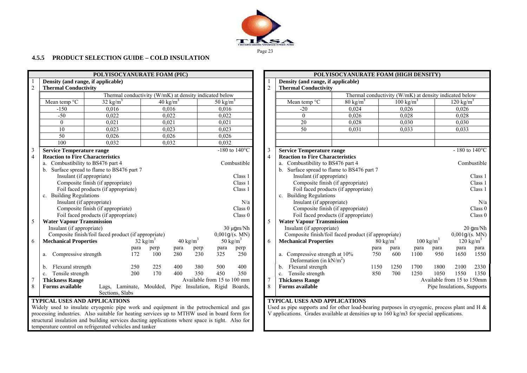

#### **4.5.5 PRODUCT SELECTION GUIDE – COLD INSULATION**

|                | POLYISOCYANURATE FOAM (PIC)                                                                     |                     |                                                         |                     |                     |                                      |                                   |                                            |                |                                                                                                  | POLYISOCYANURATE FOAM (HIGH DENSITY)                   |                     |                      |                            |                            |                           |  |
|----------------|-------------------------------------------------------------------------------------------------|---------------------|---------------------------------------------------------|---------------------|---------------------|--------------------------------------|-----------------------------------|--------------------------------------------|----------------|--------------------------------------------------------------------------------------------------|--------------------------------------------------------|---------------------|----------------------|----------------------------|----------------------------|---------------------------|--|
|                | Density (and range, if applicable)                                                              |                     |                                                         |                     |                     |                                      |                                   |                                            |                | Density (and range, if applicable)                                                               |                                                        |                     |                      |                            |                            |                           |  |
| $\sqrt{2}$     | <b>Thermal Conductivity</b>                                                                     |                     |                                                         |                     |                     |                                      |                                   |                                            | $\overline{2}$ | <b>Thermal Conductivity</b>                                                                      |                                                        |                     |                      |                            |                            |                           |  |
|                |                                                                                                 |                     | Thermal conductivity (W/mK) at density indicated below  |                     |                     |                                      |                                   |                                            |                |                                                                                                  | Thermal conductivity (W/mK) at density indicated below |                     |                      |                            |                            |                           |  |
|                | Mean temp $\overline{C}$                                                                        | $32 \text{ kg/m}^3$ |                                                         |                     | $40 \text{ kg/m}^3$ |                                      | 50 kg/m <sup>3</sup>              |                                            |                | Mean temp $\overline{C}$                                                                         | $80 \text{ kg/m}^3$                                    |                     | $100 \text{ kg/m}^3$ |                            | $120 \text{ kg/m}^3$       |                           |  |
|                | $-150$                                                                                          |                     | 0.016                                                   |                     | 0.016               |                                      | 0.016                             |                                            |                | $-20$                                                                                            | 0.024                                                  |                     | 0.026                |                            | 0.026                      |                           |  |
|                | $-50$                                                                                           |                     | 0.022                                                   |                     | 0,022               |                                      | 0,022                             |                                            |                | $\Omega$                                                                                         | 0.026                                                  |                     | 0,028                |                            | 0,028                      |                           |  |
|                | $\mathbf{0}$                                                                                    | 0,021               |                                                         |                     | 0,021               |                                      | 0,021                             |                                            |                | 20                                                                                               | 0,028                                                  |                     | 0,030                |                            | 0,030                      |                           |  |
|                | $\overline{10}$                                                                                 |                     | 0,023                                                   |                     | 0,023               |                                      | 0,023                             |                                            |                | $\overline{50}$                                                                                  | 0,031                                                  |                     | 0,033                |                            | 0,033                      |                           |  |
|                | $\overline{50}$                                                                                 |                     | 0,026                                                   |                     | 0,026               |                                      | 0,026                             |                                            |                |                                                                                                  |                                                        |                     |                      |                            |                            |                           |  |
|                | 100                                                                                             |                     | 0.032                                                   |                     | 0,032               |                                      | 0,032                             |                                            |                |                                                                                                  |                                                        |                     |                      |                            |                            |                           |  |
| 3              | Service Temperature range                                                                       |                     |                                                         |                     |                     |                                      |                                   | -180 to $140^{\circ}$ C                    | $\overline{3}$ | <b>Service Temperature range</b>                                                                 |                                                        |                     |                      |                            |                            | $-180$ to $140^{\circ}$ C |  |
| $\overline{4}$ | <b>Reaction to Fire Characteristics</b>                                                         |                     |                                                         |                     |                     |                                      |                                   |                                            | $\overline{4}$ | <b>Reaction to Fire Characteristics</b>                                                          |                                                        |                     |                      |                            |                            |                           |  |
|                | a. Combustibility to BS476 part 4                                                               |                     |                                                         |                     |                     |                                      |                                   | Combustible                                |                | a. Combustibility to BS476 part 4                                                                |                                                        |                     |                      |                            |                            | Combustible               |  |
|                | b. Surface spread to flame to BS476 part 7                                                      |                     |                                                         |                     |                     |                                      |                                   | b. Surface spread to flame to BS476 part 7 |                |                                                                                                  |                                                        |                     |                      |                            |                            |                           |  |
|                | Insulant (if appropriate)<br>Class 1                                                            |                     |                                                         |                     |                     |                                      |                                   | Insulant (if appropriate)                  |                |                                                                                                  |                                                        |                     |                      | Class 1                    |                            |                           |  |
|                | Composite finish (if appropriate)                                                               |                     |                                                         |                     | Class 1             |                                      | Composite finish (if appropriate) |                                            |                |                                                                                                  |                                                        |                     | Class 1              |                            |                            |                           |  |
|                | Foil faced products (if appropriate)<br>Class 1                                                 |                     |                                                         |                     |                     | Foil faced products (if appropriate) |                                   |                                            |                |                                                                                                  |                                                        | Class 1             |                      |                            |                            |                           |  |
|                | c. Building Regulations<br>Insulant (if appropriate)                                            |                     |                                                         | N/a                 |                     | c. Building Regulations              |                                   |                                            |                |                                                                                                  |                                                        |                     |                      |                            |                            |                           |  |
|                | Composite finish (if appropriate)                                                               |                     |                                                         |                     |                     |                                      |                                   | Class 0                                    |                | Insulant (if appropriate)<br>Composite finish (if appropriate)                                   |                                                        |                     |                      |                            |                            | N/a<br>Class 0            |  |
|                | Foil faced products (if appropriate)                                                            |                     |                                                         |                     |                     |                                      |                                   | Class 0                                    |                | Foil faced products (if appropriate)                                                             |                                                        |                     |                      |                            |                            | Class 0                   |  |
| 5              | <b>Water Vapour Transmission</b>                                                                |                     |                                                         |                     |                     |                                      |                                   |                                            | 5              | <b>Water Vapour Transmission</b>                                                                 |                                                        |                     |                      |                            |                            |                           |  |
|                | Insulant (if appropriate)                                                                       |                     |                                                         |                     |                     |                                      |                                   | $30 \mu$ gm/Nh                             |                | Insulant (if appropriate)                                                                        |                                                        |                     |                      |                            |                            | 20 gm/Nh                  |  |
|                | Composite finish/foil faced product (if appropriate)                                            |                     |                                                         |                     |                     |                                      |                                   | 0,001g/(s. MN)                             |                | Composite finish/foil faced product (if appropriate)                                             |                                                        |                     |                      |                            |                            | 0,001g/(s. MN)            |  |
| 6              | <b>Mechanical Properties</b>                                                                    |                     |                                                         | $32 \text{ kg/m}^3$ |                     | $40 \text{ kg/m}^3$                  |                                   | 50 kg/m <sup>3</sup>                       | 6              | <b>Mechanical Properties</b>                                                                     |                                                        | $80 \text{ kg/m}^3$ |                      | $100 \text{ kg/m}^3$       |                            | $120 \text{ kg/m}^3$      |  |
|                |                                                                                                 |                     | para                                                    | perp                | para                | perp                                 | para                              | perp                                       |                |                                                                                                  | para                                                   | para                | para                 | para                       | para                       | para                      |  |
|                | a. Compressive strength                                                                         |                     | 172                                                     | 100                 | 280                 | 230                                  | 325                               | 250                                        |                | a. Compressive strength at 10%                                                                   | 750                                                    | 600                 | 1100                 | 950                        | 1650                       | 1550                      |  |
|                |                                                                                                 |                     |                                                         |                     |                     |                                      |                                   |                                            |                | Deformation (in $kN/m^2$ )                                                                       |                                                        |                     |                      |                            |                            |                           |  |
|                | Flexural strength<br>b.                                                                         |                     | 250                                                     | 225                 | 400                 | 380                                  | 500                               | 400                                        |                | Flexural strength<br>b.                                                                          | 1150                                                   | 1250                | 1700                 | 1800                       | 2100                       | 2330                      |  |
|                | Tensile strength<br>$c_{\cdot}$                                                                 |                     | 200                                                     | 170                 | 400                 | 350                                  | 450                               | 350                                        |                | Tensile strength<br>c.                                                                           | 850                                                    | 700                 | 1250                 | 1050                       | 1550                       | 1350                      |  |
|                | <b>Thickness Range</b>                                                                          |                     |                                                         |                     |                     | Available from 15 to 100 mm          |                                   |                                            | $\overline{7}$ | <b>Thickness Range</b>                                                                           |                                                        |                     |                      | Available from 15 to 150mm |                            |                           |  |
| 8              | Forms available                                                                                 |                     | Lags, Laminate, Moulded, Pipe Insulation, Rigid Boards, |                     |                     |                                      |                                   |                                            | 8              | <b>Forms available</b>                                                                           |                                                        |                     |                      |                            | Pipe Insulations, Supports |                           |  |
|                |                                                                                                 |                     | Sections, Slabs                                         |                     |                     |                                      |                                   |                                            |                |                                                                                                  |                                                        |                     |                      |                            |                            |                           |  |
|                | <b>TYPICAL USES AND APPLICATIONS</b>                                                            |                     |                                                         |                     |                     |                                      |                                   |                                            |                | <b>TYPICAL USES AND APPLICATIONS</b>                                                             |                                                        |                     |                      |                            |                            |                           |  |
|                | Widely used to insulate cryogenic pipe work and equipment in the petrochemical and gas          |                     |                                                         |                     |                     |                                      |                                   |                                            |                | Used as pipe supports and for other load-bearing purposes in cryogenic, process plant and H $\&$ |                                                        |                     |                      |                            |                            |                           |  |
|                | processing industries. Also suitable for heating services up to MTHW used in board form for     |                     |                                                         |                     |                     |                                      |                                   |                                            |                | V applications. Grades available at densities up to 160 kg/m3 for special applications.          |                                                        |                     |                      |                            |                            |                           |  |
|                | structural insulation and building services ducting applications where space is tight. Also for |                     |                                                         |                     |                     |                                      |                                   |                                            |                |                                                                                                  |                                                        |                     |                      |                            |                            |                           |  |

temperature control on refrigerated vehicles and tanker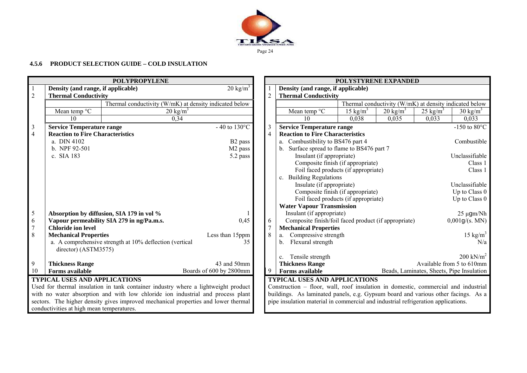

# **4.5.6 PRODUCT SELECTION GUIDE – COLD INSULATION**

|                                                                                    |                                           | <b>POLYPROPYLENE</b>                                                               |                          |                | POLYSTYRENE EXPANDED                                                               |             |                                                        |                     |                                           |  |
|------------------------------------------------------------------------------------|-------------------------------------------|------------------------------------------------------------------------------------|--------------------------|----------------|------------------------------------------------------------------------------------|-------------|--------------------------------------------------------|---------------------|-------------------------------------------|--|
|                                                                                    | Density (and range, if applicable)        |                                                                                    | $20 \text{ kg/m}^3$      |                | Density (and range, if applicable)                                                 |             |                                                        |                     |                                           |  |
| $\overline{2}$                                                                     | <b>Thermal Conductivity</b>               |                                                                                    |                          | $\overline{2}$ | <b>Thermal Conductivity</b>                                                        |             |                                                        |                     |                                           |  |
|                                                                                    |                                           | Thermal conductivity (W/mK) at density indicated below                             |                          |                |                                                                                    |             | Thermal conductivity (W/mK) at density indicated below |                     |                                           |  |
|                                                                                    | Mean temp °C                              | $20 \text{ kg/m}^3$                                                                |                          |                | Mean temp °C                                                                       | 15 kg/ $m3$ | $20 \text{ kg/m}^3$                                    | $25 \text{ kg/m}^3$ | $30 \text{ kg/m}^3$                       |  |
|                                                                                    | 10 <sup>1</sup>                           | 0,34                                                                               |                          |                | 10                                                                                 | 0.038       | 0,035                                                  | 0,033               | 0,033                                     |  |
| $\mathfrak{Z}$                                                                     | <b>Service Temperature range</b>          |                                                                                    | $-40$ to $130^{\circ}$ C | 3              | <b>Service Temperature range</b>                                                   |             |                                                        |                     | -150 to 80 $^{\circ}$ C                   |  |
| $\overline{4}$                                                                     | <b>Reaction to Fire Characteristics</b>   |                                                                                    |                          | 4              | <b>Reaction to Fire Characteristics</b>                                            |             |                                                        |                     |                                           |  |
|                                                                                    | a. DIN 4102                               |                                                                                    | B <sub>2</sub> pass      |                | a. Combustibility to BS476 part 4                                                  |             |                                                        |                     | Combustible                               |  |
|                                                                                    | b. NPF 92-501                             |                                                                                    | M <sub>2</sub> pass      |                | Surface spread to flame to BS476 part 7<br>b.                                      |             |                                                        |                     |                                           |  |
|                                                                                    | c. SIA 183                                |                                                                                    | 5.2 pass                 |                | Insulant (if appropriate)                                                          |             |                                                        |                     | Unclassifiable                            |  |
|                                                                                    |                                           |                                                                                    |                          |                | Composite finish (if appropriate)                                                  |             |                                                        |                     | Class 1                                   |  |
|                                                                                    |                                           |                                                                                    |                          |                | Foil faced products (if appropriate)                                               |             |                                                        |                     | Class 1                                   |  |
|                                                                                    |                                           |                                                                                    |                          |                | c. Building Regulations                                                            |             |                                                        |                     |                                           |  |
|                                                                                    |                                           |                                                                                    |                          |                | Insulate (if appropriate)                                                          |             |                                                        |                     | Unclassifiable                            |  |
|                                                                                    |                                           |                                                                                    |                          |                | Composite finish (if appropriate)                                                  |             |                                                        |                     | Up to Class 0                             |  |
|                                                                                    |                                           |                                                                                    |                          |                | Foil faced products (if appropriate)                                               |             |                                                        |                     | Up to Class 0                             |  |
|                                                                                    |                                           |                                                                                    |                          |                | <b>Water Vapour Transmission</b>                                                   |             |                                                        |                     |                                           |  |
| $\mathfrak{S}$                                                                     |                                           | Absorption by diffusion, SIA 179 in vol %                                          |                          |                | Insulant (if appropriate)                                                          |             |                                                        |                     | $25 \mu$ gm/Nh                            |  |
| 6                                                                                  |                                           | Vapour permeability SIA 279 in ng/Pa.m.s.                                          | 0,45                     | 6              | Composite finish/foil faced product (if appropriate)                               |             |                                                        |                     | 0,001g/(s. MN)                            |  |
| $\overline{7}$                                                                     | <b>Chloride ion level</b>                 |                                                                                    |                          |                | <b>Mechanical Properties</b>                                                       |             |                                                        |                     |                                           |  |
| 8                                                                                  | <b>Mechanical Properties</b>              |                                                                                    | Less than 15ppm          | 8              | Compressive strength<br>a.                                                         |             |                                                        |                     | 15 kg/ $m^3$                              |  |
|                                                                                    |                                           | a. A comprehensive strength at 10% deflection (vertical                            | 35                       |                | Flexural strength<br>$b_{\cdot}$                                                   |             |                                                        |                     | N/a                                       |  |
|                                                                                    | director) (ASTM3575)                      |                                                                                    |                          |                |                                                                                    |             |                                                        |                     |                                           |  |
|                                                                                    |                                           |                                                                                    |                          |                | Tensile strength<br>$c_{\cdot}$                                                    |             |                                                        |                     | $200$ kN/m <sup>2</sup>                   |  |
| 9                                                                                  | <b>Thickness Range</b>                    |                                                                                    | 43 and 50mm              |                | <b>Thickness Range</b>                                                             |             |                                                        |                     | Available from 5 to 610mm                 |  |
| 10                                                                                 | <b>Forms available</b>                    |                                                                                    | Boards of 600 by 2800mm  | 9              | <b>Forms available</b>                                                             |             |                                                        |                     | Beads, Laminates, Sheets, Pipe Insulation |  |
|                                                                                    | <b>TYPICAL USES AND APPLICATIONS</b>      |                                                                                    |                          |                | <b>TYPICAL USES AND APPLICATIONS</b>                                               |             |                                                        |                     |                                           |  |
| Used for thermal insulation in tank container industry where a lightweight product |                                           |                                                                                    |                          |                | Construction – floor, wall, roof insulation in domestic, commercial and industrial |             |                                                        |                     |                                           |  |
| with no water absorption and with low chloride ion industrial and process plant    |                                           |                                                                                    |                          |                | buildings. As laminated panels, e.g. Gypsum board and various other facings. As a  |             |                                                        |                     |                                           |  |
|                                                                                    |                                           | sectors. The higher density gives improved mechanical properties and lower thermal |                          |                | pipe insulation material in commercial and industrial refrigeration applications.  |             |                                                        |                     |                                           |  |
|                                                                                    | conductivities at high mean temperatures. |                                                                                    |                          |                |                                                                                    |             |                                                        |                     |                                           |  |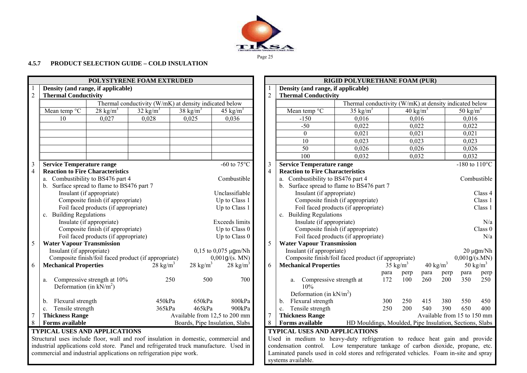

Page 25

# **4.5.7 PRODUCT SELECTION GUIDE – COLD INSULATION**

|                 | POLYSTYRENE FOAM EXTRUDED                                                           |                                      |                                                                                       |                     |                                       |                | <b>RIGID POLYURETHANE FOAM (PUR)</b>    |                                                                            |                                                                                        |             |                     |                      |                     |                             |                           |
|-----------------|-------------------------------------------------------------------------------------|--------------------------------------|---------------------------------------------------------------------------------------|---------------------|---------------------------------------|----------------|-----------------------------------------|----------------------------------------------------------------------------|----------------------------------------------------------------------------------------|-------------|---------------------|----------------------|---------------------|-----------------------------|---------------------------|
|                 | Density (and range, if applicable)                                                  |                                      |                                                                                       |                     |                                       |                | Density (and range, if applicable)      |                                                                            |                                                                                        |             |                     |                      |                     |                             |                           |
| $\sqrt{2}$      | <b>Thermal Conductivity</b>                                                         |                                      |                                                                                       |                     |                                       | $\sqrt{2}$     | <b>Thermal Conductivity</b>             |                                                                            |                                                                                        |             |                     |                      |                     |                             |                           |
|                 |                                                                                     |                                      | Thermal conductivity (W/mK) at density indicated below                                |                     |                                       |                |                                         |                                                                            | Thermal conductivity (W/mK) at density indicated below                                 |             |                     |                      |                     |                             |                           |
|                 | Mean temp $\overline{C}$                                                            | $28 \text{ kg/m}^3$                  | $32 \text{ kg/m}^3$                                                                   | 38 kg/ $m^3$        | 45 kg/m <sup>3</sup>                  |                | Mean temp $\overline{C}$                |                                                                            | $35 \text{ kg/m}^3$                                                                    |             |                     | 40 kg/m <sup>3</sup> |                     | 50 kg/m <sup>3</sup>        |                           |
|                 | 10                                                                                  | 0,027                                | 0.028                                                                                 | 0,025               | 0.036                                 |                | $-150$                                  |                                                                            | 0,016                                                                                  |             |                     | 0,016                |                     | 0,016                       |                           |
|                 |                                                                                     |                                      |                                                                                       |                     |                                       |                | $-50$                                   |                                                                            | 0,022                                                                                  |             |                     | 0,022                |                     | 0,022                       |                           |
|                 |                                                                                     |                                      |                                                                                       |                     |                                       |                | $\mathbf{0}$                            |                                                                            | 0,021                                                                                  |             | 0,021               |                      |                     | 0,021                       |                           |
|                 |                                                                                     |                                      |                                                                                       |                     |                                       |                | 10                                      |                                                                            | 0,023                                                                                  |             | 0,023               |                      |                     | 0,023                       |                           |
|                 |                                                                                     |                                      |                                                                                       |                     |                                       |                | $\overline{50}$                         |                                                                            | 0,026                                                                                  |             |                     | 0,026                |                     | 0,026                       |                           |
|                 |                                                                                     |                                      |                                                                                       |                     |                                       |                | 100                                     |                                                                            | 0,032                                                                                  |             | 0,032               |                      |                     | 0,032                       |                           |
| 3               | <b>Service Temperature range</b>                                                    |                                      |                                                                                       |                     | -60 to $75^{\circ}$ C                 | $\mathfrak{Z}$ | <b>Service Temperature range</b>        |                                                                            |                                                                                        |             |                     |                      |                     |                             | $-180$ to $110^{\circ}$ C |
| $\overline{4}$  | <b>Reaction to Fire Characteristics</b>                                             |                                      |                                                                                       |                     |                                       | $\overline{4}$ | <b>Reaction to Fire Characteristics</b> |                                                                            |                                                                                        |             |                     |                      |                     |                             |                           |
|                 | a. Combustibility to BS476 part 4                                                   |                                      |                                                                                       |                     | Combustible                           |                | a. Combustibility to BS476 part 4       |                                                                            |                                                                                        |             |                     |                      |                     |                             | Combustible               |
|                 | b. Surface spread to flame to BS476 part 7                                          |                                      |                                                                                       |                     |                                       |                |                                         |                                                                            | b. Surface spread to flame to BS476 part 7                                             |             |                     |                      |                     |                             |                           |
|                 |                                                                                     | Insulant (if appropriate)            |                                                                                       |                     | Unclassifiable                        |                |                                         | Insulant (if appropriate)                                                  |                                                                                        |             |                     |                      |                     |                             | Class 4                   |
|                 |                                                                                     | Composite finish (if appropriate)    |                                                                                       |                     | Up to Class 1                         |                |                                         |                                                                            | Composite finish (if appropriate)                                                      |             |                     |                      |                     |                             | Class 1                   |
|                 | Foil faced products (if appropriate)<br>Up to Class 1                               |                                      |                                                                                       |                     |                                       |                |                                         | Foil faced products (if appropriate)                                       |                                                                                        |             |                     |                      |                     | Class 1                     |                           |
|                 | c. Building Regulations                                                             |                                      |                                                                                       |                     |                                       |                | c. Building Regulations                 |                                                                            |                                                                                        |             |                     |                      |                     |                             |                           |
|                 |                                                                                     | Insulate (if appropriate)            |                                                                                       |                     | <b>Exceeds limits</b>                 |                |                                         | Insulate (if appropriate)                                                  |                                                                                        |             |                     |                      |                     |                             | N/a                       |
|                 |                                                                                     | Composite finish (if appropriate)    |                                                                                       |                     | Up to Class $0$                       |                |                                         |                                                                            | Composite finish (if appropriate)                                                      |             |                     |                      |                     |                             | Class 0                   |
|                 |                                                                                     | Foil faced products (if appropriate) |                                                                                       |                     | Up to Class 0                         |                |                                         |                                                                            | Foil faced products (if appropriate)                                                   |             |                     |                      |                     |                             | N/a                       |
| $5\overline{)}$ | <b>Water Vapour Transmission</b>                                                    |                                      |                                                                                       |                     |                                       | 5              | <b>Water Vapour Transmission</b>        |                                                                            |                                                                                        |             |                     |                      |                     |                             |                           |
|                 | Insulant (if appropriate)                                                           |                                      |                                                                                       |                     | $0,15$ to $0,075 \,\mu$ gm/Nh         |                | Insulant (if appropriate)               |                                                                            |                                                                                        |             |                     |                      |                     |                             | $20 \mu$ gm/Nh            |
| 6               | <b>Mechanical Properties</b>                                                        |                                      | Composite finish/foil faced product (if appropriate)                                  | $28 \text{ kg/m}^3$ | 0,001g/(s. MN)<br>$28 \text{ kg/m}^3$ | 6              |                                         |                                                                            | Composite finish/foil faced product (if appropriate)                                   |             |                     |                      |                     | 0,001g/(s.MN)               |                           |
|                 |                                                                                     |                                      | $28 \text{ kg/m}^3$                                                                   |                     |                                       |                | <b>Mechanical Properties</b>            |                                                                            |                                                                                        |             | $35 \text{ kg/m}^3$ |                      | $40 \text{ kg/m}^3$ |                             | 50 kg/m <sup>3</sup>      |
|                 |                                                                                     | Compressive strength at 10%          | 250                                                                                   | 500                 | 700                                   |                | a.                                      | Compressive strength at                                                    |                                                                                        | para<br>172 | perp<br>100         | para<br>260          | perp<br>200         | para<br>350                 | perp<br>250               |
|                 | a.<br>Deformation (in $kN/m^2$ )                                                    |                                      |                                                                                       |                     |                                       |                | 10%                                     |                                                                            |                                                                                        |             |                     |                      |                     |                             |                           |
|                 |                                                                                     |                                      |                                                                                       |                     |                                       |                |                                         | Deformation (in $kN/m^2$ )                                                 |                                                                                        |             |                     |                      |                     |                             |                           |
|                 | Flexural strength<br>b.                                                             |                                      | 450kPa                                                                                | 650kPa              | 800kPa                                |                | Flexural strength<br>b.                 |                                                                            |                                                                                        | 300         | 250                 | 415                  | 380                 | 550                         | 450                       |
|                 | c. Tensile strength                                                                 |                                      | 365kPa                                                                                | 465kPa              | 900kPa                                |                | Tensile strength<br>$\mathbf{c}$ .      |                                                                            |                                                                                        | 250         | 200                 | 540                  | 390                 | 650                         | 400                       |
|                 | <b>Thickness Range</b>                                                              |                                      |                                                                                       |                     | Available from 12,5 to 200 mm         | $\overline{7}$ | <b>Thickness Range</b>                  |                                                                            |                                                                                        |             |                     |                      |                     | Available from 15 to 150 mm |                           |
| 8               | Forms available                                                                     |                                      |                                                                                       |                     | Boards, Pipe Insulation, Slabs        | 8              | <b>Forms available</b>                  |                                                                            | HD Mouldings, Moulded, Pipe Insulation, Sections, Slabs                                |             |                     |                      |                     |                             |                           |
|                 | <b>TYPICAL USES AND APPLICATIONS</b>                                                |                                      |                                                                                       |                     |                                       |                |                                         |                                                                            | <b>TYPICAL USES AND APPLICATIONS</b>                                                   |             |                     |                      |                     |                             |                           |
|                 | Structural uses include floor, wall and roof insulation in domestic, commercial and |                                      |                                                                                       |                     |                                       |                |                                         | Used in medium to heavy-duty refrigeration to reduce heat gain and provide |                                                                                        |             |                     |                      |                     |                             |                           |
|                 |                                                                                     |                                      | industrial applications cold store. Panel and refrigerated truck manufacture. Used in |                     |                                       |                |                                         |                                                                            | condensation control. Low temperature tankage of carbon dioxide, propane, etc.         |             |                     |                      |                     |                             |                           |
|                 |                                                                                     |                                      | commercial and industrial applications on refrigeration pipe work.                    |                     |                                       |                |                                         |                                                                            | Laminated panels used in cold stores and refrigerated vehicles. Foam in-site and spray |             |                     |                      |                     |                             |                           |
|                 |                                                                                     |                                      |                                                                                       |                     |                                       |                | systems available.                      |                                                                            |                                                                                        |             |                     |                      |                     |                             |                           |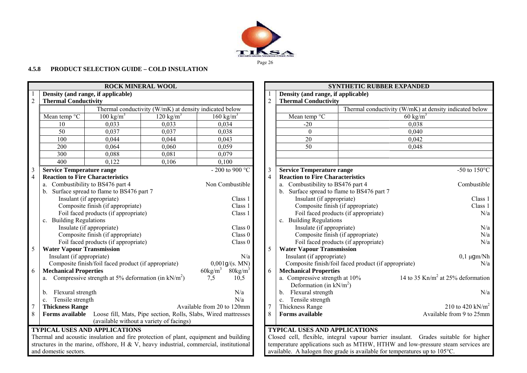

# **4.5.8 PRODUCT SELECTION GUIDE – COLD INSULATION**

|                 |                                                                                                      | <b>ROCK MINERAL WOOL</b>                                                               |                                                                |                                    |                                   |                |                                                              | <b>SYNTHETIC RUBBER EXPANDED</b>                     |                                                                                     |
|-----------------|------------------------------------------------------------------------------------------------------|----------------------------------------------------------------------------------------|----------------------------------------------------------------|------------------------------------|-----------------------------------|----------------|--------------------------------------------------------------|------------------------------------------------------|-------------------------------------------------------------------------------------|
|                 |                                                                                                      | Density (and range, if applicable)                                                     |                                                                |                                    |                                   |                | Density (and range, if applicable)                           |                                                      |                                                                                     |
| $\overline{2}$  | <b>Thermal Conductivity</b>                                                                          |                                                                                        |                                                                |                                    |                                   | $\overline{2}$ | <b>Thermal Conductivity</b>                                  |                                                      |                                                                                     |
|                 |                                                                                                      |                                                                                        | Thermal conductivity (W/mK) at density indicated below         |                                    |                                   |                |                                                              |                                                      | Thermal conductivity (W/mK) at density indicated below                              |
|                 | Mean temp °C                                                                                         | $100 \text{ kg/m}^3$                                                                   | $120 \text{ kg/m}^3$                                           | $\overline{160}$ kg/m <sup>3</sup> |                                   |                | Mean temp °C                                                 |                                                      | 60 kg/m <sup>3</sup>                                                                |
|                 | 10                                                                                                   | 0,033                                                                                  | 0.033                                                          | 0.034                              |                                   |                | $-20$                                                        |                                                      | 0,038                                                                               |
|                 | 50                                                                                                   | 0,037                                                                                  | 0.037                                                          | 0,038                              |                                   |                | $\Omega$                                                     |                                                      | 0,040                                                                               |
|                 | 100                                                                                                  | 0,044                                                                                  | 0,044                                                          | 0,043                              |                                   |                | 20                                                           |                                                      | 0,042                                                                               |
|                 | 200                                                                                                  | 0,064                                                                                  | 0,060                                                          | 0,059                              |                                   |                | 50                                                           |                                                      | 0,048                                                                               |
|                 | 300                                                                                                  | 0,088                                                                                  | 0,081                                                          | 0,079                              |                                   |                |                                                              |                                                      |                                                                                     |
|                 | 400                                                                                                  | 0,122                                                                                  | 0,106                                                          | 0,100                              |                                   |                |                                                              |                                                      |                                                                                     |
| 3               | <b>Service Temperature range</b>                                                                     |                                                                                        |                                                                |                                    | - 200 to 900 $^{\circ}\mathrm{C}$ | 3              | <b>Service Temperature range</b>                             |                                                      | -50 to $150^{\circ}$ C                                                              |
| $\overline{4}$  |                                                                                                      | <b>Reaction to Fire Characteristics</b>                                                |                                                                |                                    |                                   | $\overline{4}$ | <b>Reaction to Fire Characteristics</b>                      |                                                      |                                                                                     |
|                 |                                                                                                      | a. Combustibility to BS476 part 4                                                      |                                                                |                                    | Non Combustible                   |                | a. Combustibility to BS476 part 4                            |                                                      | Combustible                                                                         |
|                 | b. Surface spread to flame to BS476 part 7                                                           |                                                                                        |                                                                |                                    |                                   |                | b. Surface spread to flame to BS476 part 7                   |                                                      |                                                                                     |
|                 | Insulant (if appropriate)                                                                            |                                                                                        |                                                                |                                    | Class 1                           |                | Insulant (if appropriate)                                    |                                                      | Class 1                                                                             |
|                 | Composite finish (if appropriate)<br>Foil faced products (if appropriate)<br>c. Building Regulations |                                                                                        |                                                                |                                    | Class 1                           |                |                                                              | Composite finish (if appropriate)                    | Class 1                                                                             |
|                 |                                                                                                      |                                                                                        |                                                                |                                    | Class 1                           |                |                                                              | Foil faced products (if appropriate)                 | N/a                                                                                 |
|                 |                                                                                                      |                                                                                        |                                                                |                                    |                                   |                | c. Building Regulations                                      |                                                      |                                                                                     |
|                 | Insulate (if appropriate)                                                                            |                                                                                        |                                                                |                                    | Class 0                           |                | Insulate (if appropriate)                                    |                                                      | N/a                                                                                 |
|                 |                                                                                                      | Composite finish (if appropriate)                                                      |                                                                |                                    | Class 0                           |                | Composite finish (if appropriate)                            |                                                      | N/a                                                                                 |
|                 |                                                                                                      | Foil faced products (if appropriate)                                                   |                                                                |                                    | Class 0                           |                |                                                              | Foil faced products (if appropriate)                 | N/a                                                                                 |
| 5               | <b>Water Vapour Transmission</b>                                                                     |                                                                                        |                                                                |                                    |                                   | 5              | <b>Water Vapour Transmission</b>                             |                                                      |                                                                                     |
|                 | Insulant (if appropriate)                                                                            |                                                                                        |                                                                |                                    | N/a                               |                | Insulant (if appropriate)                                    |                                                      | $0,1 \mu$ gm/Nh                                                                     |
|                 |                                                                                                      | Composite finish/foil faced product (if appropriate)                                   |                                                                |                                    | 0,001g/(s. MN)                    |                |                                                              | Composite finish/foil faced product (if appropriate) | N/a                                                                                 |
| 6               | <b>Mechanical Properties</b>                                                                         |                                                                                        |                                                                | $60\text{kg/m}^3$                  | $80\text{kg/m}^3$                 | 6              | <b>Mechanical Properties</b>                                 |                                                      |                                                                                     |
|                 | a.                                                                                                   | Compressive strength at 5% deformation (in $kN/m^2$ )                                  |                                                                | 7,5                                | 10,5                              |                | a. Compressive strength at 10%<br>Deformation (in $kN/m^2$ ) |                                                      | 14 to 35 Kn/m <sup>2</sup> at 25% deformation                                       |
|                 | Flexural strength<br>$b_{-}$                                                                         |                                                                                        |                                                                |                                    | N/a                               |                | b. Flexural strength                                         |                                                      | N/a                                                                                 |
|                 | Tensile strength<br>$\mathbf{c}$ .                                                                   |                                                                                        |                                                                |                                    | N/a                               |                | c. Tensile strength                                          |                                                      |                                                                                     |
| $7\overline{ }$ | <b>Thickness Range</b>                                                                               |                                                                                        |                                                                | Available from 20 to 120mm         |                                   | $7\phantom{.}$ | Thickness Range                                              |                                                      | 210 to 420 kN/m <sup>2</sup>                                                        |
| 8               | Forms available                                                                                      |                                                                                        | Loose fill, Mats, Pipe section, Rolls, Slabs, Wired mattresses |                                    |                                   | 8              | <b>Forms</b> available                                       |                                                      | Available from 9 to 25mm                                                            |
|                 |                                                                                                      |                                                                                        | (available without a variety of facings)                       |                                    |                                   |                |                                                              |                                                      |                                                                                     |
|                 |                                                                                                      | <b>TYPICAL USES AND APPLICATIONS</b>                                                   |                                                                |                                    |                                   |                | <b>TYPICAL USES AND APPLICATIONS</b>                         |                                                      |                                                                                     |
|                 |                                                                                                      | Thermal and acoustic insulation and fire protection of plant, equipment and building   |                                                                |                                    |                                   |                |                                                              |                                                      | Closed cell, flexible, integral vapour barrier insulant. Grades suitable for higher |
|                 |                                                                                                      | structures in the marine, offshore, H & V, heavy industrial, commercial, institutional |                                                                |                                    |                                   |                |                                                              |                                                      | temperature applications such as MTHW, HTHW and low-pressure steam services are     |
|                 | and domestic sectors.                                                                                |                                                                                        |                                                                |                                    |                                   |                |                                                              |                                                      | available. A halogen free grade is available for temperatures up to 105°C.          |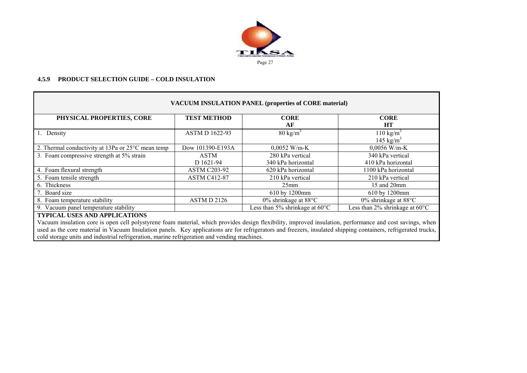

#### **4.5.9 PRODUCT SELECTION GUIDE – COLD INSULATION**

|                                                   |                       | <b>VACUUM INSULATION PANEL (properties of CORE material)</b> |                                               |
|---------------------------------------------------|-----------------------|--------------------------------------------------------------|-----------------------------------------------|
| PHYSICAL PROPERTIES, CORE                         | <b>TEST METHOD</b>    | <b>CORE</b><br>AF                                            | <b>CORE</b><br><b>HT</b>                      |
| 1. Density                                        | <b>ASTM D 1622-93</b> | $80 \text{ kg/m}^3$                                          | $110 \text{ kg/m}^3$<br>145 kg/m <sup>3</sup> |
| 2. Thermal conductivity at 13Pa or 25°C mean temp | Dow 101390-E193A      | $0,0052$ W/m-K                                               | $0,0056$ W/m-K                                |
| 3. Foam compressive strength at 5% strain         | <b>ASTM</b>           | 280 kPa vertical                                             | 340 kPa vertical                              |
|                                                   | D 1621-94             | 340 kPa horizontal                                           | 410 kPa horizontal                            |
| 4. Foam flexural strength                         | <b>ASTM C203-92</b>   | 620 kPa horizontal                                           | 1100 kPa horizontal                           |
| 5. Foam tensile strength                          | <b>ASTM C412-87</b>   | 210 kPa vertical                                             | 210 kPa vertical                              |
| 6. Thickness                                      |                       | 25mm                                                         | 15 and 20mm                                   |
| 7. Board size                                     |                       | 610 by 1200mm                                                | 610 by 1200mm                                 |
| 8. Foam temperature stability                     | ASTM D 2126           | $0\%$ shrinkage at $88^{\circ}$ C                            | $0\%$ shrinkage at 88 $\degree$ C             |
| 9. Vacuum panel temperature stability             |                       | Less than 5% shrinkage at $60^{\circ}$ C                     | Less than 2% shrinkage at $60^{\circ}$ C      |
| <b>TYPICAL USES AND APPLICATIONS</b>              |                       |                                                              |                                               |

Vacuum insulation core is open cell polystyrene foam material, which provides design flexibility, improved insulation, performance and cost savings, when used as the core material in Vacuum Insulation panels. Key applications are for refrigerators and freezers, insulated shipping containers, refrigerated trucks, cold storage units and industrial refrigeration, marine refrigeration and vending machines.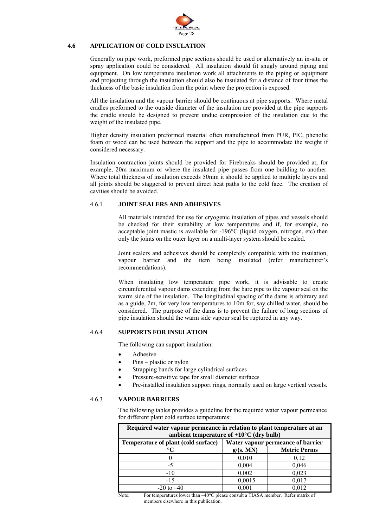

# **4.6 APPLICATION OF COLD INSULATION**

Generally on pipe work, preformed pipe sections should be used or alternatively an in-situ or spray application could be considered. All insulation should fit snugly around piping and equipment. On low temperature insulation work all attachments to the piping or equipment and projecting through the insulation should also be insulated for a distance of four times the thickness of the basic insulation from the point where the projection is exposed.

All the insulation and the vapour barrier should be continuous at pipe supports. Where metal cradles preformed to the outside diameter of the insulation are provided at the pipe supports the cradle should be designed to prevent undue compression of the insulation due to the weight of the insulated pipe.

Higher density insulation preformed material often manufactured from PUR, PIC, phenolic foam or wood can be used between the support and the pipe to accommodate the weight if considered necessary.

Insulation contraction joints should be provided for Firebreaks should be provided at, for example, 20m maximum or where the insulated pipe passes from one building to another. Where total thickness of insulation exceeds 50mm it should be applied to multiple layers and all joints should be staggered to prevent direct heat paths to the cold face. The creation of cavities should be avoided.

# 4.6.1 **JOINT SEALERS AND ADHESIVES**

All materials intended for use for cryogenic insulation of pipes and vessels should be checked for their suitability at low temperatures and if, for example, no acceptable joint mastic is available for -196°C (liquid oxygen, nitrogen, etc) then only the joints on the outer layer on a multi-layer system should be sealed.

Joint sealers and adhesives should be completely compatible with the insulation, vapour barrier and the item being insulated (refer manufacturer's recommendations).

When insulating low temperature pipe work, it is advisable to create circumferential vapour dams extending from the bare pipe to the vapour seal on the warm side of the insulation. The longitudinal spacing of the dams is arbitrary and as a guide, 2m, for very low temperatures to 10m for, say chilled water, should be considered. The purpose of the dams is to prevent the failure of long sections of pipe insulation should the warm side vapour seal be ruptured in any way.

# 4.6.4 **SUPPORTS FOR INSULATION**

The following can support insulation:

- **Adhesive**
- Pins plastic or nylon
- Strapping bands for large cylindrical surfaces
- Pressure-sensitive tape for small diameter surfaces
- Pre-installed insulation support rings, normally used on large vertical vessels.

# 4.6.3 **VAPOUR BARRIERS**

 The following tables provides a guideline for the required water vapour permeance for different plant cold surface temperatures:

| Required water vapour permeance in relation to plant temperature at an<br>ambient temperature of $+10^{\circ}$ C (dry bulb) |                                   |                     |  |  |  |
|-----------------------------------------------------------------------------------------------------------------------------|-----------------------------------|---------------------|--|--|--|
| Temperature of plant (cold surface)                                                                                         | Water vapour permeance of barrier |                     |  |  |  |
| $^{\circ}C$                                                                                                                 | g/(s. MN)                         | <b>Metric Perms</b> |  |  |  |
|                                                                                                                             | 0,010                             | 0,12                |  |  |  |
| -5                                                                                                                          | 0,004                             | 0,046               |  |  |  |
| $-10$                                                                                                                       | 0,002                             | 0,023               |  |  |  |
| $-15$                                                                                                                       | 0,0015                            | 0,017               |  |  |  |
| $-20$ to $-40$                                                                                                              | 0.001                             | 0.012               |  |  |  |

Note: For temperatures lower than -40°C please consult a TIASA member. Refer matrix of members elsewhere in this publication.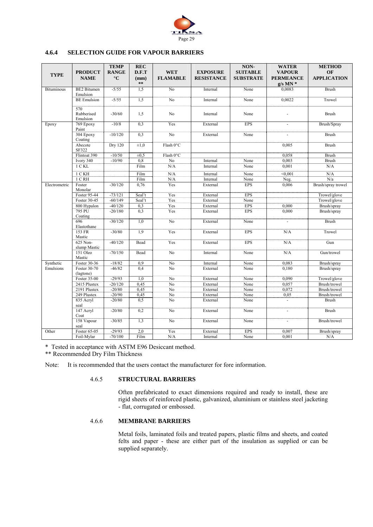

# **4.6.4 SELECTION GUIDE FOR VAPOUR BARRIERS**

| <b>TYPE</b>       | <b>PRODUCT</b><br><b>NAME</b>  | <b>TEMP</b><br><b>RANGE</b><br>$\rm ^{\circ}C$ | <b>REC</b><br>D.F.T<br>(mm)<br>$\ast\ast$ | <b>WET</b><br><b>FLAMABLE</b> | <b>EXPOSURE</b><br><b>RESISTANCE</b> | NON-<br><b>SUITABLE</b><br><b>SUBSTRATE</b> | <b>WATER</b><br><b>VAPOUR</b><br><b>PERMEANCE</b><br>$g/s$ MN $*$ | <b>METHOD</b><br>OF<br><b>APPLICATION</b> |
|-------------------|--------------------------------|------------------------------------------------|-------------------------------------------|-------------------------------|--------------------------------------|---------------------------------------------|-------------------------------------------------------------------|-------------------------------------------|
| <b>Bituminous</b> | <b>BE2</b> Bitumen<br>Emulsion | $-5/55$                                        | 1,5                                       | N <sub>0</sub>                | Internal                             | None                                        | 0,0083                                                            | <b>Brush</b>                              |
|                   | <b>BE</b> Emulsion             | $-5/55$                                        | 1,5                                       | N <sub>o</sub>                | Internal                             | None                                        | 0,0022                                                            | Trowel                                    |
|                   | 570<br>Rubberised<br>Emulsion  | $-30/60$                                       | 1,5                                       | N <sub>o</sub>                | Internal                             | None                                        |                                                                   | <b>Brush</b>                              |
| Epoxy             | 769 Epoxy<br>Paint             | $-10/8$                                        | 0,3                                       | Yes                           | External                             | <b>EPS</b>                                  |                                                                   | Brush/Spray                               |
|                   | 304 Epoxy<br>Coating           | $-10/120$                                      | 0,3                                       | No                            | External                             | None                                        |                                                                   | <b>Brush</b>                              |
|                   | Abecote<br>SF322               | <b>Dry 120</b>                                 | $\pm 1.0$                                 | Flash 0°C                     |                                      |                                             | 0,005                                                             | <b>Brush</b>                              |
|                   | Flintoat 390                   | $-10/50$                                       | $\pm 0.5$                                 | Flash 0°C                     |                                      |                                             | 0.058                                                             | <b>Brush</b>                              |
|                   | Ivory 340                      | $-10/90$                                       | 0,8                                       | No                            | Internal                             | None                                        | 0,003                                                             | <b>Brush</b>                              |
|                   | 1 C KL                         |                                                | Film                                      | N/A                           | Internal                             | None                                        | 0,001                                                             | N/A                                       |
|                   | 1 C KH                         |                                                | Film                                      | N/A                           | Internal                             | None                                        | < 0.001                                                           | N/A                                       |
|                   | $1$ C RH                       |                                                | Film                                      | N/A                           | Internal                             | None                                        | Neg.                                                              | N/a                                       |
| Electrometric     | Foster<br>Monolar              | $-30/120$                                      | 0,76                                      | Yes                           | External                             | <b>EPS</b>                                  | 0,006                                                             | Brush/spray trowel                        |
|                   | Foster 95-44                   | $-73/121$                                      | Seal't                                    | Yes                           | External                             | <b>EPS</b>                                  |                                                                   | Trowel/glove                              |
|                   | Foster 30-45                   | $-60/149$                                      | Seal't                                    | Yes                           | External                             | None                                        |                                                                   | Trowel/glove                              |
|                   | 800 Hypalon                    | $-40/120$                                      | 0,3                                       | Yes                           | External                             | <b>EPS</b>                                  | 0,000                                                             | Brush/spray                               |
|                   | 795 PU<br>Coating              | $-20/180$                                      | 0,3                                       | Yes                           | External                             | <b>EPS</b>                                  | 0,000                                                             | Brush/spray                               |
|                   | 696<br>Elastothane             | $-30/120$                                      | $\overline{1,0}$                          | No                            | External                             | None                                        |                                                                   | <b>Brush</b>                              |
|                   | 153 FR<br>Mastic               | $-30/80$                                       | 1.9                                       | Yes                           | External                             | <b>EPS</b>                                  | N/A                                                               | Trowel                                    |
|                   | 625 Non-<br>slump Mastic       | $-40/120$                                      | Bead                                      | Yes                           | External                             | <b>EPS</b>                                  | N/A                                                               | Gun                                       |
|                   | 151 Oleo<br>Mastic             | $-70/150$                                      | Bead                                      | No                            | Internal                             | None                                        | N/A                                                               | Gun/trowel                                |
| Synthetic         | Foster 30-36                   | $-18/82$                                       | 0.9                                       | No                            | Internal                             | None                                        | 0,083                                                             | Brush/spray                               |
| Emulsions         | Foster 30-70<br>(lagtone)      | $-46/82$                                       | 0.4                                       | N <sub>o</sub>                | External                             | None                                        | 0,180                                                             | Brush/spray                               |
|                   | Foster 35-00                   | $-29/93$                                       | 1,0                                       | No                            | External                             | None                                        | 0,090                                                             | Trowel/glove                              |
|                   | 2415 Plustex                   | $-20/120$                                      | 0,45                                      | N <sub>0</sub>                | External                             | None                                        | 0.057                                                             | Brush/trowel                              |
|                   | 2191 Plustex                   | $-20/80$                                       | 0,45                                      | No                            | External                             | None                                        | 0,072                                                             | Brush/trowel                              |
|                   | 249 Plustex                    | $-20/90$                                       | 0,45                                      | No                            | External                             | None                                        | 0.05                                                              | Brush/trowel                              |
|                   | 835 Acryl                      | $-20/80$                                       | 0,5                                       | N <sub>0</sub>                | External                             | None                                        | $\mathcal{L}_{\mathcal{A}}$                                       | <b>Brush</b>                              |
|                   | seal                           | $-20/80$                                       | 0,2                                       | N <sub>0</sub>                | External                             | None                                        |                                                                   | <b>Brush</b>                              |
|                   | 147 Acryl<br>Coat              |                                                |                                           |                               |                                      |                                             |                                                                   |                                           |
|                   | 158 Vapour<br>seal             | $-30/85$                                       | 1,3                                       | N <sub>0</sub>                | External                             | None                                        |                                                                   | Brush/trowel                              |
| Other             | Foster 65-05                   | $-29/93$                                       | 2,0                                       | Yes                           | External                             | <b>EPS</b>                                  | 0,007                                                             | Brush/spray                               |
|                   | Foil-Mylar                     | $-70/100$                                      | Film                                      | N/A                           | Internal                             | None                                        | 0,001                                                             | N/A                                       |

\* Tested in acceptance with ASTM E96 Desiccant method.

\*\* Recommended Dry Film Thickness

Note: It is recommended that the users contact the manufacturer for fore information.

#### 4.6.5 **STRUCTURAL BARRIERS**

 Often prefabricated to exact dimensions required and ready to install, these are rigid sheets of reinforced plastic, galvanized, aluminium or stainless steel jacketing - flat, corrugated or embossed.

# 4.6.6 **MEMBRANE BARRIERS**

 Metal foils, laminated foils and treated papers, plastic films and sheets, and coated felts and paper - these are either part of the insulation as supplied or can be supplied separately.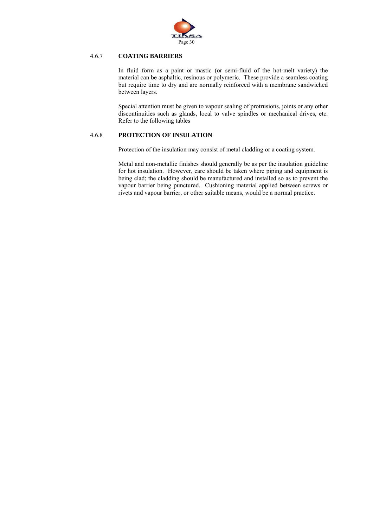

# 4.6.7 **COATING BARRIERS**

In fluid form as a paint or mastic (or semi-fluid of the hot-melt variety) the material can be asphaltic, resinous or polymeric. These provide a seamless coating but require time to dry and are normally reinforced with a membrane sandwiched between layers.

Special attention must be given to vapour sealing of protrusions, joints or any other discontinuities such as glands, local to valve spindles or mechanical drives, etc. Refer to the following tables

# 4.6.8 **PROTECTION OF INSULATION**

Protection of the insulation may consist of metal cladding or a coating system.

Metal and non-metallic finishes should generally be as per the insulation guideline for hot insulation. However, care should be taken where piping and equipment is being clad; the cladding should be manufactured and installed so as to prevent the vapour barrier being punctured. Cushioning material applied between screws or rivets and vapour barrier, or other suitable means, would be a normal practice.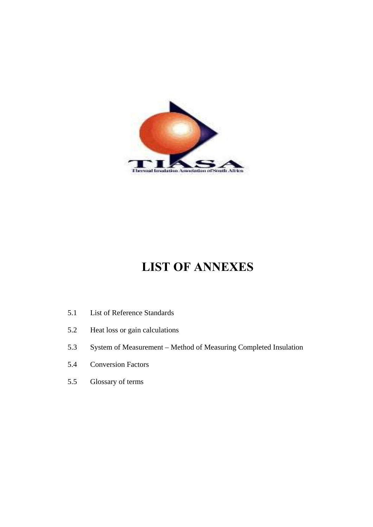

# **LIST OF ANNEXES**

- 5.1 List of Reference Standards
- 5.2 Heat loss or gain calculations
- 5.3 System of Measurement Method of Measuring Completed Insulation
- 5.4 Conversion Factors
- 5.5 Glossary of terms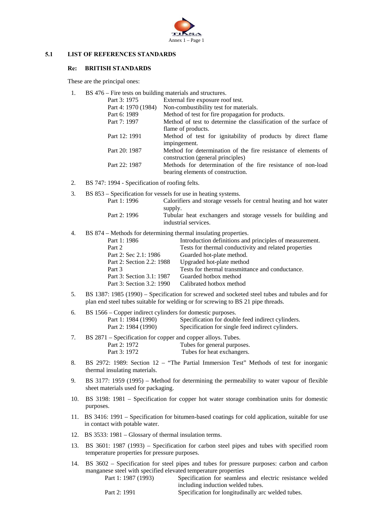

#### **5.1 LIST OF REFERENCES STANDARDS**

#### **Re: BRITISH STANDARDS**

These are the principal ones:

1. BS 476 – Fire tests on building materials and structures.

| Part 3: 1975        | External fire exposure roof test.                                |
|---------------------|------------------------------------------------------------------|
| Part 4: 1970 (1984) | Non-combustibility test for materials.                           |
| Part 6: 1989        | Method of test for fire propagation for products.                |
| Part 7: 1997        | Method of test to determine the classification of the surface of |
|                     | flame of products.                                               |
| Part 12: 1991       | Method of test for ignitability of products by direct flame      |
|                     | impingement.                                                     |
| Part 20: 1987       | Method for determination of the fire resistance of elements of   |
|                     | construction (general principles)                                |
| Part 22: 1987       | Methods for determination of the fire resistance of non-load     |
|                     | bearing elements of construction.                                |

- 2. BS 747: 1994 Specification of roofing felts.
- 3. BS 853 Specification for vessels for use in heating systems.

| Part 1: 1996 | Calorifiers and storage vessels for central heating and hot water                               |
|--------------|-------------------------------------------------------------------------------------------------|
| Part 2: 1996 | supply.<br>Tubular heat exchangers and storage vessels for building and<br>industrial services. |

4. BS 874 – Methods for determining thermal insulating properties.

| Part 1: 1986              | Introduction definitions and principles of measurement. |
|---------------------------|---------------------------------------------------------|
| Part 2                    | Tests for thermal conductivity and related properties   |
| Part 2: Sec 2.1: 1986     | Guarded hot-plate method.                               |
| Part 2: Section 2.2: 1988 | Upgraded hot-plate method                               |
| Part 3                    | Tests for thermal transmittance and conductance.        |
| Part 3: Section 3.1: 1987 | Guarded hotbox method                                   |
| Part 3: Section 3.2: 1990 | Calibrated hotbox method                                |
|                           |                                                         |

5. BS 1387: 1985 (1990) – Specification for screwed and socketed steel tubes and tubules and for plan end steel tubes suitable for welding or for screwing to BS 21 pipe threads.

| BS 1566 – Copper indirect cylinders for domestic purposes. |                                                   |
|------------------------------------------------------------|---------------------------------------------------|
| Part 1: 1984 (1990)                                        | Specification for double feed indirect cylinders. |
| Part 2: 1984 (1990)                                        | Specification for single feed indirect cylinders. |

- 7. BS 2871 Specification for copper and copper alloys. Tubes. Part 2: 1972 Tubes for general purposes. Part 3: 1972 Tubes for heat exchangers.
- 8. BS 2972: 1989: Section 12 "The Partial Immersion Test" Methods of test for inorganic thermal insulating materials.
- 9. BS 3177: 1959 (1995) Method for determining the permeability to water vapour of flexible sheet materials used for packaging.
- 10. BS 3198: 1981 Specification for copper hot water storage combination units for domestic purposes.
- 11. BS 3416: 1991 Specification for bitumen-based coatings for cold application, suitable for use in contact with potable water.
- 12. BS 3533: 1981 Glossary of thermal insulation terms.
- 13. BS 3601: 1987 (1993) Specification for carbon steel pipes and tubes with specified room temperature properties for pressure purposes.
- 14. BS 3602 Specification for steel pipes and tubes for pressure purposes: carbon and carbon manganese steel with specified elevated temperature properties

 Part 1: 1987 (1993) Specification for seamless and electric resistance welded including induction welded tubes.

Part 2: 1991 Specification for longitudinally arc welded tubes.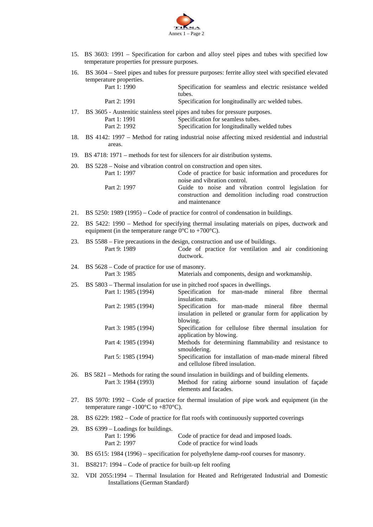

- 15. BS 3603: 1991 Specification for carbon and alloy steel pipes and tubes with specified low temperature properties for pressure purposes.
- 16. BS 3604 Steel pipes and tubes for pressure purposes: ferrite alloy steel with specified elevated temperature properties.

| Part 1: 1990 | Specification for seamless and electric resistance welded                       |
|--------------|---------------------------------------------------------------------------------|
|              | tubes.                                                                          |
| Part 2: 1991 | Specification for longitudinally arc welded tubes.                              |
|              | 17. BS 3605 - Austenitic stainless steel pipes and tubes for pressure purposes. |
| Part 1: 1991 | Specification for seamless tubes.                                               |
| Part 2: 1992 | Specification for longitudinally welded tubes                                   |

- 18. BS 4142: 1997 Method for rating industrial noise affecting mixed residential and industrial areas.
- 19. BS 4718: 1971 methods for test for silencers for air distribution systems.
- 20. BS 5228 Noise and vibration control on construction and open sites.

| Part 1: 1997 | Code of practice for basic information and procedures for |  |  |  |  |  |  |
|--------------|-----------------------------------------------------------|--|--|--|--|--|--|
|              | noise and vibration control.                              |  |  |  |  |  |  |
| Part 2: 1997 | Guide to noise and vibration control legislation for      |  |  |  |  |  |  |
|              | construction and demolition including road construction   |  |  |  |  |  |  |
|              | and maintenance                                           |  |  |  |  |  |  |

- 21. BS 5250: 1989 (1995) Code of practice for control of condensation in buildings.
- 22. BS 5422: 1990 Method for specifying thermal insulating materials on pipes, ductwork and equipment (in the temperature range  $0^{\circ}$ C to +700 $^{\circ}$ C).
- 23. BS 5588 Fire precautions in the design, construction and use of buildings. Part 9: 1989 Code of practice for ventilation and air conditioning ductwork.
- 24. BS 5628 Code of practice for use of masonry. Part 3: 1985 Materials and components, design and workmanship.
- 25. BS 5803 Thermal insulation for use in pitched roof spaces in dwellings.

| Part 1: 1985 (1994) | Specification for man-made mineral fibre thermal           |
|---------------------|------------------------------------------------------------|
|                     | insulation mats.                                           |
| Part 2: 1985 (1994) | Specification for man-made mineral fibre thermal           |
|                     | insulation in pelleted or granular form for application by |
|                     | blowing.                                                   |
| Part 3: 1985 (1994) | Specification for cellulose fibre thermal insulation for   |
|                     | application by blowing.                                    |
| Part 4: 1985 (1994) | Methods for determining flammability and resistance to     |
|                     | smouldering.                                               |
| Part 5: 1985 (1994) | Specification for installation of man-made mineral fibred  |
|                     | and cellulose fibred insulation.                           |

- 26. BS 5821 Methods for rating the sound insulation in buildings and of building elements. Part 3: 1984 (1993) Method for rating airborne sound insulation of façade elements and facades.
- 27. BS 5970: 1992 Code of practice for thermal insulation of pipe work and equipment (in the temperature range  $-100\degree C$  to  $+870\degree C$ ).
- 28. BS 6229: 1982 Code of practice for flat roofs with continuously supported coverings

| 29. BS 6399 – Loadings for buildings. |                                              |
|---------------------------------------|----------------------------------------------|
| Part 1: 1996                          | Code of practice for dead and imposed loads. |
| Part 2: 1997                          | Code of practice for wind loads              |

- 30. BS 6515: 1984 (1996) specification for polyethylene damp-roof courses for masonry.
- 31. BS8217: 1994 Code of practice for built-up felt roofing
- 32. VDI 2055:1994 Thermal Insulation for Heated and Refrigerated Industrial and Domestic Installations (German Standard)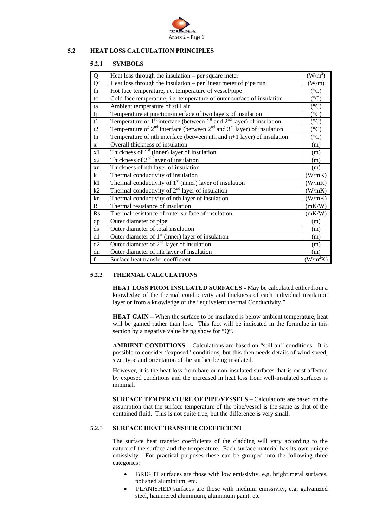

# **5.2 HEAT LOSS CALCULATION PRINCIPLES**

# **5.2.1 SYMBOLS**

| $\overline{Q}$ | Heat loss through the insulation $-$ per square meter                                 | (W/m <sup>2</sup> ) |
|----------------|---------------------------------------------------------------------------------------|---------------------|
| $\overline{Q}$ | Heat loss through the insulation $-$ per linear meter of pipe run                     | (W/m)               |
| th             | Hot face temperature, i.e. temperature of vessel/pipe                                 | $({}^{\circ}C)$     |
| tc             | Cold face temperature, i.e. temperature of outer surface of insulation                | $(^\circ C)$        |
| ta             | Ambient temperature of still air                                                      | $(^{\circ}C)$       |
| tj             | Temperature at junction/interface of two layers of insulation                         | $(^{\circ}C)$       |
| t1             | Temperature of $1st$ interface (between $1st$ and $2nd$ layer) of insulation          | $(^{\circ}C)$       |
| t2             | Temperature of $2^{nd}$ interface (between $2^{nd}$ and $3^{rd}$ layer) of insulation | $(^\circ C)$        |
| tn             | Temperature of nth interface (between nth and $n+1$ layer) of insulation              | $(^\circ C)$        |
| $\mathbf{X}$   | Overall thickness of insulation                                                       | (m)                 |
| x1             | Thickness of $1st$ (inner) layer of insulation                                        | (m)                 |
| x2             | Thickness of $2nd$ layer of insulation                                                | (m)                 |
| xn             | Thickness of nth layer of insulation                                                  | (m)                 |
| $\mathbf{k}$   | Thermal conductivity of insulation                                                    | (W/mK)              |
| k1             | Thermal conductivity of $1st$ (inner) layer of insulation                             | (W/mK)              |
| k2             | Thermal conductivity of $2nd$ layer of insulation                                     | (W/mK)              |
| kn             | Thermal conductivity of nth layer of insulation                                       | (W/mK)              |
| $\mathbf R$    | Thermal resistance of insulation                                                      | (mK/W)              |
| Rs             | Thermal resistance of outer surface of insulation                                     | (mK/W)              |
| dp             | Outer diameter of pipe                                                                | (m)                 |
| ds             | Outer diameter of total insulation                                                    | (m)                 |
| d1             | Outer diameter of $1st$ (inner) layer of insulation                                   | (m)                 |
| d2             | Outer diameter of $2nd$ layer of insulation                                           | (m)                 |
| dn             | Outer diameter of nth layer of insulation                                             | (m)                 |
| $\mathbf f$    | Surface heat transfer coefficient                                                     | $W/m^2K$            |

# **5.2.2 THERMAL CALCULATIONS**

**HEAT LOSS FROM INSULATED SURFACES -** May be calculated either from a knowledge of the thermal conductivity and thickness of each individual insulation layer or from a knowledge of the "equivalent thermal Conductivity."

**HEAT GAIN** – When the surface to be insulated is below ambient temperature, heat will be gained rather than lost. This fact will be indicated in the formulae in this section by a negative value being show for "Q".

**AMBIENT CONDITIONS** – Calculations are based on "still air" conditions. It is possible to consider "exposed" conditions, but this then needs details of wind speed, size, type and orientation of the surface being insulated.

However, it is the heat loss from bare or non-insulated surfaces that is most affected by exposed conditions and the increased in heat loss from well-insulated surfaces is minimal.

**SURFACE TEMPERATURE OF PIPE/VESSELS** – Calculations are based on the assumption that the surface temperature of the pipe/vessel is the same as that of the contained fluid. This is not quite true, but the difference is very small.

# 5.2.3 **SURFACE HEAT TRANSFER COEFFICIENT**

The surface heat transfer coefficients of the cladding will vary according to the nature of the surface and the temperature. Each surface material has its own unique emissivity. For practical purposes these can be grouped into the following three categories:

- BRIGHT surfaces are those with low emissivity, e.g. bright metal surfaces, polished aluminium, etc.
- PLANISHED surfaces are those with medium emissivity, e.g. galvanized steel, hammered aluminium, aluminium paint, etc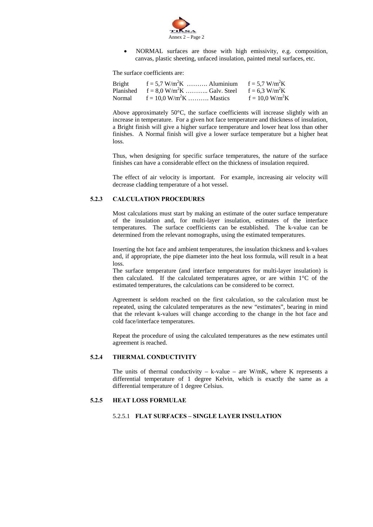

• NORMAL surfaces are those with high emissivity, e.g. composition, canvas, plastic sheeting, unfaced insulation, painted metal surfaces, etc.

The surface coefficients are:

| <b>Bright</b> | $f = 5.7$ W/m <sup>2</sup> K  Aluminium $f = 5.7$ W/m <sup>2</sup> K |                              |
|---------------|----------------------------------------------------------------------|------------------------------|
| Planished     | $f = 8.0$ W/m <sup>2</sup> K  Galv. Steel                            | $f = 6.3$ W/m <sup>2</sup> K |
| Normal        | $f = 10.0 \text{ W/m}^2 \text{K}$ Mastics                            | $f = 10.0 W/m^2K$            |

Above approximately 50°C, the surface coefficients will increase slightly with an increase in temperature. For a given hot face temperature and thickness of insulation, a Bright finish will give a higher surface temperature and lower heat loss than other finishes. A Normal finish will give a lower surface temperature but a higher heat loss.

Thus, when designing for specific surface temperatures, the nature of the surface finishes can have a considerable effect on the thickness of insulation required.

The effect of air velocity is important. For example, increasing air velocity will decrease cladding temperature of a hot vessel.

# **5.2.3 CALCULATION PROCEDURES**

 Most calculations must start by making an estimate of the outer surface temperature of the insulation and, for multi-layer insulation, estimates of the interface temperatures. The surface coefficients can be established. The k-value can be determined from the relevant nomographs, using the estimated temperatures.

Inserting the hot face and ambient temperatures, the insulation thickness and k-values and, if appropriate, the pipe diameter into the heat loss formula, will result in a heat loss.

The surface temperature (and interface temperatures for multi-layer insulation) is then calculated. If the calculated temperatures agree, or are within 1°C of the estimated temperatures, the calculations can be considered to be correct.

Agreement is seldom reached on the first calculation, so the calculation must be repeated, using the calculated temperatures as the new "estimates", bearing in mind that the relevant k-values will change according to the change in the hot face and cold face/interface temperatures.

Repeat the procedure of using the calculated temperatures as the new estimates until agreement is reached.

# **5.2.4 THERMAL CONDUCTIVITY**

The units of thermal conductivity – k-value – are  $W/mK$ , where K represents a differential temperature of 1 degree Kelvin, which is exactly the same as a differential temperature of 1 degree Celsius.

# **5.2.5 HEAT LOSS FORMULAE**

#### 5.2.5.1 **FLAT SURFACES – SINGLE LAYER INSULATION**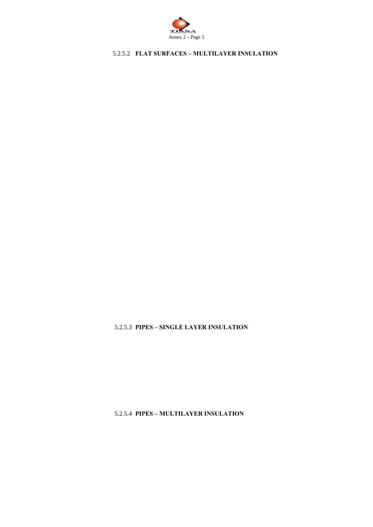

# 5.2.5.2 **FLAT SURFACES – MULTILAYER INSULATION**

5.2.5.3 **PIPES – SINGLE LAYER INSULATION**

5.2.5.4 **PIPES – MULTILAYER INSULATION**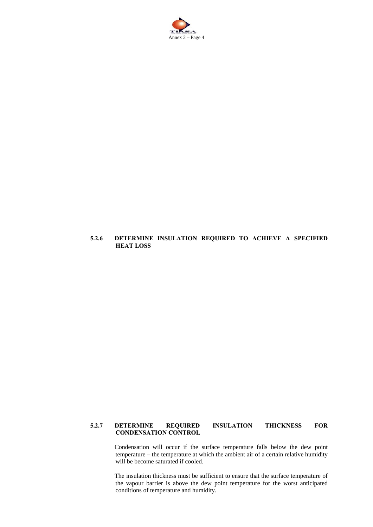

# **5.2.6 DETERMINE INSULATION REQUIRED TO ACHIEVE A SPECIFIED HEAT LOSS**

# **5.2.7 DETERMINE REQUIRED INSULATION THICKNESS FOR CONDENSATION CONTROL**

 Condensation will occur if the surface temperature falls below the dew point temperature – the temperature at which the ambient air of a certain relative humidity will be become saturated if cooled.

 The insulation thickness must be sufficient to ensure that the surface temperature of the vapour barrier is above the dew point temperature for the worst anticipated conditions of temperature and humidity.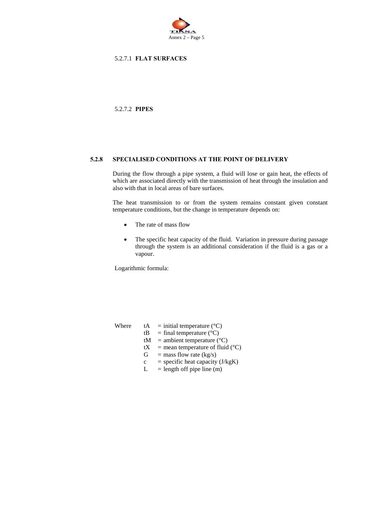

# 5.2.7.1 **FLAT SURFACES**

5.2.7.2 **PIPES** 

## **5.2.8 SPECIALISED CONDITIONS AT THE POINT OF DELIVERY**

 During the flow through a pipe system, a fluid will lose or gain heat, the effects of which are associated directly with the transmission of heat through the insulation and also with that in local areas of bare surfaces.

 The heat transmission to or from the system remains constant given constant temperature conditions, but the change in temperature depends on:

- The rate of mass flow
- The specific heat capacity of the fluid. Variation in pressure during passage through the system is an additional consideration if the fluid is a gas or a vapour.

Logarithmic formula:

- Where  $tA = initial temperature (°C)$ 
	- $tB = \text{final temperature } (^{\circ}C)$
	- $tM =$  ambient temperature (°C)
	- tX = mean temperature of fluid (°C)<br>
	G = mass flow rate (kg/s)
	- $=$  mass flow rate (kg/s)
	- $c =$  specific heat capacity (J/kgK)
	- $L =$  length off pipe line (m)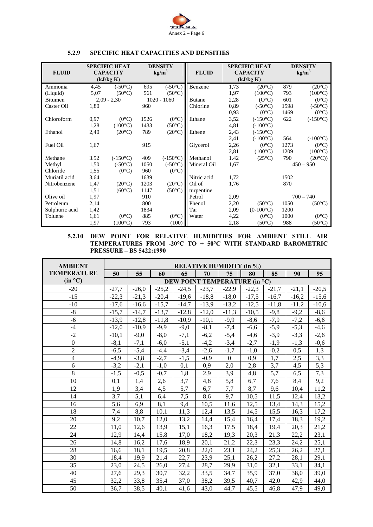

| <b>FLUID</b>   |      | <b>SPECIFIC HEAT</b><br><b>CAPACITY</b> | <b>DENSITY</b><br>kg/m <sup>3</sup> |                   | <b>FLUID</b>  |      | <b>SPECIFIC HEAT</b><br><b>CAPACITY</b> | <b>DENSITY</b><br>kg/m <sup>3</sup> |                   |
|----------------|------|-----------------------------------------|-------------------------------------|-------------------|---------------|------|-----------------------------------------|-------------------------------------|-------------------|
|                |      | (kJ/kg K)                               |                                     |                   |               |      | (kJ/kg K)                               |                                     |                   |
| Ammonia        | 4,45 | $(-50^{\circ}C)$                        | 695                                 | (.50°C)           | Benzene       | 1,73 | $(20^{\circ}C)$                         | 879                                 | $(20^{\circ}C)$   |
| (Liquid)       | 5,07 | $(50^{\circ}C)$                         | 561                                 | $(50^{\circ}C)$   |               | 1,97 | $(100^{\circ}C)$                        | 793                                 | $(100^{\circ}C)$  |
| <b>Bitumen</b> |      | $2,09 - 2,30$                           |                                     | $1020 - 1060$     | <b>Butane</b> | 2,28 | $(O^{\circ}C)$                          | 601                                 | $(0^{\circ}C)$    |
| Caster Oil     | 1,80 |                                         | 960                                 |                   | Chlorine      | 0,89 | $(-50^{\circ}C)$                        | 1598                                | $(-50^{\circ}C)$  |
|                |      |                                         |                                     |                   |               | 0.93 | $(0^{\circ}C)$                          | 1469                                | $(0^{\circ}C)$    |
| Chloroform     | 0,97 | $(0^{\circ}C)$                          | 1526                                | $(0^{\circ}C)$    | Ethane        | 3,52 | $(-150^{\circ}C)$                       | 622                                 | $(-150^{\circ}C)$ |
|                | 1,28 | $(100^{\circ}C)$                        | 1433                                | $(50^{\circ}C)$   |               | 4,81 | $(-100^{\circ}C)$                       |                                     |                   |
| Ethanol        | 2,40 | $(20^{\circ}C)$                         | 789                                 | $(20^{\circ}C)$   | Ethene        | 2,43 | $(-150^{\circ}C)$                       |                                     |                   |
|                |      |                                         |                                     |                   |               | 2,41 | $(-100^{\circ}C)$                       | 564                                 | $(-100^{\circ}C)$ |
| Fuel Oil       | 1,67 |                                         | 915                                 |                   | Glycerol      | 2,26 | $(0^{\circ}C)$                          | 1273                                | $(0^{\circ}C)$    |
|                |      |                                         |                                     |                   |               | 2,81 | $(100^{\circ}C)$                        | 1209                                | $(100^{\circ}C)$  |
| Methane        | 3.52 | $(-150^{\circ}C)$                       | 409                                 | $(-150^{\circ}C)$ | Methanol      | 1.42 | $(25^{\circ}C)$                         | 790                                 | $(20^{\circ}C))$  |
| Methyl         | 1,50 | $(-50^{\circ}C)$                        | 1050                                | $(-50^{\circ}C)$  | Mineral Oil   | 1,67 |                                         |                                     | $450 - 950$       |
| Chloride       | 1,55 | $(0^{\circ}C)$                          | 960                                 | $(0^{\circ}C)$    |               |      |                                         |                                     |                   |
| Muriatil acid  | 3,64 |                                         | 1639                                |                   | Nitric acid   | 1,72 |                                         | 1502                                |                   |
| Nitrobenzene   | 1,47 | $(20^{\circ}C)$                         | 1203                                | $(20^{\circ}C)$   | Oil of        | 1,76 |                                         | 870                                 |                   |
|                | 1,51 | $(60^{\circ}C)$                         | 1147                                | $(50^{\circ}C)$   | turpentine    |      |                                         |                                     |                   |
| Olive oil      | 1,97 |                                         | 910                                 |                   | Petrol        | 2,09 |                                         | $700 - 740$                         |                   |
| Petroleum      | 2,14 |                                         | 800                                 |                   | Phenol        | 2,20 | $(50^{\circ}C)$                         | 1050                                | $(50^{\circ}C)$   |
| Sulphuric acid | 1,42 |                                         | 1834                                |                   | Tar           | 2,09 | $(0-100\degree C)$                      | 1200                                |                   |
| Toluene        | 1,61 | $(0^{\circ}C)$                          | 885                                 | $(0^{\circ}C)$    | Water         | 4,22 | $(0^{\circ}C)$                          | 1000                                | $(0^{\circ}C)$    |
|                | 1,97 | $(100^{\circ}C)$                        | 793                                 | (100)             |               | 2,18 | $(50^{\circ}C)$                         | 988                                 | $(50^{\circ}C)$   |

# **5.2.9 SPECIFIC HEAT CAPACITIES AND DENSITIES**

# **5.2.10 DEW POINT FOR RELATIVE HUMIDITIES FOR AMBIENT STILL AIR TEMPERATURES FROM -20°C TO + 50°C WITH STANDARD BAROMETRIC PRESSURE – BS 5422:1990**

| <b>AMBIENT</b>     | <b>RELATIVE HUMIDITY (in %)</b>      |         |         |         |         |                  |         |         |         |         |
|--------------------|--------------------------------------|---------|---------|---------|---------|------------------|---------|---------|---------|---------|
| <b>TEMPERATURE</b> | 50                                   | 55      | 60      | 65      | 70      | 75               | 80      | 85      | 90      | 95      |
| (in °C)            | <b>DEW POINT TEMPERATURE (in °C)</b> |         |         |         |         |                  |         |         |         |         |
| $-20$              | $-27,7$                              | $-26.0$ | $-25,2$ | $-24,5$ | $-23,7$ | $-22,9$          | $-22,3$ | $-21,7$ | $-21,1$ | $-20,5$ |
| $-15$              | $-22,3$                              | $-21,3$ | $-20,4$ | $-19,6$ | $-18,8$ | $-18,0$          | $-17,5$ | $-16,7$ | $-16,2$ | $-15,6$ |
| $-10$              | $-17,6$                              | $-16,6$ | $-15,7$ | $-14,7$ | $-13,9$ | $-13,2$          | $-12,5$ | $-11.8$ | $-11,2$ | $-10,6$ |
| $-8$               | $-15,7$                              | $-14,7$ | $-13,7$ | $-12,8$ | $-12,0$ | $-11,3$          | $-10,5$ | $-9,8$  | $-9,2$  | $-8,6$  |
| $-6$               | $-13,9$                              | $-12,8$ | $-11,8$ | $-10,9$ | $-10,1$ | $-9,9$           | $-8,6$  | $-7,9$  | $-7,2$  | $-6,6$  |
| $-4$               | $-12,0$                              | $-10,9$ | $-9,9$  | $-9,0$  | $-8,1$  | $-7,4$           | $-6,6$  | $-5,9$  | $-5,3$  | $-4,6$  |
| $-2$               | $-10,1$                              | $-9,0$  | $-8,0$  | $-7,1$  | $-6,2$  | $-5,4$           | $-4,6$  | $-3,9$  | $-3,3$  | $-2,6$  |
| $\boldsymbol{0}$   | $-8,1$                               | $-7,1$  | $-6,0$  | $-5,1$  | $-4,2$  | $-3,4$           | $-2,7$  | $-1,9$  | $-1,3$  | $-0,6$  |
| $\sqrt{2}$         | $-6,5$                               | $-5,4$  | $-4,4$  | $-3,4$  | $-2,6$  | $-1,7$           | $-1,0$  | $-0,2$  | 0,5     | 1,3     |
| $\overline{4}$     | $-4,9$                               | $-3,8$  | $-2,7$  | $-1,5$  | $-0,9$  | $\boldsymbol{0}$ | 0,9     | 1,7     | 2,5     | 3,3     |
| 6                  | $-3,2$                               | $-2,1$  | $-1,0$  | 0,1     | 0,9     | 2,0              | 2,8     | 3,7     | 4,5     | 5,3     |
| $\overline{8}$     | $-1,5$                               | $-0,5$  | $-0,7$  | 1,8     | 2,9     | 3,9              | 4,8     | 5,7     | 6,5     | 7,3     |
| 10                 | 0,1                                  | 1,4     | 2,6     | 3,7     | 4,8     | 5,8              | 6,7     | 7,6     | 8,4     | 9,2     |
| 12                 | 1,9                                  | 3,4     | 4,5     | 5,7     | 6,7     | 7,7              | 8,7     | 9,6     | 10,4    | 11,2    |
| 14                 | 3,7                                  | 5,1     | 6,4     | 7,5     | 8,6     | 9,7              | 10,5    | 11,5    | 12,4    | 13,2    |
| 16                 | 5,6                                  | 6,9     | 8,1     | 9,4     | 10,5    | 11,6             | 12,5    | 13,4    | 14,3    | 15,2    |
| 18                 | 7,4                                  | 8,8     | 10,1    | 11,3    | 12,4    | 13,5             | 14,5    | 15,5    | 16,3    | 17,2    |
| 20                 | 9,2                                  | 10,7    | 12,0    | 13,2    | 14,4    | 15,4             | 16,4    | 17,4    | 18,3    | 19,2    |
| 22                 | 11,0                                 | 12,6    | 13,9    | 15,1    | 16,3    | 17,5             | 18,4    | 19,4    | 20,3    | 21,2    |
| 24                 | 12,9                                 | 14,4    | 15,8    | 17,0    | 18,2    | 19,3             | 20,3    | 21,3    | 22,2    | 23,1    |
| 26                 | 14,8                                 | 16,2    | 17,6    | 18,9    | 20,1    | 21,2             | 22,3    | 23,3    | 24,2    | 25,1    |
| 28                 | 16,6                                 | 18,1    | 19,5    | 20,8    | 22.0    | 23,1             | 24,2    | 25,3    | 26,2    | 27,1    |
| 30                 | 18,4                                 | 19,9    | 21,4    | 22,7    | 23,9    | 25,1             | 26,2    | 27,2    | 28,1    | 29,1    |
| 35                 | 23,0                                 | 24,5    | 26,0    | 27,4    | 28,7    | 29,9             | 31,0    | 32,1    | 33,1    | 34,1    |
| 40                 | 27,6                                 | 29,3    | 30,7    | 32,2    | 33,5    | 34,7             | 35,9    | 37,0    | 38,0    | 39,0    |
| 45                 | 32,2                                 | 33,8    | 35,4    | 37,0    | 38,2    | 39,5             | 40,7    | 42,0    | 42,9    | 44,0    |
| 50                 | 36,7                                 | 38,5    | 40,1    | 41,6    | 43,0    | 44,7             | 45,5    | 46,8    | 47,9    | 49,0    |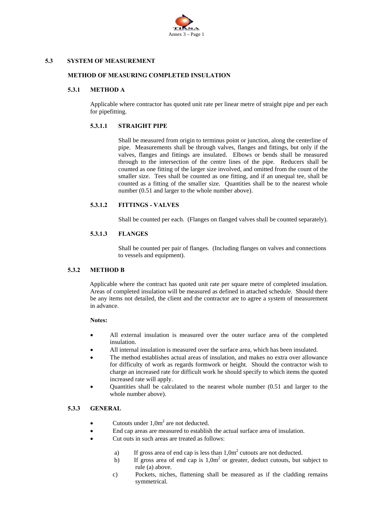

# **5.3 SYSTEM OF MEASUREMENT**

# **METHOD OF MEASURING COMPLETED INSULATION**

# **5.3.1 METHOD A**

 Applicable where contractor has quoted unit rate per linear metre of straight pipe and per each for pipefitting.

# **5.3.1.1 STRAIGHT PIPE**

 Shall be measured from origin to terminus point or junction, along the centerline of pipe. Measurements shall be through valves, flanges and fittings, but only if the valves, flanges and fittings are insulated. Elbows or bends shall be measured through to the intersection of the centre lines of the pipe. Reducers shall be counted as one fitting of the larger size involved, and omitted from the count of the smaller size. Tees shall be counted as one fitting, and if an unequal tee, shall be counted as a fitting of the smaller size. Quantities shall be to the nearest whole number (0.51 and larger to the whole number above).

# **5.3.1.2 FITTINGS - VALVES**

Shall be counted per each. (Flanges on flanged valves shall be counted separately).

# **5.3.1.3 FLANGES**

Shall be counted per pair of flanges. (Including flanges on valves and connections to vessels and equipment).

# **5.3.2 METHOD B**

 Applicable where the contract has quoted unit rate per square metre of completed insulation. Areas of completed insulation will be measured as defined in attached schedule. Should there be any items not detailed, the client and the contractor are to agree a system of measurement in advance.

# **Notes:**

- All external insulation is measured over the outer surface area of the completed insulation.
- All internal insulation is measured over the surface area, which has been insulated.
- The method establishes actual areas of insulation, and makes no extra over allowance for difficulty of work as regards formwork or height. Should the contractor wish to charge an increased rate for difficult work he should specify to which items the quoted increased rate will apply.
- Quantities shall be calculated to the nearest whole number (0.51 and larger to the whole number above).

# **5.3.3 GENERAL**

- Cutouts under  $1,0m^2$  are not deducted.
- End cap areas are measured to establish the actual surface area of insulation.
- Cut outs in such areas are treated as follows:
- a) If gross area of end cap is less than  $1,0m^2$  cutouts are not deducted.
- b) If gross area of end cap is  $1.0m<sup>2</sup>$  or greater, deduct cutouts, but subject to rule (a) above.
	- c) Pockets, niches, flattening shall be measured as if the cladding remains symmetrical.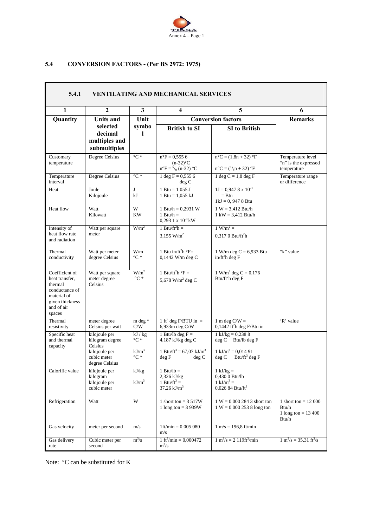

# **5.4 CONVERSION FACTORS - (Per BS 2972: 1975)**

| 5.4.1<br><b>VENTILATING AND MECHANICAL SERVICES</b>                                                                     |                                                                                               |                                                     |                                                                                                              |                                                                                                                     |                                                                   |  |  |  |  |
|-------------------------------------------------------------------------------------------------------------------------|-----------------------------------------------------------------------------------------------|-----------------------------------------------------|--------------------------------------------------------------------------------------------------------------|---------------------------------------------------------------------------------------------------------------------|-------------------------------------------------------------------|--|--|--|--|
| $\mathbf{1}$                                                                                                            | $\overline{2}$                                                                                | $\mathbf{3}$                                        | $\overline{\mathbf{4}}$                                                                                      | 5                                                                                                                   | 6                                                                 |  |  |  |  |
| Quantity                                                                                                                | <b>Units and</b>                                                                              | Unit                                                |                                                                                                              | <b>Conversion factors</b>                                                                                           |                                                                   |  |  |  |  |
|                                                                                                                         | selected<br>decimal<br>multiples and<br>submultiples                                          | symbo                                               | <b>British to SI</b>                                                                                         | <b>SI</b> to British                                                                                                |                                                                   |  |  |  |  |
| Customary<br>temperature                                                                                                | Degree Celsius                                                                                | $\mathrm{C}$ *                                      | $n^{\circ}F = 0.5556$<br>$(n-32)$ °C<br>$n^{\circ}F = \frac{5}{9}$ (n-32) °C                                 | $n^{\circ}C = (1, 8n + 32)^{\circ}F$<br>$n^{\circ}C = ({}^{9}/_{5}n + 32)$ °F                                       | Temperature level<br>"n" is the expressed<br>temperature          |  |  |  |  |
| Temperature<br>interval                                                                                                 | <b>Degree Celsius</b>                                                                         | $^{\circ}C*$                                        | $1 \text{ deg } F = 0,5556$<br>deg C                                                                         | 1 deg $C = 1,8$ deg F                                                                                               | Temperature range<br>or difference                                |  |  |  |  |
| Heat                                                                                                                    | Joule<br>Kilojoule                                                                            | $\mathbf{J}$<br>kJ                                  | 1 Btu = $1055$ J<br>1 Btu = $1,055$ kJ                                                                       | $1J = 0.9478 \times 10^{-3}$<br>$=$ Btu<br>$1kJ = 0$ , 947 8 Btu                                                    |                                                                   |  |  |  |  |
| Heat flow                                                                                                               | Watt<br>Kilowatt                                                                              | W<br><b>KW</b>                                      | 1 Btu/h = $0,2931$ W<br>1 Btu/h $=$<br>$0.2931 \times 10^{-3}$ kW                                            | $1 W = 3,412 Btu/h$<br>$1 \text{ kW} = 3,412 \text{ Btu/h}$                                                         |                                                                   |  |  |  |  |
| Intensity of<br>heat flow rate<br>and radiation                                                                         | Watt per square<br>meter                                                                      | W/m <sup>2</sup>                                    | 1 Btu/ft <sup>2</sup> h =<br>3.155 $W/m^2$                                                                   | $1 W/m^2 =$<br>$0,3170$ Btu/ft <sup>2</sup> h                                                                       |                                                                   |  |  |  |  |
| Thermal<br>conductivity                                                                                                 | Watt per meter<br>degree Celsius                                                              | W/m<br>$^{\circ}C*$                                 | 1 Btu in/ft <sup>2</sup> h $\degree$ F=<br>0,1442 W/m deg C                                                  | $1 W/m$ deg C = 6,933 Btu<br>$in/ft^2h$ deg F                                                                       | "k" value                                                         |  |  |  |  |
| Coefficient of<br>heat transfer,<br>thermal<br>conductance of<br>material of<br>given thickness<br>and of air<br>spaces | Watt per square<br>meter degree<br>Celsius                                                    | W/m <sup>2</sup><br>$^{\circ}C*$                    | 1 Btu/ft <sup>2</sup> h $\mathrm{P}F =$<br>5,678 W/m <sup>2</sup> deg C                                      | $1 W/m^2$ deg C = 0,176<br>Btu/ft <sup>2</sup> h deg $F$                                                            |                                                                   |  |  |  |  |
| Thermal<br>resistivity                                                                                                  | meter degree<br>Celsius per watt                                                              | m deg *<br>C/W                                      | 1 ft <sup>2</sup> deg F/BTU in =<br>6,933m deg C/W                                                           | 1 m deg $C/W =$<br>$0,1442$ ft <sup>2</sup> h deg F/Btu in                                                          | 'R' value                                                         |  |  |  |  |
| Specific heat<br>and thermal<br>capacity                                                                                | kilojoule per<br>kilogram degree<br>Celsius<br>kilojoule per<br>cubic meter<br>degree Celsius | kJ / kg<br>$^{\circ}C*$<br>$kJ/m^3$<br>$^{\circ}C*$ | 1 Btu/lb deg $F =$<br>4,187 kJ/kg deg C<br>1 Btu/ft <sup>3</sup> = 67,07 kJ/m <sup>3</sup><br>deg F<br>deg C | $1$ kJ/kg = 0,238 8<br>$deg C$ Btu/lb deg F<br>$1 \text{ kJ/m}^3 = 0.01491$<br>Btu/ft <sup>3</sup> deg $F$<br>deg C |                                                                   |  |  |  |  |
| Calorific value                                                                                                         | kilojoule per<br>kilogram<br>kilojoule per<br>cubic meter                                     | kJ/kg<br>$kJ/m^3$                                   | $1$ Btu/lb =<br>2,326 kJ/kg<br>1 Btu/ft <sup>3</sup> =<br>$37,26$ kJ/m <sup>3</sup>                          | $1$ kJ/kg =<br>0,430 0 Btu/lb<br>$1 \text{ kJ/m}^3 =$<br>$0,026$ 84 Btu/ft <sup>3</sup>                             |                                                                   |  |  |  |  |
| Refrigeration                                                                                                           | Watt                                                                                          | W                                                   | 1 short ton = $3517W$<br>1 long ton = $3939W$                                                                | $1 W = 0 000 284 3$ short ton<br>$1 W = 0 000 253 8$ long ton                                                       | 1 short ton = $12000$<br>Btu/h<br>1 long ton = $13\,400$<br>Btu/h |  |  |  |  |
| Gas velocity                                                                                                            | meter per second                                                                              | m/s                                                 | $1ft/min = 0005080$<br>m/s                                                                                   | $1 m/s = 196.8 ft/min$                                                                                              |                                                                   |  |  |  |  |
| Gas delivery<br>rate                                                                                                    | Cubic meter per<br>second                                                                     | $m^3/s$                                             | 1 ft <sup>3</sup> /min = 0,000472<br>$m^3/s$                                                                 | $1 \text{ m}^3/\text{s} = 2 \frac{119 \text{ ft}^3}{\text{min}}$                                                    | $1 \text{ m}^3/\text{s} = 35,31 \text{ ft}^3/\text{s}$            |  |  |  |  |

Note: °C can be substituted for K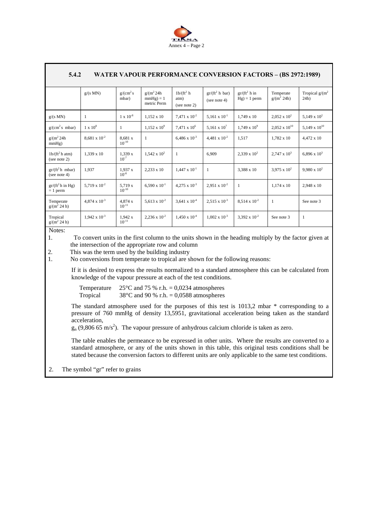

| 5.4.2<br><b>WATER VAPOUR PERFORMANCE CONVERSION FACTORS - (BS 2972:1989)</b> |                        |                       |                                              |                                     |                                   |                                     |                            |                               |  |  |  |
|------------------------------------------------------------------------------|------------------------|-----------------------|----------------------------------------------|-------------------------------------|-----------------------------------|-------------------------------------|----------------------------|-------------------------------|--|--|--|
|                                                                              | g/(s MN)               | $g/(cm^2 s)$<br>mbar) | $g/(m^2 24h)$<br>$mmHg$ ) = 1<br>metric Perm | $1b/(ft^2)$<br>atm)<br>(see note 2) | $gr/(ft^2 h bar)$<br>(see note 4) | $gr/(ft^2)$ h in<br>$Hg$ ) = 1 perm | Temperate<br>$g/(m^2 24h)$ | Tropical $g/(m^2)$<br>$24h$ ) |  |  |  |
| g/(s MN)                                                                     | 1                      | $1 \times 10^{-8}$    | $1,152 \times 10$                            | $7,471 \times 10^{-2}$              | $5.161 \times 10^{-1}$            | $1.749 \times 10$                   | $2,052 \times 10^2$        | 5,149 x $10^2$                |  |  |  |
| $g/(cm^2 s \text{ mbar})$                                                    | $1 \times 10^8$        | $\mathbf{1}$          | $1,152 \times 10^{9}$                        | $7,471 \times 10^6$                 | 5,161 x $10^{7}$                  | $1,749 \times 10^{9}$               | $2,052 \times 10^{10}$     | 5,149 x $10^{10}$             |  |  |  |
| $g/(m^2 24h)$<br>mmHg)                                                       | $8,681 \times 10^{-2}$ | 8.681 x<br>$10^{-10}$ | 1                                            | $6,486 \times 10^{-3}$              | $4.481 \times 10^{-2}$            | 1.517                               | $1.782 \times 10$          | 4,472 x 10                    |  |  |  |
| $1b/(ft^2h atm)$<br>(see note 2)                                             | $1.339 \times 10$      | 1,339 x<br>$10^{-7}$  | $1,542 \times 10^{2}$                        | -1                                  | 6.909                             | $2.339 \times 10^{2}$               | $2.747 \times 10^3$        | 6,896 x $10^3$                |  |  |  |
| $gr/(ft^2 h \text{ mbar})$<br>(see note 4)                                   | 1.937                  | 1,937x<br>$10^{-8}$   | $2,233 \times 10$                            | $1,447 \times 10^{-1}$              | 1                                 | 3.388 x 10                          | $3.975 \times 10^{2}$      | $9,980 \times 10^{2}$         |  |  |  |
| $gr/(ft^2 h \text{ in Hg})$<br>$= 1$ perm                                    | $5,719 \times 10^{-2}$ | 5.719 x<br>$10^{-10}$ | $6,590 \times 10^{-1}$                       | $4,275 \times 10^{-3}$              | $2,951 \times 10^{-2}$            | $\mathbf{1}$                        | $1.174 \times 10$          | 2.948 x 10                    |  |  |  |
| Temperate<br>$g/(m^2 24 h)$                                                  | $4.874 \times 10^{-3}$ | 4.874 x<br>$10^{-11}$ | $5.613 \times 10^{-2}$                       | 3.641 x $10^{-4}$                   | $2.515 \times 10^{-3}$            | $8.514 \times 10^{-2}$              | $\mathbf{1}$               | See note 3                    |  |  |  |
| Tropical<br>$g/(m^2 24 h)$                                                   | $1,942 \times 10^{-3}$ | 1,942x<br>$10^{-11}$  | $2,236 \times 10^{-2}$                       | $1,450 \times 10^{-4}$              | $1,002 \times 10^{-3}$            | $3.392 \times 10^{-2}$              | See note 3                 | $\mathbf{1}$                  |  |  |  |
| $N$ otos $\cdot$                                                             |                        |                       |                                              |                                     |                                   |                                     |                            |                               |  |  |  |

Notes:

1. To convert units in the first column to the units shown in the heading multiply by the factor given at the intersection of the appropriate row and column

2. This was the term used by the building industry<br>1. No conversions from temperate to tropical are s

No conversions from temperate to tropical are shown for the following reasons:

If it is desired to express the results normalized to a standard atmosphere this can be calculated from knowledge of the vapour pressure at each of the test conditions.

Temperature  $25^{\circ}$ C and 75 % r.h. = 0,0234 atmospheres Tropical  $38^{\circ}$ C and 90 % r.h. = 0,0588 atmospheres

The standard atmosphere used for the purposes of this test is 1013,2 mbar \* corresponding to a pressure of 760 mmHg of density 13,5951, gravitational acceleration being taken as the standard acceleration,

 $g_n$  (9,806 65 m/s<sup>2</sup>). The vapour pressure of anhydrous calcium chloride is taken as zero.

The table enables the permeance to be expressed in other units. Where the results are converted to a standard atmosphere, or any of the units shown in this table, this original tests conditions shall be stated because the conversion factors to different units are only applicable to the same test conditions.

2. The symbol "gr" refer to grains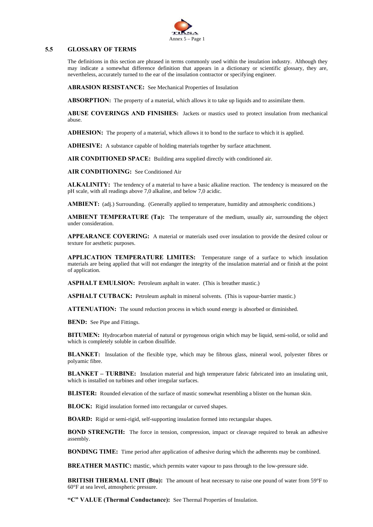

#### **5.5 GLOSSARY OF TERMS**

The definitions in this section are phrased in terms commonly used within the insulation industry. Although they may indicate a somewhat difference definition that appears in a dictionary or scientific glossary, they are, nevertheless, accurately turned to the ear of the insulation contractor or specifying engineer.

**ABRASION RESISTANCE:** See Mechanical Properties of Insulation

**ABSORPTION:** The property of a material, which allows it to take up liquids and to assimilate them.

**ABUSE COVERINGS AND FINISHES:** Jackets or mastics used to protect insulation from mechanical abuse.

**ADHESION:** The property of a material, which allows it to bond to the surface to which it is applied.

**ADHESIVE:** A substance capable of holding materials together by surface attachment.

**AIR CONDITIONED SPACE:** Building area supplied directly with conditioned air.

**AIR CONDITIONING:** See Conditioned Air

**ALKALINITY:** The tendency of a material to have a basic alkaline reaction. The tendency is measured on the pH scale, with all readings above 7,0 alkaline, and below 7,0 acidic.

**AMBIENT:** (adj.) Surrounding. (Generally applied to temperature, humidity and atmospheric conditions.)

**AMBIENT TEMPERATURE (Ta):** The temperature of the medium, usually air, surrounding the object under consideration.

**APPEARANCE COVERING:** A material or materials used over insulation to provide the desired colour or texture for aesthetic purposes.

**APPLICATION TEMPERATURE LIMITES:** Temperature range of a surface to which insulation materials are being applied that will not endanger the integrity of the insulation material and or finish at the point of application.

**ASPHALT EMULSION:** Petroleum asphalt in water. (This is breather mastic.)

**ASPHALT CUTBACK:** Petroleum asphalt in mineral solvents. (This is vapour-barrier mastic.)

**ATTENUATION:** The sound reduction process in which sound energy is absorbed or diminished.

**BEND:** See Pipe and Fittings.

**BITUMEN:** Hydrocarbon material of natural or pyrogenous origin which may be liquid, semi-solid, or solid and which is completely soluble in carbon disulfide.

**BLANKET:** Insulation of the flexible type, which may be fibrous glass, mineral wool, polyester fibres or polyamic fibre.

**BLANKET – TURBINE:** Insulation material and high temperature fabric fabricated into an insulating unit, which is installed on turbines and other irregular surfaces.

**BLISTER:** Rounded elevation of the surface of mastic somewhat resembling a blister on the human skin.

**BLOCK:** Rigid insulation formed into rectangular or curved shapes.

**BOARD:** Rigid or semi-rigid, self-supporting insulation formed into rectangular shapes.

**BOND STRENGTH:** The force in tension, compression, impact or cleavage required to break an adhesive assembly.

**BONDING TIME:** Time period after application of adhesive during which the adherents may be combined.

**BREATHER MASTIC:** mastic, which permits water vapour to pass through to the low-pressure side.

**BRITISH THERMAL UNIT (Btu):** The amount of heat necessary to raise one pound of water from 59°F to 60°F at sea level, atmospheric pressure.

**"C" VALUE (Thermal Conductance):** See Thermal Properties of Insulation.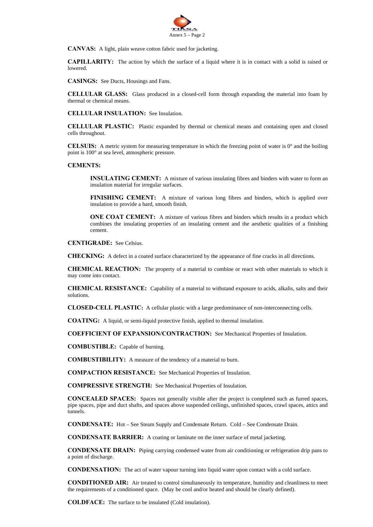

**CANVAS:** A light, plain weave cotton fabric used for jacketing.

**CAPILLARITY:** The action by which the surface of a liquid where it is in contact with a solid is raised or lowered.

**CASINGS:** See Ducts, Housings and Fans.

**CELLULAR GLASS:** Glass produced in a closed-cell form through expanding the material into foam by thermal or chemical means.

**CELLULAR INSULATION:** See Insulation.

**CELLULAR PLASTIC:** Plastic expanded by thermal or chemical means and containing open and closed cells throughout.

**CELSUIS:** A metric system for measuring temperature in which the freezing point of water is 0° and the boiling point is 100° at sea level, atmospheric pressure.

#### **CEMENTS:**

**INSULATING CEMENT:** A mixture of various insulating fibres and binders with water to form an insulation material for irregular surfaces.

**FINISHING CEMENT:** A mixture of various long fibres and binders, which is applied over insulation to provide a hard, smooth finish.

**ONE COAT CEMENT:** A mixture of various fibres and binders which results in a product which combines the insulating properties of an insulating cement and the aesthetic qualities of a finishing cement.

**CENTIGRADE:** See Celsius.

**CHECKING:** A defect in a coated surface characterized by the appearance of fine cracks in all directions.

**CHEMICAL REACTION:** The property of a material to combine or react with other materials to which it may come into contact.

**CHEMICAL RESISTANCE:** Capability of a material to withstand exposure to acids, alkalis, salts and their solutions.

**CLOSED-CELL PLASTIC:** A cellular plastic with a large predominance of non-interconnecting cells.

**COATING:** A liquid, or semi-liquid protective finish, applied to thermal insulation.

**COEFFICIENT OF EXPANSION/CONTRACTION:** See Mechanical Properties of Insulation.

**COMBUSTIBLE:** Capable of burning.

**COMBUSTIBILITY:** A measure of the tendency of a material to burn.

**COMPACTION RESISTANCE:** See Mechanical Properties of Insulation.

**COMPRESSIVE STRENGTH:** See Mechanical Properties of Insulation.

**CONCEALED SPACES:** Spaces not generally visible after the project is completed such as furred spaces, pipe spaces, pipe and duct shafts, and spaces above suspended ceilings, unfinished spaces, crawl spaces, attics and tunnels.

**CONDENSATE:** Hot – See Steam Supply and Condensate Return. Cold – See Condensate Drain.

**CONDENSATE BARRIER:** A coating or laminate on the inner surface of metal jacketing.

**CONDENSATE DRAIN:** Piping carrying condensed water from air conditioning or refrigeration drip pans to a point of discharge.

**CONDENSATION:** The act of water vapour turning into liquid water upon contact with a cold surface.

**CONDITIONED AIR:** Air treated to control simultaneously its temperature, humidity and cleanliness to meet the requirements of a conditioned space. (May be cool and/or heated and should be clearly defined).

 **COLDFACE:** The surface to be insulated (Cold insulation).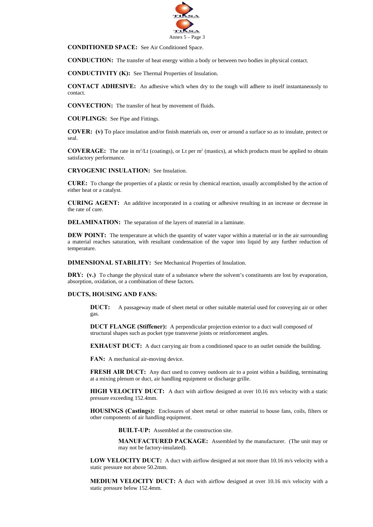

**CONDITIONED SPACE:** See Air Conditioned Space.

**CONDUCTION:** The transfer of heat energy within a body or between two bodies in physical contact.

 **CONDUCTIVITY (K):** See Thermal Properties of Insulation.

**CONTACT ADHESIVE:** An adhesive which when dry to the tough will adhere to itself instantaneously to contact.

 **CONVECTION:** The transfer of heat by movement of fluids.

**COUPLINGS:** See Pipe and Fittings.

 **COVER: (v)** To place insulation and/or finish materials on, over or around a surface so as to insulate, protect or seal.

**COVERAGE:** The rate in  $m^2/Lt$  (coatings), or  $Lt$  per  $m^2$  (mastics), at which products must be applied to obtain satisfactory performance.

 **CRYOGENIC INSULATION:** See Insulation.

 **CURE:** To change the properties of a plastic or resin by chemical reaction, usually accomplished by the action of either heat or a catalyst.

**CURING AGENT:** An additive incorporated in a coating or adhesive resulting in an increase or decrease in the rate of cure.

 **DELAMINATION:** The separation of the layers of material in a laminate.

**DEW POINT:** The temperature at which the quantity of water vapor within a material or in the air surrounding a material reaches saturation, with resultant condensation of the vapor into liquid by any further reduction of temperature.

 **DIMENSIONAL STABILITY:** See Mechanical Properties of Insulation.

**DRY:** (v.) To change the physical state of a substance where the solvent's constituents are lost by evaporation, absorption, oxidation, or a combination of these factors.

#### **DUCTS, HOUSING AND FANS:**

**DUCT:** A passageway made of sheet metal or other suitable material used for conveying air or other gas.

 **DUCT FLANGE (Stiffener):** A perpendicular projection exterior to a duct wall composed of structural shapes such as pocket type transverse joints or reinforcement angles.

**EXHAUST DUCT:** A duct carrying air from a conditioned space to an outlet outside the building.

**FAN:** A mechanical air-moving device.

**FRESH AIR DUCT:** Any duct used to convey outdoors air to a point within a building, terminating at a mixing plenum or duct, air handling equipment or discharge grille.

**HIGH VELOCITY DUCT:** A duct with airflow designed at over 10.16 m/s velocity with a static pressure exceeding 152.4mm.

**HOUSINGS (Castings):** Enclosures of sheet metal or other material to house fans, coils, filters or other components of air handling equipment.

**BUILT-UP:** Assembled at the construction site.

**MANUFACTURED PACKAGE:** Assembled by the manufacturer. (The unit may or may not be factory-insulated).

LOW VELOCITY DUCT: A duct with airflow designed at not more than 10.16 m/s velocity with a static pressure not above 50.2mm.

**MEDIUM VELOCITY DUCT:** A duct with airflow designed at over 10.16 m/s velocity with a static pressure below 152.4mm.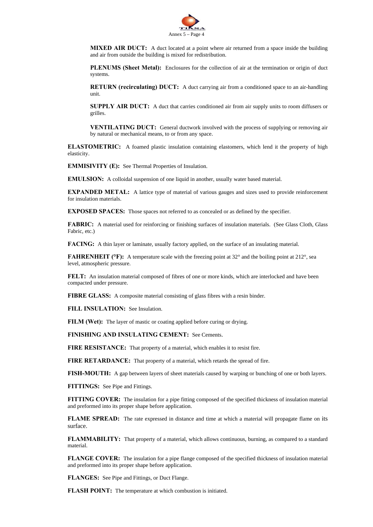

**MIXED AIR DUCT:** A duct located at a point where air returned from a space inside the building and air from outside the building is mixed for redistribution.

**PLENUMS (Sheet Metal):** Enclosures for the collection of air at the termination or origin of duct systems.

**RETURN** (recirculating) DUCT: A duct carrying air from a conditioned space to an air-handling unit.

**SUPPLY AIR DUCT:** A duct that carries conditioned air from air supply units to room diffusers or grilles.

**VENTILATING DUCT:** General ductwork involved with the process of supplying or removing air by natural or mechanical means, to or from any space.

 **ELASTOMETRIC:** A foamed plastic insulation containing elastomers, which lend it the property of high elasticity.

**EMMISIVITY (E):** See Thermal Properties of Insulation.

 **EMULSION:** A colloidal suspension of one liquid in another, usually water based material.

**EXPANDED METAL:** A lattice type of material of various gauges and sizes used to provide reinforcement for insulation materials.

**EXPOSED SPACES:** Those spaces not referred to as concealed or as defined by the specifier.

**FABRIC:** A material used for reinforcing or finishing surfaces of insulation materials. (See Glass Cloth, Glass Fabric, etc.)

**FACING:** A thin layer or laminate, usually factory applied, on the surface of an insulating material.

**FAHRENHEIT (°F):** A temperature scale with the freezing point at 32° and the boiling point at 212°, sea level, atmospheric pressure.

**FELT:** An insulation material composed of fibres of one or more kinds, which are interlocked and have been compacted under pressure.

 **FIBRE GLASS:** A composite material consisting of glass fibres with a resin binder.

**FILL INSULATION:** See Insulation.

FILM (Wet): The layer of mastic or coating applied before curing or drying.

 **FINISHING AND INSULATING CEMENT:** See Cements.

**FIRE RESISTANCE:** That property of a material, which enables it to resist fire.

 **FIRE RETARDANCE:** That property of a material, which retards the spread of fire.

 **FISH-MOUTH:** A gap between layers of sheet materials caused by warping or bunching of one or both layers.

 **FITTINGS:** See Pipe and Fittings.

 **FITTING COVER:** The insulation for a pipe fitting composed of the specified thickness of insulation material and preformed into its proper shape before application.

**FLAME SPREAD:** The rate expressed in distance and time at which a material will propagate flame on its surface.

**FLAMMABILITY:** That property of a material, which allows continuous, burning, as compared to a standard material.

**FLANGE COVER:** The insulation for a pipe flange composed of the specified thickness of insulation material and preformed into its proper shape before application.

 **FLANGES:** See Pipe and Fittings, or Duct Flange.

 **FLASH POINT:** The temperature at which combustion is initiated.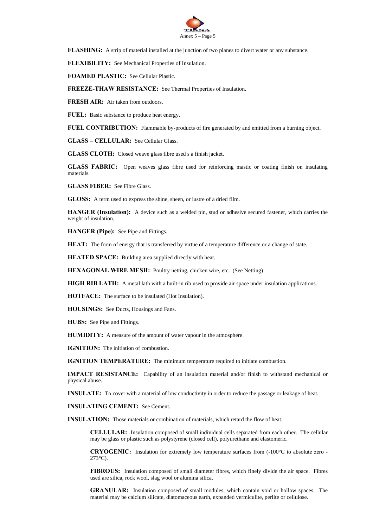

**FLASHING:** A strip of material installed at the junction of two planes to divert water or any substance.

 **FLEXIBILITY:** See Mechanical Properties of Insulation.

 **FOAMED PLASTIC:** See Cellular Plastic.

 **FREEZE-THAW RESISTANCE:** See Thermal Properties of Insulation.

**FRESH AIR:** Air taken from outdoors.

FUEL: Basic substance to produce heat energy.

**FUEL CONTRIBUTION:** Flammable by-products of fire generated by and emitted from a burning object.

 **GLASS – CELLULAR:** See Cellular Glass.

 **GLASS CLOTH:** Closed weave glass fibre used s a finish jacket.

**GLASS FABRIC:** Open weaves glass fibre used for reinforcing mastic or coating finish on insulating materials.

 **GLASS FIBER:** See Fibre Glass.

 **GLOSS:** A term used to express the shine, sheen, or lustre of a dried film.

 **HANGER (Insulation):** A device such as a welded pin, stud or adhesive secured fastener, which carries the weight of insulation.

 **HANGER (Pipe):** See Pipe and Fittings.

**HEAT:** The form of energy that is transferred by virtue of a temperature difference or a change of state.

**HEATED SPACE:** Building area supplied directly with heat.

 **HEXAGONAL WIRE MESH:** Poultry netting, chicken wire, etc. (See Netting)

**HIGH RIB LATH:** A metal lath with a built-in rib used to provide air space under insulation applications.

 **HOTFACE:** The surface to be insulated (Hot Insulation).

**HOUSINGS:** See Ducts, Housings and Fans.

 **HUBS:** See Pipe and Fittings.

 **HUMIDITY:** A measure of the amount of water vapour in the atmosphere.

**IGNITION:** The initiation of combustion.

**IGNITION TEMPERATURE:** The minimum temperature required to initiate combustion.

 **IMPACT RESISTANCE:** Capability of an insulation material and/or finish to withstand mechanical or physical abuse.

**INSULATE:** To cover with a material of low conductivity in order to reduce the passage or leakage of heat.

 **INSULATING CEMENT:** See Cement.

**INSULATION:** Those materials or combination of materials, which retard the flow of heat.

 **CELLULAR:** Insulation composed of small individual cells separated from each other. The cellular may be glass or plastic such as polystyrene (closed cell), polyurethane and elastomeric.

**CRYOGENIC:** Insulation for extremely low temperature surfaces from (-100°C to absolute zero - 273°C).

 **FIBROUS:** Insulation composed of small diameter fibres, which finely divide the air space. Fibres used are silica, rock wool, slag wool or alumina silica.

 **GRANULAR:** Insulation composed of small modules, which contain void or hollow spaces. The material may be calcium silicate, diatomaceous earth, expanded vermiculite, perlite or cellulose.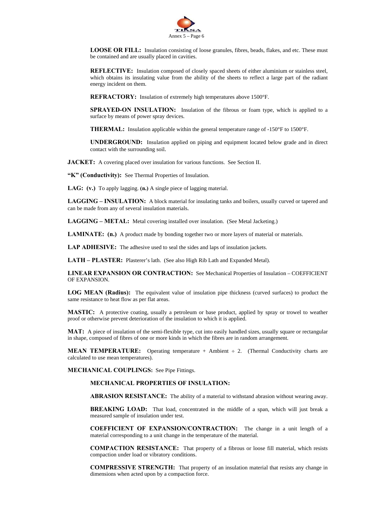

**LOOSE OR FILL:** Insulation consisting of loose granules, fibres, beads, flakes, and etc. These must be contained and are usually placed in cavities.

 **REFLECTIVE:** Insulation composed of closely spaced sheets of either aluminium or stainless steel, which obtains its insulating value from the ability of the sheets to reflect a large part of the radiant energy incident on them.

 **REFRACTORY:** Insulation of extremely high temperatures above 1500°F.

**SPRAYED-ON INSULATION:** Insulation of the fibrous or foam type, which is applied to a surface by means of power spray devices.

 **THERMAL:** Insulation applicable within the general temperature range of -150°F to 1500°F.

 **UNDERGROUND:** Insulation applied on piping and equipment located below grade and in direct contact with the surrounding soil.

 **JACKET:** A covering placed over insulation for various functions. See Section II.

 **"K" (Conductivity):** See Thermal Properties of Insulation.

 **LAG: (v.)** To apply lagging. **(n.)** A single piece of lagging material.

 **LAGGING – INSULATION:** A block material for insulating tanks and boilers, usually curved or tapered and can be made from any of several insulation materials.

 **LAGGING – METAL:** Metal covering installed over insulation. (See Metal Jacketing.)

**LAMINATE:** (n.) A product made by bonding together two or more layers of material or materials.

 **LAP ADHESIVE:** The adhesive used to seal the sides and laps of insulation jackets.

 **LATH – PLASTER:** Plasterer's lath. (See also High Rib Lath and Expanded Metal).

 **LINEAR EXPANSION OR CONTRACTION:** See Mechanical Properties of Insulation – COEFFICIENT OF EXPANSION.

 **LOG MEAN (Radius):** The equivalent value of insulation pipe thickness (curved surfaces) to product the same resistance to heat flow as per flat areas.

**MASTIC:** A protective coating, usually a petroleum or base product, applied by spray or trowel to weather proof or otherwise prevent deterioration of the insulation to which it is applied.

 **MAT:** A piece of insulation of the semi-flexible type, cut into easily handled sizes, usually square or rectangular in shape, composed of fibres of one or more kinds in which the fibres are in random arrangement.

**MEAN TEMPERATURE:** Operating temperature + Ambient ÷ 2. (Thermal Conductivity charts are calculated to use mean temperatures).

 **MECHANICAL COUPLINGS:** See Pipe Fittings.

 **MECHANICAL PROPERTIES OF INSULATION:** 

**ABRASION RESISTANCE:** The ability of a material to withstand abrasion without wearing away.

**BREAKING LOAD:** That load, concentrated in the middle of a span, which will just break a measured sample of insulation under test.

**COEFFICIENT OF EXPANSION/CONTRACTION:** The change in a unit length of a material corresponding to a unit change in the temperature of the material.

**COMPACTION RESISTANCE:** That property of a fibrous or loose fill material, which resists compaction under load or vibratory conditions.

**COMPRESSIVE STRENGTH:** That property of an insulation material that resists any change in dimensions when acted upon by a compaction force.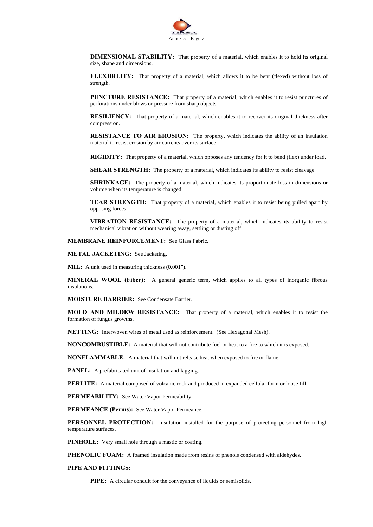

**DIMENSIONAL STABILITY:** That property of a material, which enables it to hold its original size, shape and dimensions.

**FLEXIBILITY:** That property of a material, which allows it to be bent (flexed) without loss of strength.

**PUNCTURE RESISTANCE:** That property of a material, which enables it to resist punctures of perforations under blows or pressure from sharp objects.

**RESILIENCY:** That property of a material, which enables it to recover its original thickness after compression.

**RESISTANCE TO AIR EROSION:** The property, which indicates the ability of an insulation material to resist erosion by air currents over its surface.

**RIGIDITY:** That property of a material, which opposes any tendency for it to bend (flex) under load.

**SHEAR STRENGTH:** The property of a material, which indicates its ability to resist cleavage.

**SHRINKAGE:** The property of a material, which indicates its proportionate loss in dimensions or volume when its temperature is changed.

**TEAR STRENGTH:** That property of a material, which enables it to resist being pulled apart by opposing forces.

**VIBRATION RESISTANCE:** The property of a material, which indicates its ability to resist mechanical vibration without wearing away, settling or dusting off.

 **MEMBRANE REINFORCEMENT:** See Glass Fabric.

 **METAL JACKETING:** See Jacketing.

**MIL:** A unit used in measuring thickness (0.001").

 **MINERAL WOOL (Fiber):** A general generic term, which applies to all types of inorganic fibrous insulations.

 **MOISTURE BARRIER:** See Condensate Barrier.

 **MOLD AND MILDEW RESISTANCE:** That property of a material, which enables it to resist the formation of fungus growths.

 **NETTING:** Interwoven wires of metal used as reinforcement. (See Hexagonal Mesh).

 **NONCOMBUSTIBLE:** A material that will not contribute fuel or heat to a fire to which it is exposed.

 **NONFLAMMABLE:** A material that will not release heat when exposed to fire or flame.

**PANEL:** A prefabricated unit of insulation and lagging.

 **PERLITE:** A material composed of volcanic rock and produced in expanded cellular form or loose fill.

 **PERMEABILITY:** See Water Vapor Permeability.

 **PERMEANCE (Perms):** See Water Vapor Permeance.

 **PERSONNEL PROTECTION:** Insulation installed for the purpose of protecting personnel from high temperature surfaces.

**PINHOLE:** Very small hole through a mastic or coating.

 **PHENOLIC FOAM:** A foamed insulation made from resins of phenols condensed with aldehydes.

 **PIPE AND FITTINGS:** 

**PIPE:** A circular conduit for the conveyance of liquids or semisolids.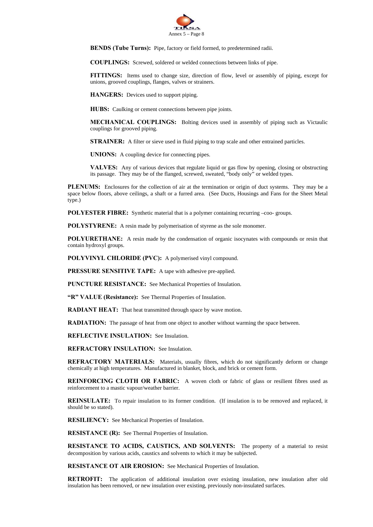

**BENDS (Tube Turns):** Pipe, factory or field formed, to predetermined radii.

**COUPLINGS:** Screwed, soldered or welded connections between links of pipe.

**FITTINGS:** Items used to change size, direction of flow, level or assembly of piping, except for unions, grooved couplings, flanges, valves or strainers.

**HANGERS:** Devices used to support piping.

**HUBS:** Caulking or cement connections between pipe joints.

**MECHANICAL COUPLINGS:** Bolting devices used in assembly of piping such as Victaulic couplings for grooved piping.

**STRAINER:** A filter or sieve used in fluid piping to trap scale and other entrained particles.

**UNIONS:** A coupling device for connecting pipes.

**VALVES:** Any of various devices that regulate liquid or gas flow by opening, closing or obstructing its passage. They may be of the flanged, screwed, sweated, "body only" or welded types.

**PLENUMS:** Enclosures for the collection of air at the termination or origin of duct systems. They may be a space below floors, above ceilings, a shaft or a furred area. (See Ducts, Housings and Fans for the Sheet Metal type.)

**POLYESTER FIBRE:** Synthetic material that is a polymer containing recurring –coo- groups.

**POLYSTYRENE:** A resin made by polymerisation of styrene as the sole monomer.

**POLYURETHANE:** A resin made by the condensation of organic isocynates with compounds or resin that contain hydroxyl groups.

**POLYVINYL CHLORIDE (PVC):** A polymerised vinyl compound.

**PRESSURE SENSITIVE TAPE:** A tape with adhesive pre-applied.

**PUNCTURE RESISTANCE:** See Mechanical Properties of Insulation.

**"R" VALUE (Resistance):** See Thermal Properties of Insulation.

**RADIANT HEAT:** That heat transmitted through space by wave motion.

**RADIATION:** The passage of heat from one object to another without warming the space between.

**REFLECTIVE INSULATION:** See Insulation.

**REFRACTORY INSULATION:** See Insulation.

**REFRACTORY MATERIALS:** Materials, usually fibres, which do not significantly deform or change chemically at high temperatures. Manufactured in blanket, block, and brick or cement form.

**REINFORCING CLOTH OR FABRIC:** A woven cloth or fabric of glass or resilient fibres used as reinforcement to a mastic vapour/weather barrier.

**REINSULATE:** To repair insulation to its former condition. (If insulation is to be removed and replaced, it should be so stated).

**RESILIENCY:** See Mechanical Properties of Insulation.

**RESISTANCE (R):** See Thermal Properties of Insulation.

**RESISTANCE TO ACIDS, CAUSTICS, AND SOLVENTS:** The property of a material to resist decomposition by various acids, caustics and solvents to which it may be subjected.

**RESISTANCE OT AIR EROSION:** See Mechanical Properties of Insulation.

**RETROFIT:** The application of additional insulation over existing insulation, new insulation after old insulation has been removed, or new insulation over existing, previously non-insulated surfaces.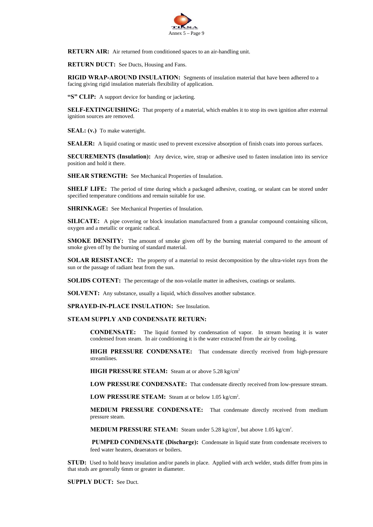

 **RETURN AIR:** Air returned from conditioned spaces to an air-handling unit.

**RETURN DUCT:** See Ducts, Housing and Fans.

**RIGID WRAP-AROUND INSULATION:** Segments of insulation material that have been adhered to a facing giving rigid insulation materials flexibility of application.

 **"S" CLIP:** A support device for banding or jacketing.

**SELF-EXTINGUISHING:** That property of a material, which enables it to stop its own ignition after external ignition sources are removed.

**SEAL:** (v.) To make watertight.

**SEALER:** A liquid coating or mastic used to prevent excessive absorption of finish coats into porous surfaces.

 **SECUREMENTS (Insulation):** Any device, wire, strap or adhesive used to fasten insulation into its service position and hold it there.

**SHEAR STRENGTH:** See Mechanical Properties of Insulation.

**SHELF LIFE:** The period of time during which a packaged adhesive, coating, or sealant can be stored under specified temperature conditions and remain suitable for use.

 **SHRINKAGE:** See Mechanical Properties of Insulation.

**SILICATE:** A pipe covering or block insulation manufactured from a granular compound containing silicon, oxygen and a metallic or organic radical.

**SMOKE DENSITY:** The amount of smoke given off by the burning material compared to the amount of smoke given off by the burning of standard material.

 **SOLAR RESISTANCE:** The property of a material to resist decomposition by the ultra-violet rays from the sun or the passage of radiant heat from the sun.

**SOLIDS COTENT:** The percentage of the non-volatile matter in adhesives, coatings or sealants.

**SOLVENT:** Any substance, usually a liquid, which dissolves another substance.

 **SPRAYED-IN-PLACE INSULATION:** See Insulation.

#### **STEAM SUPPLY AND CONDENSATE RETURN:**

 **CONDENSATE:** The liquid formed by condensation of vapor. In stream heating it is water condensed from steam. In air conditioning it is the water extracted from the air by cooling.

**HIGH PRESSURE CONDENSATE:** That condensate directly received from high-pressure streamlines.

**HIGH PRESSURE STEAM:** Steam at or above 5.28 kg/cm2

**LOW PRESSURE CONDENSATE:** That condensate directly received from low-pressure stream.

**LOW PRESSURE STEAM:** Steam at or below 1.05 kg/cm<sup>2</sup>.

**MEDIUM PRESSURE CONDENSATE:** That condensate directly received from medium pressure steam.

**MEDIUM PRESSURE STEAM:** Steam under 5.28 kg/cm<sup>2</sup>, but above 1.05 kg/cm<sup>2</sup>.

 **PUMPED CONDENSATE (Discharge):** Condensate in liquid state from condensate receivers to feed water heaters, deaerators or boilers.

 **STUD:** Used to hold heavy insulation and/or panels in place. Applied with arch welder, studs differ from pins in that studs are generally 6mm or greater in diameter.

 **SUPPLY DUCT:** See Duct.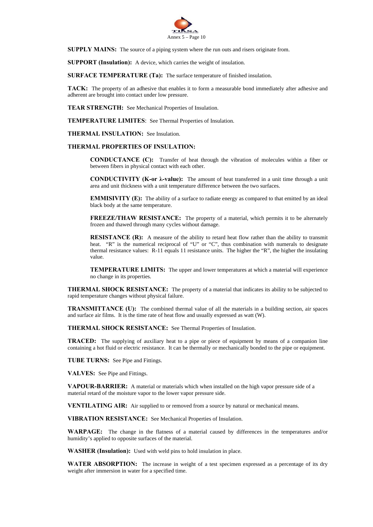

**SUPPLY MAINS:** The source of a piping system where the run outs and risers originate from.

**SUPPORT (Insulation):** A device, which carries the weight of insulation.

**SURFACE TEMPERATURE (Ta):** The surface temperature of finished insulation.

 **TACK:** The property of an adhesive that enables it to form a measurable bond immediately after adhesive and adherent are brought into contact under low pressure.

 **TEAR STRENGTH:** See Mechanical Properties of Insulation.

 **TEMPERATURE LIMITES**: See Thermal Properties of Insulation.

 **THERMAL INSULATION:** See Insulation.

#### **THERMAL PROPERTIES OF INSULATION:**

**CONDUCTANCE (C):** Transfer of heat through the vibration of molecules within a fiber or between fibers in physical contact with each other.

**CONDUCTIVITY (K-or λ-value):** The amount of heat transferred in a unit time through a unit area and unit thickness with a unit temperature difference between the two surfaces.

**EMMISIVITY (E):** The ability of a surface to radiate energy as compared to that emitted by an ideal black body at the same temperature.

**FREEZE/THAW RESISTANCE:** The property of a material, which permits it to be alternately frozen and thawed through many cycles without damage.

**RESISTANCE (R):** A measure of the ability to retard heat flow rather than the ability to transmit heat. "R" is the numerical reciprocal of "U" or "C", thus combination with numerals to designate thermal resistance values: R-11 equals 11 resistance units. The higher the "R", the higher the insulating value.

**TEMPERATURE LIMITS:** The upper and lower temperatures at which a material will experience no change in its properties.

**THERMAL SHOCK RESISTANCE:** The property of a material that indicates its ability to be subjected to rapid temperature changes without physical failure.

**TRANSMITTANCE (U):** The combined thermal value of all the materials in a building section, air spaces and surface air films. It is the time rate of heat flow and usually expressed as watt (W).

 **THERMAL SHOCK RESISTANCE:** See Thermal Properties of Insulation.

 **TRACED:** The supplying of auxiliary heat to a pipe or piece of equipment by means of a companion line containing a hot fluid or electric resistance. It can be thermally or mechanically bonded to the pipe or equipment.

 **TUBE TURNS:** See Pipe and Fittings.

 **VALVES:** See Pipe and Fittings.

 **VAPOUR-BARRIER:** A material or materials which when installed on the high vapor pressure side of a material retard of the moisture vapor to the lower vapor pressure side.

**VENTILATING AIR:** Air supplied to or removed from a source by natural or mechanical means.

 **VIBRATION RESISTANCE:** See Mechanical Properties of Insulation.

 **WARPAGE:** The change in the flatness of a material caused by differences in the temperatures and/or humidity's applied to opposite surfaces of the material.

 **WASHER (Insulation):** Used with weld pins to hold insulation in place.

**WATER ABSORPTION:** The increase in weight of a test specimen expressed as a percentage of its dry weight after immersion in water for a specified time.